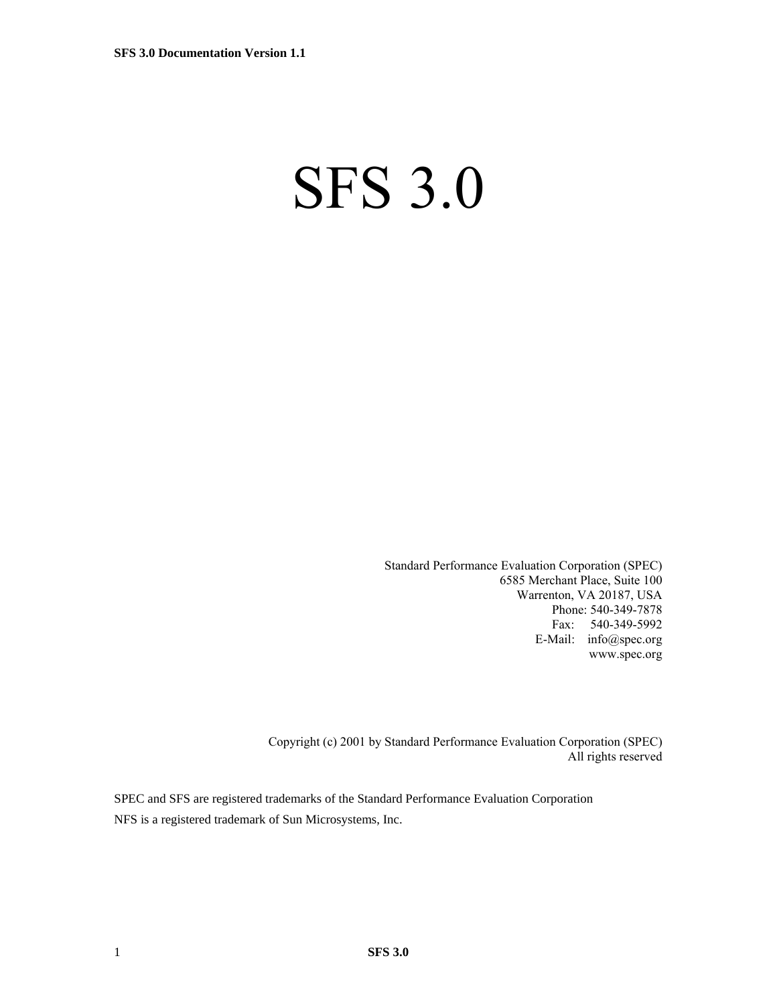# SFS 3.0

Standard Performance Evaluation Corporation (SPEC) 6585 Merchant Place, Suite 100 Warrenton, VA 20187, USA Phone: 540-349-7878 Fax: 540-349-5992 E-Mail: info@spec.org www.spec.org

Copyright (c) 2001 by Standard Performance Evaluation Corporation (SPEC) All rights reserved

SPEC and SFS are registered trademarks of the Standard Performance Evaluation Corporation NFS is a registered trademark of Sun Microsystems, Inc.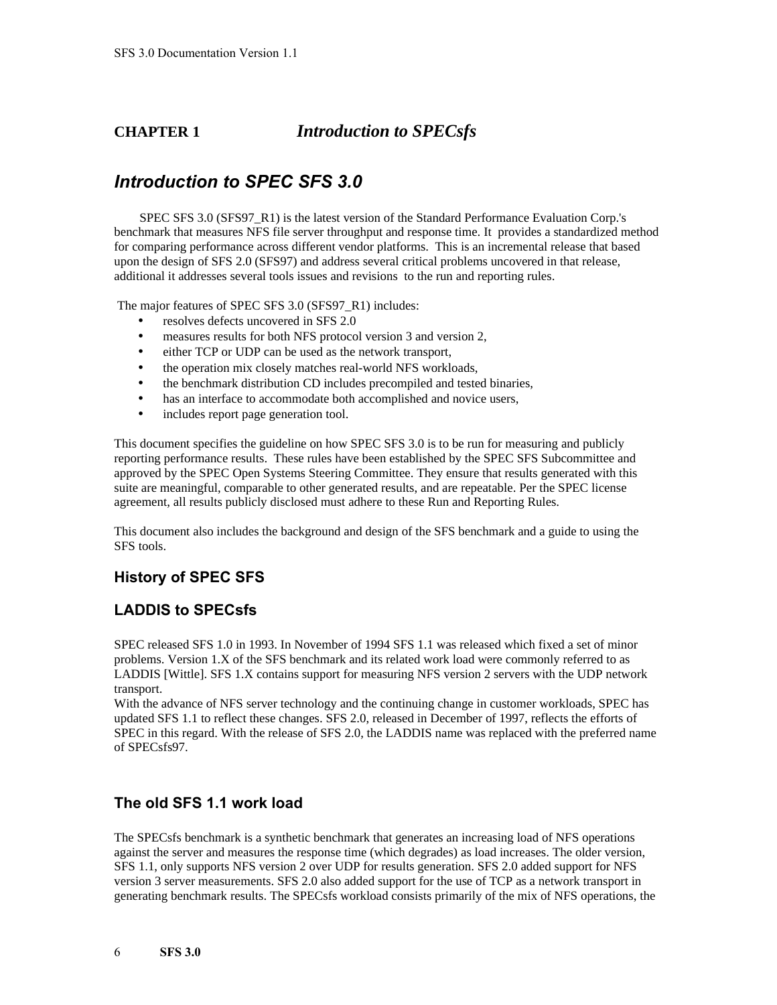### **CHAPTER 1** *Introduction to SPECsfs*

### *Introduction to SPEC SFS 3.0*

SPEC SFS 3.0 (SFS97 R1) is the latest version of the Standard Performance Evaluation Corp.'s benchmark that measures NFS file server throughput and response time. It provides a standardized method for comparing performance across different vendor platforms. This is an incremental release that based upon the design of SFS 2.0 (SFS97) and address several critical problems uncovered in that release, additional it addresses several tools issues and revisions to the run and reporting rules.

The major features of SPEC SFS 3.0 (SFS97 R1) includes:

- resolves defects uncovered in SFS 2.0
- measures results for both NFS protocol version 3 and version 2,
- either TCP or UDP can be used as the network transport,
- the operation mix closely matches real-world NFS workloads,
- the benchmark distribution CD includes precompiled and tested binaries,
- has an interface to accommodate both accomplished and novice users,
- includes report page generation tool.

This document specifies the guideline on how SPEC SFS 3.0 is to be run for measuring and publicly reporting performance results. These rules have been established by the SPEC SFS Subcommittee and approved by the SPEC Open Systems Steering Committee. They ensure that results generated with this suite are meaningful, comparable to other generated results, and are repeatable. Per the SPEC license agreement, all results publicly disclosed must adhere to these Run and Reporting Rules.

This document also includes the background and design of the SFS benchmark and a guide to using the SFS tools.

#### **History of SPEC SFS**

### **LADDIS to SPECsfs**

SPEC released SFS 1.0 in 1993. In November of 1994 SFS 1.1 was released which fixed a set of minor problems. Version 1.X of the SFS benchmark and its related work load were commonly referred to as LADDIS [Wittle]. SFS 1.X contains support for measuring NFS version 2 servers with the UDP network transport.

With the advance of NFS server technology and the continuing change in customer workloads, SPEC has updated SFS 1.1 to reflect these changes. SFS 2.0, released in December of 1997, reflects the efforts of SPEC in this regard. With the release of SFS 2.0, the LADDIS name was replaced with the preferred name of SPECsfs97.

#### **The old SFS 1.1 work load**

The SPECsfs benchmark is a synthetic benchmark that generates an increasing load of NFS operations against the server and measures the response time (which degrades) as load increases. The older version, SFS 1.1, only supports NFS version 2 over UDP for results generation. SFS 2.0 added support for NFS version 3 server measurements. SFS 2.0 also added support for the use of TCP as a network transport in generating benchmark results. The SPECsfs workload consists primarily of the mix of NFS operations, the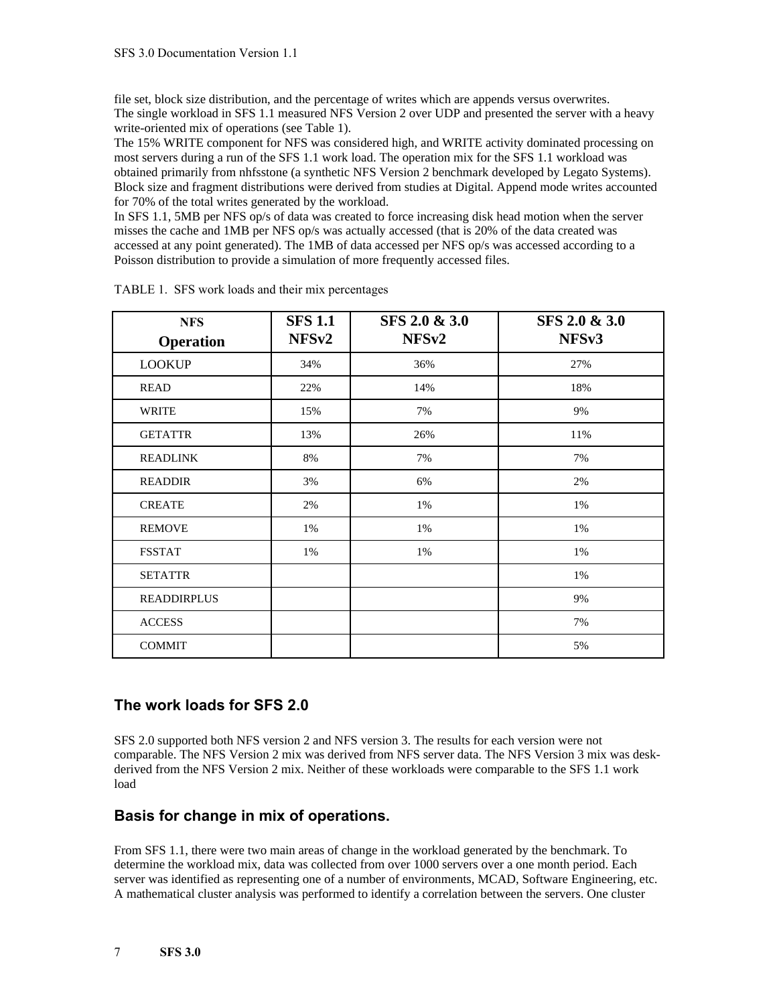file set, block size distribution, and the percentage of writes which are appends versus overwrites. The single workload in SFS 1.1 measured NFS Version 2 over UDP and presented the server with a heavy write-oriented mix of operations (see Table 1).

The 15% WRITE component for NFS was considered high, and WRITE activity dominated processing on most servers during a run of the SFS 1.1 work load. The operation mix for the SFS 1.1 workload was obtained primarily from nhfsstone (a synthetic NFS Version 2 benchmark developed by Legato Systems). Block size and fragment distributions were derived from studies at Digital. Append mode writes accounted for 70% of the total writes generated by the workload.

In SFS 1.1, 5MB per NFS op/s of data was created to force increasing disk head motion when the server misses the cache and 1MB per NFS op/s was actually accessed (that is 20% of the data created was accessed at any point generated). The 1MB of data accessed per NFS op/s was accessed according to a Poisson distribution to provide a simulation of more frequently accessed files.

| <b>NFS</b>         | <b>SFS 1.1</b>    | SFS 2.0 & 3.0     | SFS 2.0 & 3.0     |
|--------------------|-------------------|-------------------|-------------------|
| <b>Operation</b>   | NFS <sub>v2</sub> | NFS <sub>v2</sub> | NFS <sub>v3</sub> |
| <b>LOOKUP</b>      | 34%               | 36%               | 27%               |
| <b>READ</b>        | 22%               | 14%               | 18%               |
| WRITE              | 15%               | 7%                | 9%                |
| <b>GETATTR</b>     | 13%               | 26%               | 11%               |
| <b>READLINK</b>    | 8%                | 7%                | 7%                |
| <b>READDIR</b>     | 3%                | 6%                | 2%                |
| <b>CREATE</b>      | 2%                | 1%                | 1%                |
| <b>REMOVE</b>      | 1%                | 1%                | 1%                |
| <b>FSSTAT</b>      | 1%                | 1%                | 1%                |
| <b>SETATTR</b>     |                   |                   | 1%                |
| <b>READDIRPLUS</b> |                   |                   | 9%                |
| <b>ACCESS</b>      |                   |                   | 7%                |
| <b>COMMIT</b>      |                   |                   | 5%                |

TABLE 1.SFS work loads and their mix percentages

### **The work loads for SFS 2.0**

SFS 2.0 supported both NFS version 2 and NFS version 3. The results for each version were not comparable. The NFS Version 2 mix was derived from NFS server data. The NFS Version 3 mix was deskderived from the NFS Version 2 mix. Neither of these workloads were comparable to the SFS 1.1 work load

### **Basis for change in mix of operations.**

From SFS 1.1, there were two main areas of change in the workload generated by the benchmark. To determine the workload mix, data was collected from over 1000 servers over a one month period. Each server was identified as representing one of a number of environments, MCAD, Software Engineering, etc. A mathematical cluster analysis was performed to identify a correlation between the servers. One cluster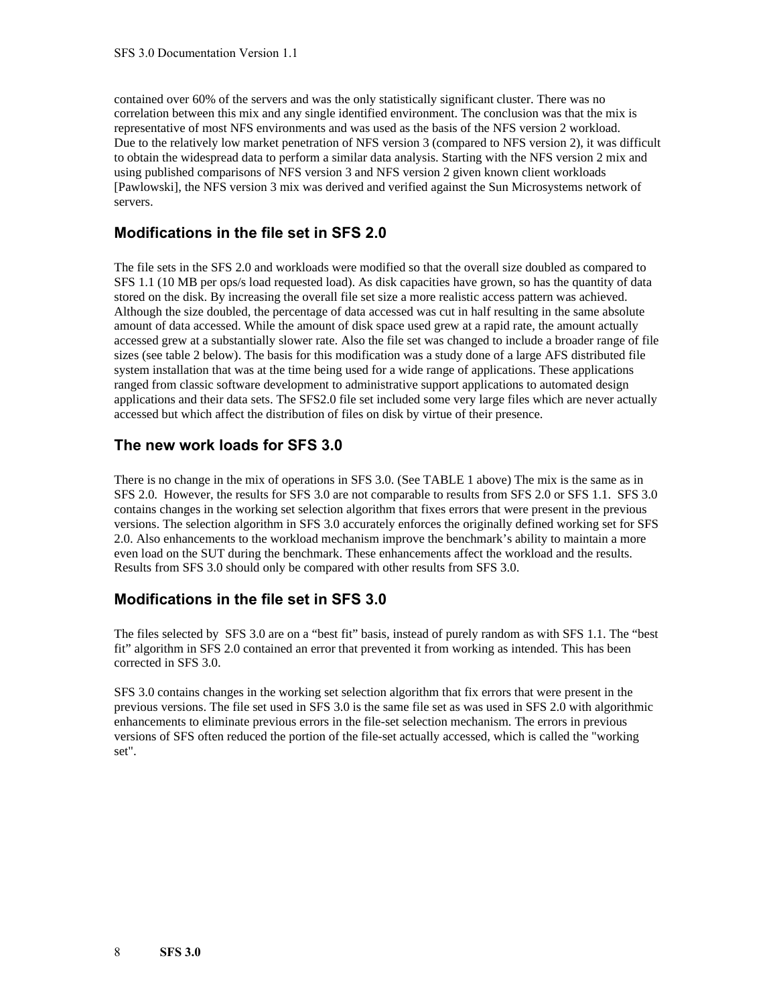contained over 60% of the servers and was the only statistically significant cluster. There was no correlation between this mix and any single identified environment. The conclusion was that the mix is representative of most NFS environments and was used as the basis of the NFS version 2 workload. Due to the relatively low market penetration of NFS version 3 (compared to NFS version 2), it was difficult to obtain the widespread data to perform a similar data analysis. Starting with the NFS version 2 mix and using published comparisons of NFS version 3 and NFS version 2 given known client workloads [Pawlowski], the NFS version 3 mix was derived and verified against the Sun Microsystems network of servers.

### **Modifications in the file set in SFS 2.0**

The file sets in the SFS 2.0 and workloads were modified so that the overall size doubled as compared to SFS 1.1 (10 MB per ops/s load requested load). As disk capacities have grown, so has the quantity of data stored on the disk. By increasing the overall file set size a more realistic access pattern was achieved. Although the size doubled, the percentage of data accessed was cut in half resulting in the same absolute amount of data accessed. While the amount of disk space used grew at a rapid rate, the amount actually accessed grew at a substantially slower rate. Also the file set was changed to include a broader range of file sizes (see table 2 below). The basis for this modification was a study done of a large AFS distributed file system installation that was at the time being used for a wide range of applications. These applications ranged from classic software development to administrative support applications to automated design applications and their data sets. The SFS2.0 file set included some very large files which are never actually accessed but which affect the distribution of files on disk by virtue of their presence.

### **The new work loads for SFS 3.0**

There is no change in the mix of operations in SFS 3.0. (See TABLE 1 above) The mix is the same as in SFS 2.0. However, the results for SFS 3.0 are not comparable to results from SFS 2.0 or SFS 1.1. SFS 3.0 contains changes in the working set selection algorithm that fixes errors that were present in the previous versions. The selection algorithm in SFS 3.0 accurately enforces the originally defined working set for SFS 2.0. Also enhancements to the workload mechanism improve the benchmark's ability to maintain a more even load on the SUT during the benchmark. These enhancements affect the workload and the results. Results from SFS 3.0 should only be compared with other results from SFS 3.0.

### **Modifications in the file set in SFS 3.0**

The files selected by SFS 3.0 are on a "best fit" basis, instead of purely random as with SFS 1.1. The "best fit" algorithm in SFS 2.0 contained an error that prevented it from working as intended. This has been corrected in SFS 3.0.

SFS 3.0 contains changes in the working set selection algorithm that fix errors that were present in the previous versions. The file set used in SFS 3.0 is the same file set as was used in SFS 2.0 with algorithmic enhancements to eliminate previous errors in the file-set selection mechanism. The errors in previous versions of SFS often reduced the portion of the file-set actually accessed, which is called the "working set".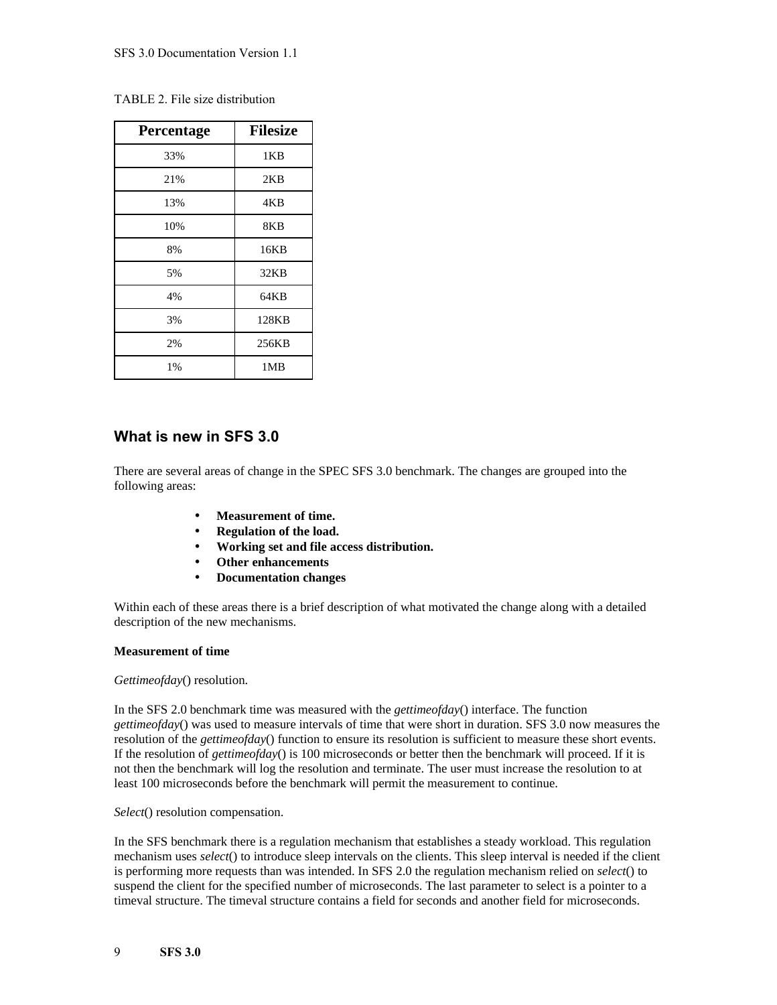|  |  |  | TABLE 2. File size distribution |
|--|--|--|---------------------------------|
|--|--|--|---------------------------------|

| Percentage | <b>Filesize</b> |
|------------|-----------------|
| 33%        | 1KB             |
| 21%        | 2KB             |
| 13%        | 4KB             |
| 10%        | 8KB             |
| 8%         | 16KB            |
| 5%         | 32KB            |
| 4%         | 64KB            |
| 3%         | 128KB           |
| 2%         | 256KB           |
| 1%         | 1MB             |

### **What is new in SFS 3.0**

There are several areas of change in the SPEC SFS 3.0 benchmark. The changes are grouped into the following areas:

- **Measurement of time.**
- **Regulation of the load.**
- **Working set and file access distribution.**
- **Other enhancements**
- **Documentation changes**

Within each of these areas there is a brief description of what motivated the change along with a detailed description of the new mechanisms.

#### **Measurement of time**

*Gettimeofday*() resolution.

In the SFS 2.0 benchmark time was measured with the *gettimeofday*() interface. The function *gettimeofday*() was used to measure intervals of time that were short in duration. SFS 3.0 now measures the resolution of the *gettimeofday*() function to ensure its resolution is sufficient to measure these short events. If the resolution of *gettimeofday*() is 100 microseconds or better then the benchmark will proceed. If it is not then the benchmark will log the resolution and terminate. The user must increase the resolution to at least 100 microseconds before the benchmark will permit the measurement to continue.

*Select*() resolution compensation.

In the SFS benchmark there is a regulation mechanism that establishes a steady workload. This regulation mechanism uses *select*() to introduce sleep intervals on the clients. This sleep interval is needed if the client is performing more requests than was intended. In SFS 2.0 the regulation mechanism relied on *select*() to suspend the client for the specified number of microseconds. The last parameter to select is a pointer to a timeval structure. The timeval structure contains a field for seconds and another field for microseconds.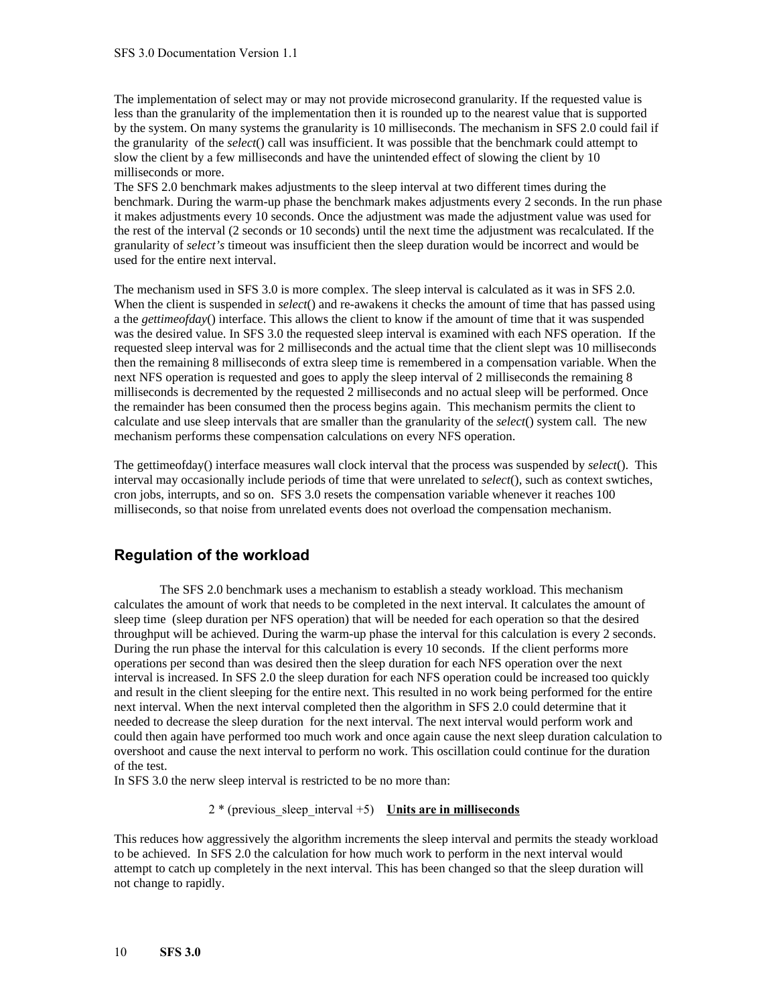The implementation of select may or may not provide microsecond granularity. If the requested value is less than the granularity of the implementation then it is rounded up to the nearest value that is supported by the system. On many systems the granularity is 10 milliseconds. The mechanism in SFS 2.0 could fail if the granularity of the *select*() call was insufficient. It was possible that the benchmark could attempt to slow the client by a few milliseconds and have the unintended effect of slowing the client by 10 milliseconds or more.

The SFS 2.0 benchmark makes adjustments to the sleep interval at two different times during the benchmark. During the warm-up phase the benchmark makes adjustments every 2 seconds. In the run phase it makes adjustments every 10 seconds. Once the adjustment was made the adjustment value was used for the rest of the interval (2 seconds or 10 seconds) until the next time the adjustment was recalculated. If the granularity of *select's* timeout was insufficient then the sleep duration would be incorrect and would be used for the entire next interval.

The mechanism used in SFS 3.0 is more complex. The sleep interval is calculated as it was in SFS 2.0. When the client is suspended in *select*() and re-awakens it checks the amount of time that has passed using a the *gettimeofday*() interface. This allows the client to know if the amount of time that it was suspended was the desired value. In SFS 3.0 the requested sleep interval is examined with each NFS operation. If the requested sleep interval was for 2 milliseconds and the actual time that the client slept was 10 milliseconds then the remaining 8 milliseconds of extra sleep time is remembered in a compensation variable. When the next NFS operation is requested and goes to apply the sleep interval of 2 milliseconds the remaining 8 milliseconds is decremented by the requested 2 milliseconds and no actual sleep will be performed. Once the remainder has been consumed then the process begins again. This mechanism permits the client to calculate and use sleep intervals that are smaller than the granularity of the *select*() system call. The new mechanism performs these compensation calculations on every NFS operation.

The gettimeofday() interface measures wall clock interval that the process was suspended by *select*(). This interval may occasionally include periods of time that were unrelated to *select*(), such as context swtiches, cron jobs, interrupts, and so on. SFS 3.0 resets the compensation variable whenever it reaches 100 milliseconds, so that noise from unrelated events does not overload the compensation mechanism.

### **Regulation of the workload**

The SFS 2.0 benchmark uses a mechanism to establish a steady workload. This mechanism calculates the amount of work that needs to be completed in the next interval. It calculates the amount of sleep time (sleep duration per NFS operation) that will be needed for each operation so that the desired throughput will be achieved. During the warm-up phase the interval for this calculation is every 2 seconds. During the run phase the interval for this calculation is every 10 seconds. If the client performs more operations per second than was desired then the sleep duration for each NFS operation over the next interval is increased. In SFS 2.0 the sleep duration for each NFS operation could be increased too quickly and result in the client sleeping for the entire next. This resulted in no work being performed for the entire next interval. When the next interval completed then the algorithm in SFS 2.0 could determine that it needed to decrease the sleep duration for the next interval. The next interval would perform work and could then again have performed too much work and once again cause the next sleep duration calculation to overshoot and cause the next interval to perform no work. This oscillation could continue for the duration of the test.

In SFS 3.0 the nerw sleep interval is restricted to be no more than:

2 \* (previous\_sleep\_interval +5) **Units are in milliseconds**

This reduces how aggressively the algorithm increments the sleep interval and permits the steady workload to be achieved. In SFS 2.0 the calculation for how much work to perform in the next interval would attempt to catch up completely in the next interval. This has been changed so that the sleep duration will not change to rapidly.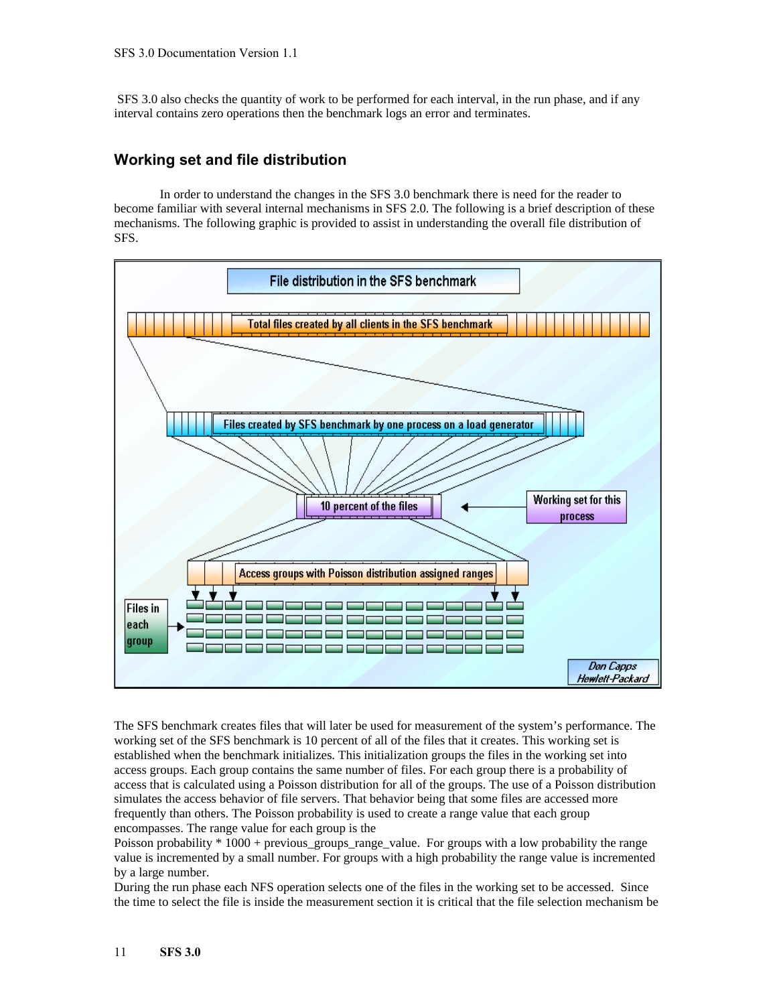SFS 3.0 also checks the quantity of work to be performed for each interval, in the run phase, and if any interval contains zero operations then the benchmark logs an error and terminates.

### **Working set and file distribution**

In order to understand the changes in the SFS 3.0 benchmark there is need for the reader to become familiar with several internal mechanisms in SFS 2.0. The following is a brief description of these mechanisms. The following graphic is provided to assist in understanding the overall file distribution of SFS.



The SFS benchmark creates files that will later be used for measurement of the system's performance. The working set of the SFS benchmark is 10 percent of all of the files that it creates. This working set is established when the benchmark initializes. This initialization groups the files in the working set into access groups. Each group contains the same number of files. For each group there is a probability of access that is calculated using a Poisson distribution for all of the groups. The use of a Poisson distribution simulates the access behavior of file servers. That behavior being that some files are accessed more frequently than others. The Poisson probability is used to create a range value that each group encompasses. The range value for each group is the

Poisson probability \* 1000 + previous\_groups\_range\_value. For groups with a low probability the range value is incremented by a small number. For groups with a high probability the range value is incremented by a large number.

During the run phase each NFS operation selects one of the files in the working set to be accessed. Since the time to select the file is inside the measurement section it is critical that the file selection mechanism be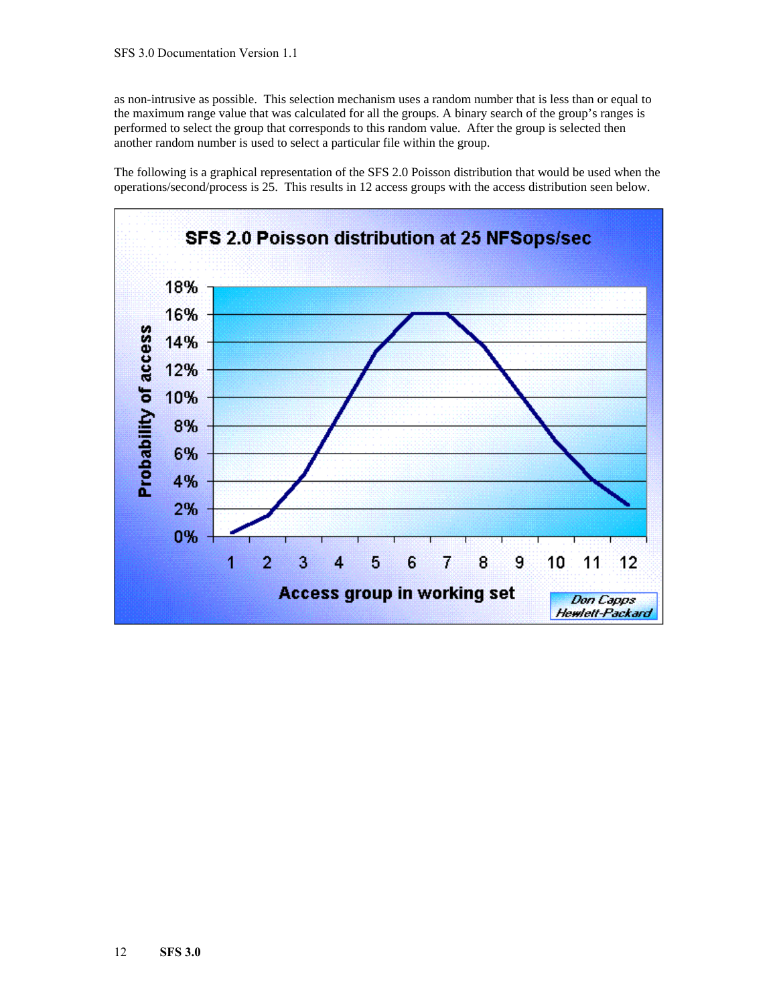as non-intrusive as possible. This selection mechanism uses a random number that is less than or equal to the maximum range value that was calculated for all the groups. A binary search of the group's ranges is performed to select the group that corresponds to this random value. After the group is selected then another random number is used to select a particular file within the group.

The following is a graphical representation of the SFS 2.0 Poisson distribution that would be used when the operations/second/process is 25. This results in 12 access groups with the access distribution seen below.

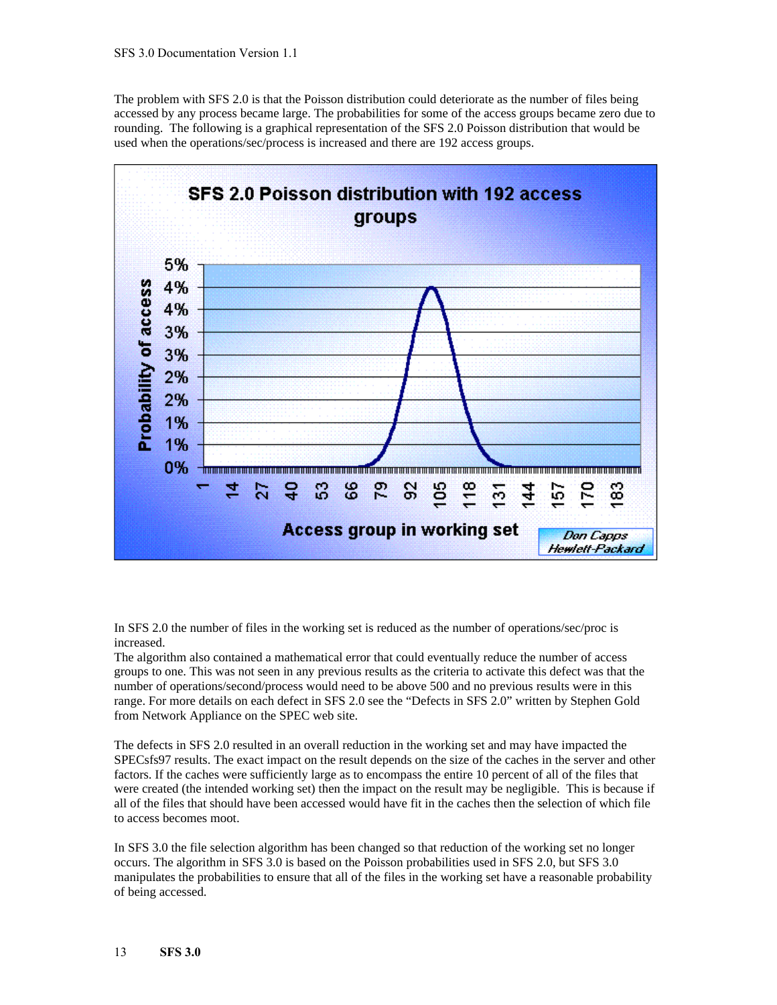The problem with SFS 2.0 is that the Poisson distribution could deteriorate as the number of files being accessed by any process became large. The probabilities for some of the access groups became zero due to rounding. The following is a graphical representation of the SFS 2.0 Poisson distribution that would be used when the operations/sec/process is increased and there are 192 access groups.



In SFS 2.0 the number of files in the working set is reduced as the number of operations/sec/proc is increased.

The algorithm also contained a mathematical error that could eventually reduce the number of access groups to one. This was not seen in any previous results as the criteria to activate this defect was that the number of operations/second/process would need to be above 500 and no previous results were in this range. For more details on each defect in SFS 2.0 see the "Defects in SFS 2.0" written by Stephen Gold from Network Appliance on the SPEC web site.

The defects in SFS 2.0 resulted in an overall reduction in the working set and may have impacted the SPECsfs97 results. The exact impact on the result depends on the size of the caches in the server and other factors. If the caches were sufficiently large as to encompass the entire 10 percent of all of the files that were created (the intended working set) then the impact on the result may be negligible. This is because if all of the files that should have been accessed would have fit in the caches then the selection of which file to access becomes moot.

In SFS 3.0 the file selection algorithm has been changed so that reduction of the working set no longer occurs. The algorithm in SFS 3.0 is based on the Poisson probabilities used in SFS 2.0, but SFS 3.0 manipulates the probabilities to ensure that all of the files in the working set have a reasonable probability of being accessed.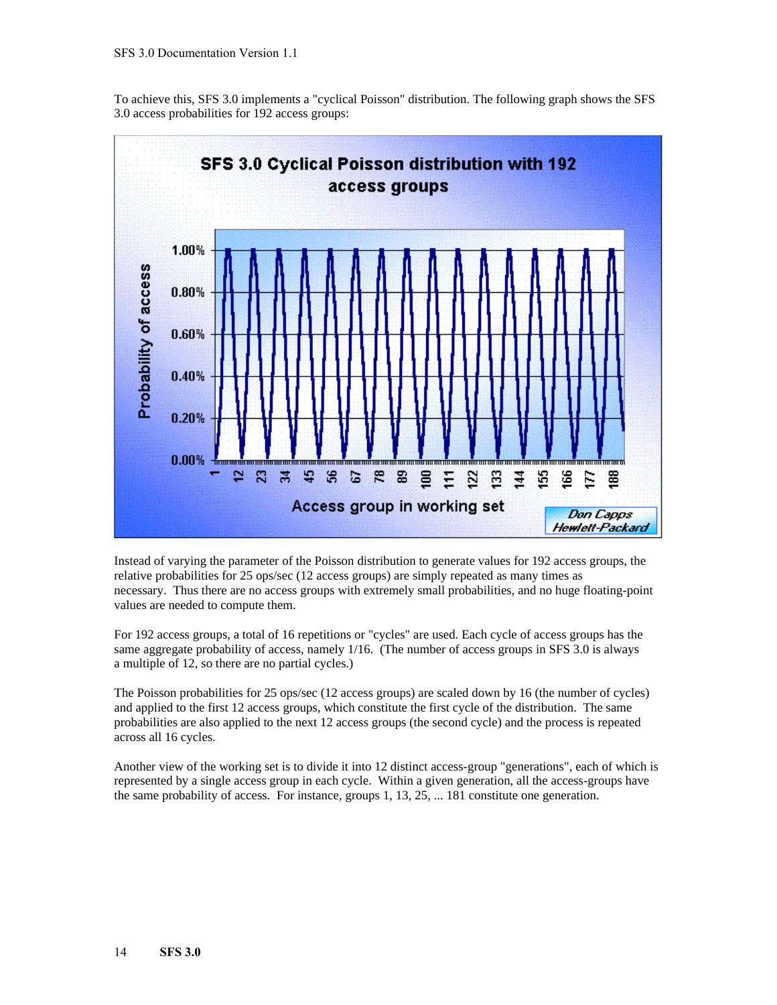To achieve this, SFS 3.0 implements a "cyclical Poisson" distribution. The following graph shows the SFS 3.0 access probabilities for 192 access groups:



Instead of varying the parameter of the Poisson distribution to generate values for 192 access groups, the relative probabilities for 25 ops/sec (12 access groups) are simply repeated as many times as necessary. Thus there are no access groups with extremely small probabilities, and no huge floating-point values are needed to compute them.

For 192 access groups, a total of 16 repetitions or "cycles" are used. Each cycle of access groups has the same aggregate probability of access, namely 1/16. (The number of access groups in SFS 3.0 is always a multiple of 12, so there are no partial cycles.)

The Poisson probabilities for 25 ops/sec (12 access groups) are scaled down by 16 (the number of cycles) and applied to the first 12 access groups, which constitute the first cycle of the distribution. The same probabilities are also applied to the next 12 access groups (the second cycle) and the process is repeated across all 16 cycles.

Another view of the working set is to divide it into 12 distinct access-group "generations", each of which is represented by a single access group in each cycle. Within a given generation, all the access-groups have the same probability of access. For instance, groups 1, 13, 25, ... 181 constitute one generation.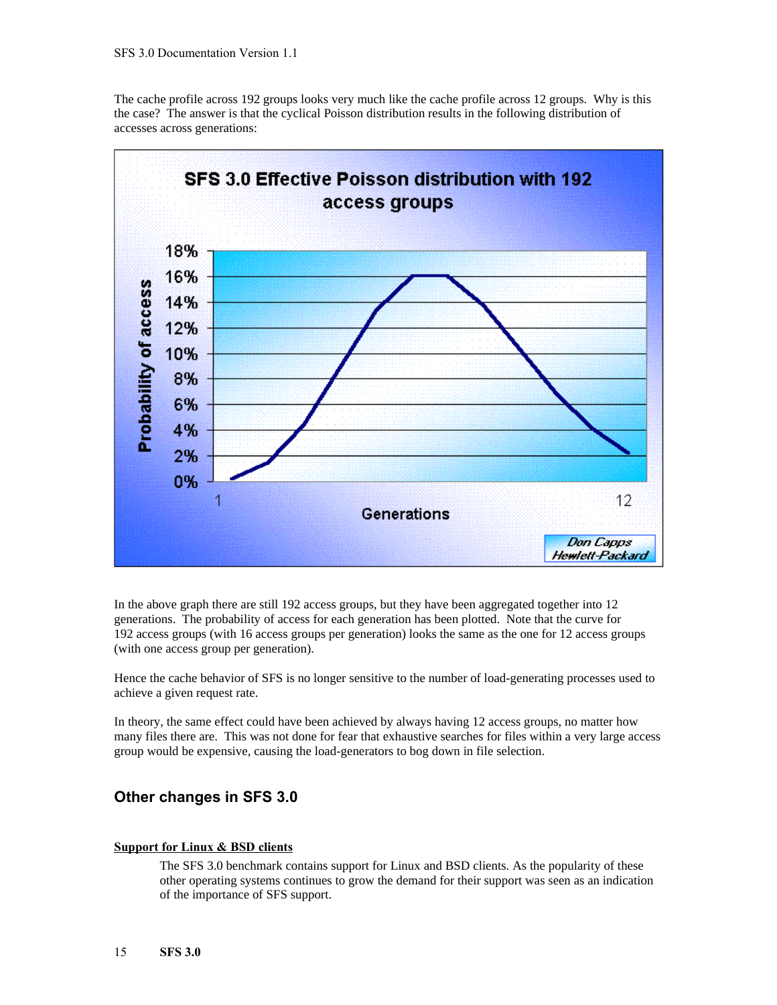The cache profile across 192 groups looks very much like the cache profile across 12 groups. Why is this the case? The answer is that the cyclical Poisson distribution results in the following distribution of accesses across generations:



In the above graph there are still 192 access groups, but they have been aggregated together into 12 generations. The probability of access for each generation has been plotted. Note that the curve for 192 access groups (with 16 access groups per generation) looks the same as the one for 12 access groups (with one access group per generation).

Hence the cache behavior of SFS is no longer sensitive to the number of load-generating processes used to achieve a given request rate.

In theory, the same effect could have been achieved by always having 12 access groups, no matter how many files there are. This was not done for fear that exhaustive searches for files within a very large access group would be expensive, causing the load-generators to bog down in file selection.

### **Other changes in SFS 3.0**

#### **Support for Linux & BSD clients**

The SFS 3.0 benchmark contains support for Linux and BSD clients. As the popularity of these other operating systems continues to grow the demand for their support was seen as an indication of the importance of SFS support.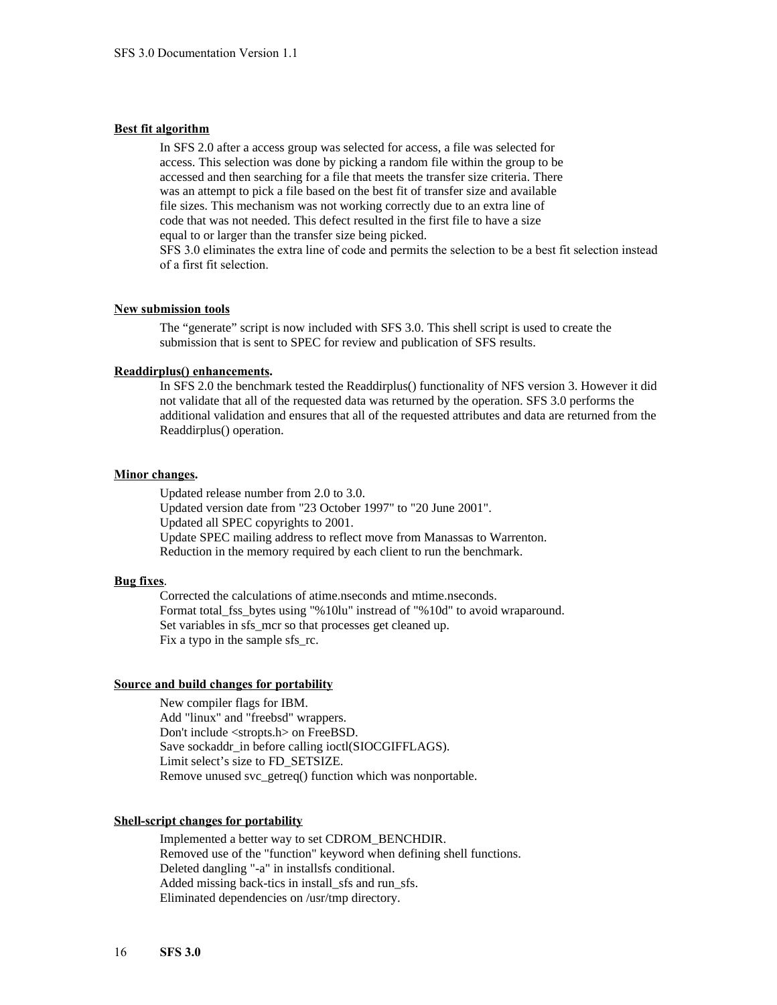#### **Best fit algorithm**

In SFS 2.0 after a access group was selected for access, a file was selected for access. This selection was done by picking a random file within the group to be accessed and then searching for a file that meets the transfer size criteria. There was an attempt to pick a file based on the best fit of transfer size and available file sizes. This mechanism was not working correctly due to an extra line of code that was not needed. This defect resulted in the first file to have a size equal to or larger than the transfer size being picked. SFS 3.0 eliminates the extra line of code and permits the selection to be a best fit selection instead

of a first fit selection.

#### **New submission tools**

The "generate" script is now included with SFS 3.0. This shell script is used to create the submission that is sent to SPEC for review and publication of SFS results.

#### **Readdirplus() enhancements.**

In SFS 2.0 the benchmark tested the Readdirplus() functionality of NFS version 3. However it did not validate that all of the requested data was returned by the operation. SFS 3.0 performs the additional validation and ensures that all of the requested attributes and data are returned from the Readdirplus() operation.

#### **Minor changes.**

Updated release number from 2.0 to 3.0. Updated version date from "23 October 1997" to "20 June 2001". Updated all SPEC copyrights to 2001. Update SPEC mailing address to reflect move from Manassas to Warrenton. Reduction in the memory required by each client to run the benchmark.

#### **Bug fixes**.

Corrected the calculations of atime.nseconds and mtime.nseconds. Format total\_fss\_bytes using "%10lu" instread of "%10d" to avoid wraparound. Set variables in sfs\_mcr so that processes get cleaned up. Fix a typo in the sample sfs\_rc.

#### **Source and build changes for portability**

New compiler flags for IBM. Add "linux" and "freebsd" wrappers. Don't include <stropts.h> on FreeBSD. Save sockaddr\_in before calling ioctl(SIOCGIFFLAGS). Limit select's size to FD\_SETSIZE. Remove unused svc\_getreq() function which was nonportable.

#### **Shell-script changes for portability**

Implemented a better way to set CDROM\_BENCHDIR. Removed use of the "function" keyword when defining shell functions. Deleted dangling "-a" in installsfs conditional. Added missing back-tics in install sfs and run sfs. Eliminated dependencies on /usr/tmp directory.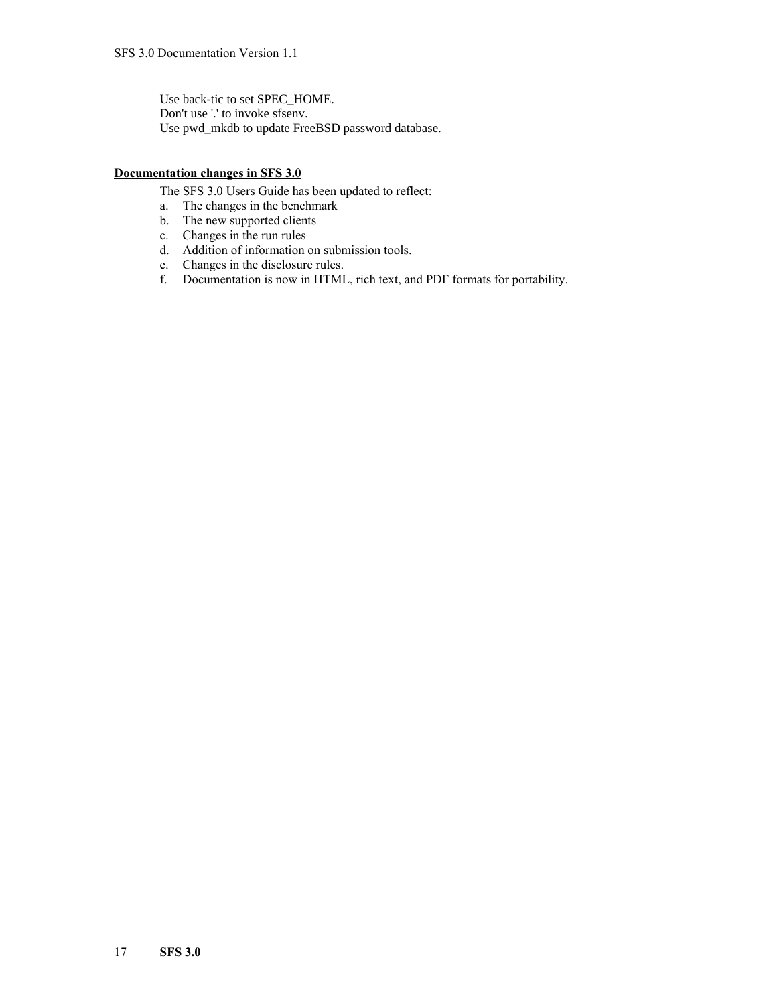Use back-tic to set SPEC\_HOME. Don't use '.' to invoke sfsenv. Use pwd\_mkdb to update FreeBSD password database.

#### **Documentation changes in SFS 3.0**

The SFS 3.0 Users Guide has been updated to reflect:

- a. The changes in the benchmark
- b. The new supported clients
- c. Changes in the run rules
- d. Addition of information on submission tools.
- e. Changes in the disclosure rules.
- f. Documentation is now in HTML, rich text, and PDF formats for portability.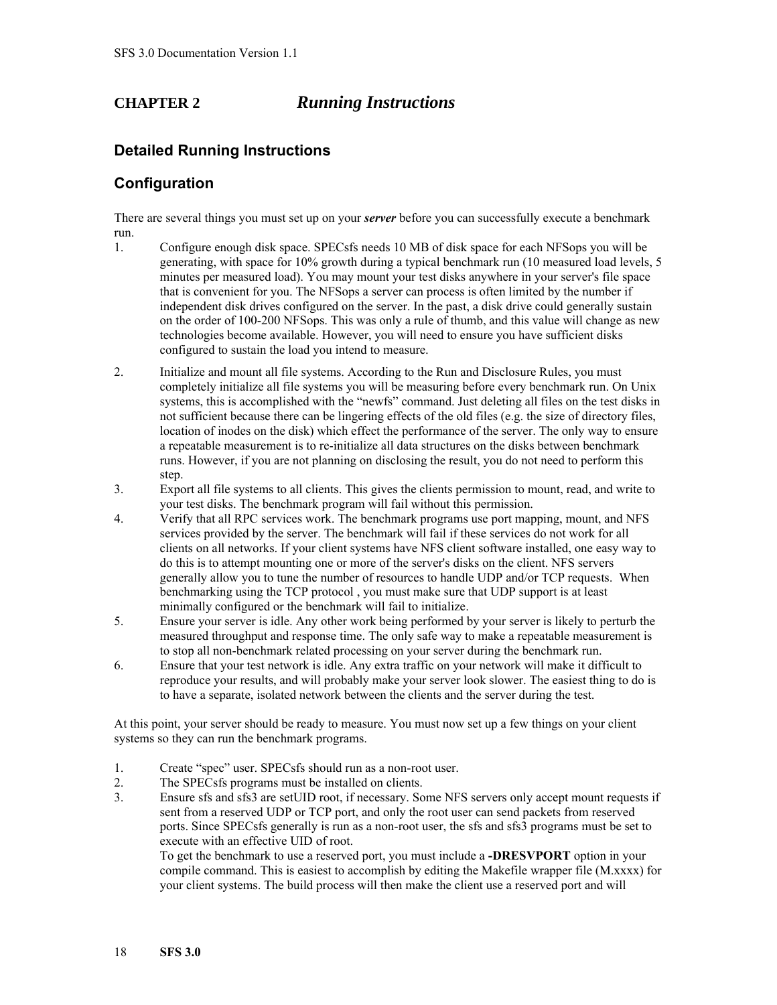### **CHAPTER 2** *Running Instructions*

### **Detailed Running Instructions**

### **Configuration**

There are several things you must set up on your *server* before you can successfully execute a benchmark run.

- 1. Configure enough disk space. SPECsfs needs 10 MB of disk space for each NFSops you will be generating, with space for 10% growth during a typical benchmark run (10 measured load levels, 5 minutes per measured load). You may mount your test disks anywhere in your server's file space that is convenient for you. The NFSops a server can process is often limited by the number if independent disk drives configured on the server. In the past, a disk drive could generally sustain on the order of 100-200 NFSops. This was only a rule of thumb, and this value will change as new technologies become available. However, you will need to ensure you have sufficient disks configured to sustain the load you intend to measure.
- 2. Initialize and mount all file systems. According to the Run and Disclosure Rules, you must completely initialize all file systems you will be measuring before every benchmark run. On Unix systems, this is accomplished with the "newfs" command. Just deleting all files on the test disks in not sufficient because there can be lingering effects of the old files (e.g. the size of directory files, location of inodes on the disk) which effect the performance of the server. The only way to ensure a repeatable measurement is to re-initialize all data structures on the disks between benchmark runs. However, if you are not planning on disclosing the result, you do not need to perform this step.
- 3. Export all file systems to all clients. This gives the clients permission to mount, read, and write to your test disks. The benchmark program will fail without this permission.
- 4. Verify that all RPC services work. The benchmark programs use port mapping, mount, and NFS services provided by the server. The benchmark will fail if these services do not work for all clients on all networks. If your client systems have NFS client software installed, one easy way to do this is to attempt mounting one or more of the server's disks on the client. NFS servers generally allow you to tune the number of resources to handle UDP and/or TCP requests. When benchmarking using the TCP protocol , you must make sure that UDP support is at least minimally configured or the benchmark will fail to initialize.
- 5. Ensure your server is idle. Any other work being performed by your server is likely to perturb the measured throughput and response time. The only safe way to make a repeatable measurement is to stop all non-benchmark related processing on your server during the benchmark run.
- 6. Ensure that your test network is idle. Any extra traffic on your network will make it difficult to reproduce your results, and will probably make your server look slower. The easiest thing to do is to have a separate, isolated network between the clients and the server during the test.

At this point, your server should be ready to measure. You must now set up a few things on your client systems so they can run the benchmark programs.

- 1. Create "spec" user. SPECsfs should run as a non-root user.
- 2. The SPECsfs programs must be installed on clients.
- 3. Ensure sfs and sfs3 are setUID root, if necessary. Some NFS servers only accept mount requests if sent from a reserved UDP or TCP port, and only the root user can send packets from reserved ports. Since SPECsfs generally is run as a non-root user, the sfs and sfs3 programs must be set to execute with an effective UID of root.

To get the benchmark to use a reserved port, you must include a **-DRESVPORT** option in your compile command. This is easiest to accomplish by editing the Makefile wrapper file (M.xxxx) for your client systems. The build process will then make the client use a reserved port and will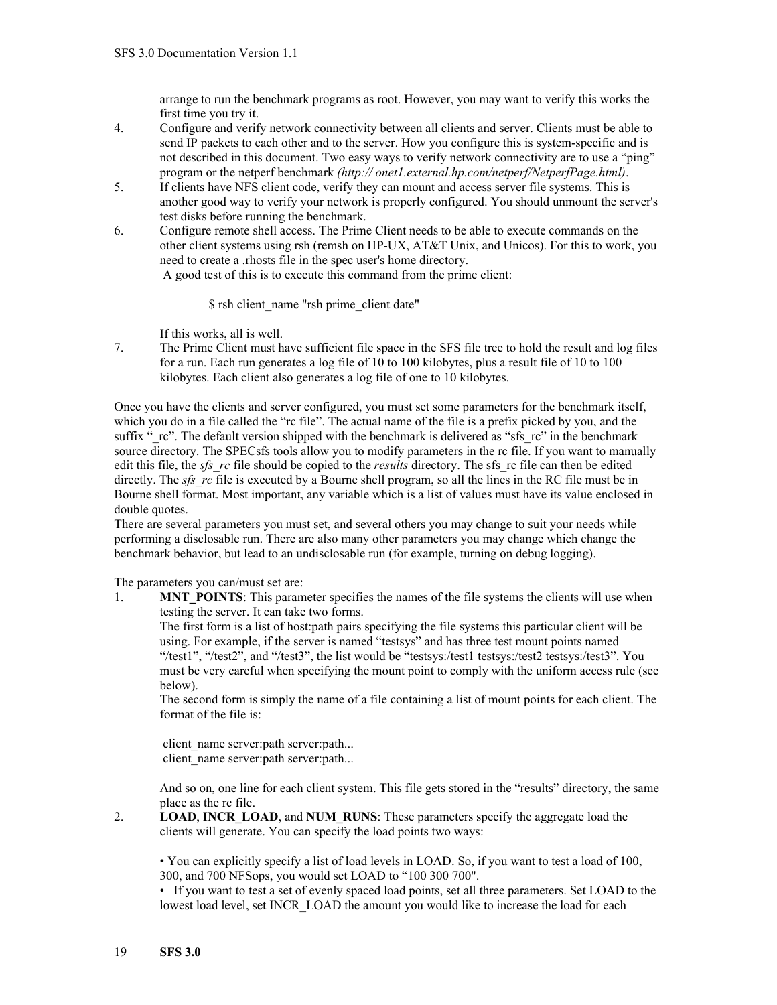arrange to run the benchmark programs as root. However, you may want to verify this works the first time you try it.

- 4. Configure and verify network connectivity between all clients and server. Clients must be able to send IP packets to each other and to the server. How you configure this is system-specific and is not described in this document. Two easy ways to verify network connectivity are to use a "ping" program or the netperf benchmark *(http:// onet1.external.hp.com/netperf/NetperfPage.html)*.
- 5. If clients have NFS client code, verify they can mount and access server file systems. This is another good way to verify your network is properly configured. You should unmount the server's test disks before running the benchmark.
- 6. Configure remote shell access. The Prime Client needs to be able to execute commands on the other client systems using rsh (remsh on HP-UX, AT&T Unix, and Unicos). For this to work, you need to create a .rhosts file in the spec user's home directory. A good test of this is to execute this command from the prime client:

\$ rsh client\_name "rsh prime\_client date"

If this works, all is well.

7. The Prime Client must have sufficient file space in the SFS file tree to hold the result and log files for a run. Each run generates a log file of 10 to 100 kilobytes, plus a result file of 10 to 100 kilobytes. Each client also generates a log file of one to 10 kilobytes.

Once you have the clients and server configured, you must set some parameters for the benchmark itself, which you do in a file called the "rc file". The actual name of the file is a prefix picked by you, and the suffix " rc". The default version shipped with the benchmark is delivered as "sfs\_rc" in the benchmark source directory. The SPECsfs tools allow you to modify parameters in the rc file. If you want to manually edit this file, the *sfs\_rc* file should be copied to the *results* directory. The sfs\_rc file can then be edited directly. The *sfs* rc file is executed by a Bourne shell program, so all the lines in the RC file must be in Bourne shell format. Most important, any variable which is a list of values must have its value enclosed in double quotes.

There are several parameters you must set, and several others you may change to suit your needs while performing a disclosable run. There are also many other parameters you may change which change the benchmark behavior, but lead to an undisclosable run (for example, turning on debug logging).

The parameters you can/must set are:

1. **MNT POINTS**: This parameter specifies the names of the file systems the clients will use when testing the server. It can take two forms.

The first form is a list of host:path pairs specifying the file systems this particular client will be using. For example, if the server is named "testsys" and has three test mount points named "/test1", "/test2", and "/test3", the list would be "testsys:/test1 testsys:/test2 testsys:/test3". You must be very careful when specifying the mount point to comply with the uniform access rule (see below).

The second form is simply the name of a file containing a list of mount points for each client. The format of the file is:

client name server:path server:path... client name server:path server:path...

And so on, one line for each client system. This file gets stored in the "results" directory, the same place as the rc file.

2. **LOAD**, **INCR\_LOAD**, and **NUM\_RUNS**: These parameters specify the aggregate load the clients will generate. You can specify the load points two ways:

• You can explicitly specify a list of load levels in LOAD. So, if you want to test a load of 100, 300, and 700 NFSops, you would set LOAD to "100 300 700".

• If you want to test a set of evenly spaced load points, set all three parameters. Set LOAD to the lowest load level, set INCR\_LOAD the amount you would like to increase the load for each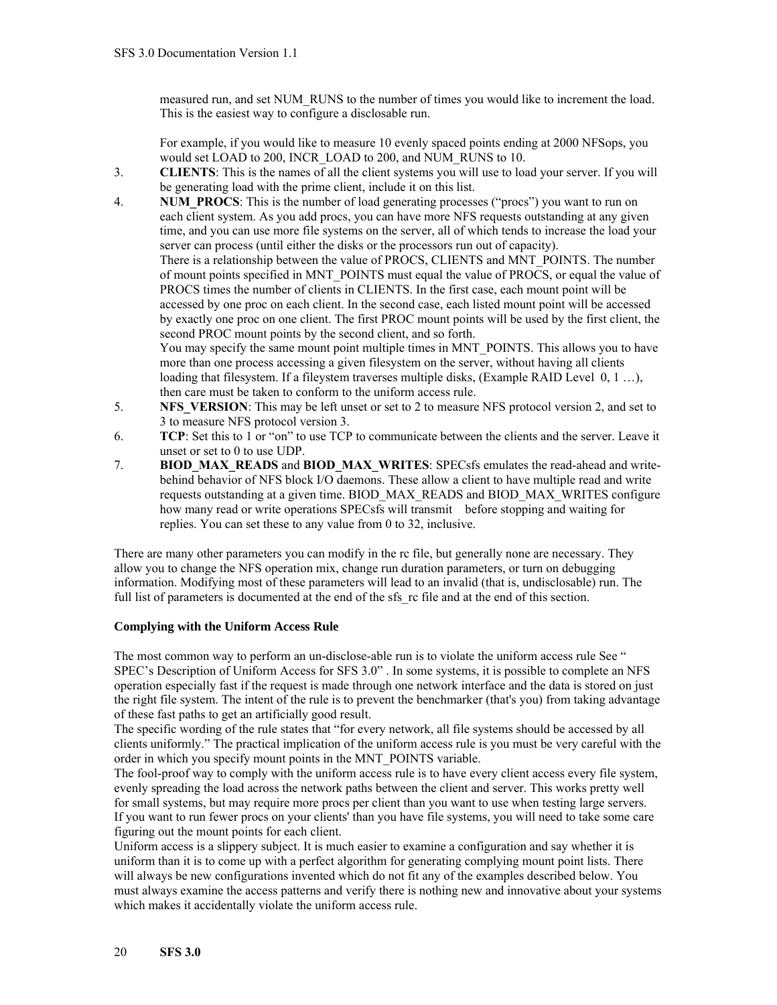measured run, and set NUM\_RUNS to the number of times you would like to increment the load. This is the easiest way to configure a disclosable run.

For example, if you would like to measure 10 evenly spaced points ending at 2000 NFSops, you would set LOAD to 200, INCR\_LOAD to 200, and NUM\_RUNS to 10.

- 3. **CLIENTS**: This is the names of all the client systems you will use to load your server. If you will be generating load with the prime client, include it on this list.
- 4. **NUM\_PROCS**: This is the number of load generating processes ("procs") you want to run on each client system. As you add procs, you can have more NFS requests outstanding at any given time, and you can use more file systems on the server, all of which tends to increase the load your server can process (until either the disks or the processors run out of capacity). There is a relationship between the value of PROCS, CLIENTS and MNT\_POINTS. The number of mount points specified in MNT\_POINTS must equal the value of PROCS, or equal the value of PROCS times the number of clients in CLIENTS. In the first case, each mount point will be accessed by one proc on each client. In the second case, each listed mount point will be accessed by exactly one proc on one client. The first PROC mount points will be used by the first client, the second PROC mount points by the second client, and so forth. You may specify the same mount point multiple times in MNT\_POINTS. This allows you to have more than one process accessing a given filesystem on the server, without having all clients loading that filesystem. If a fileystem traverses multiple disks, (Example RAID Level 0, 1 ...), then care must be taken to conform to the uniform access rule.
- 5. **NFS\_VERSION**: This may be left unset or set to 2 to measure NFS protocol version 2, and set to 3 to measure NFS protocol version 3.
- 6. **TCP**: Set this to 1 or "on" to use TCP to communicate between the clients and the server. Leave it unset or set to 0 to use UDP.
- 7. **BIOD\_MAX\_READS** and **BIOD\_MAX\_WRITES**: SPECsfs emulates the read-ahead and writebehind behavior of NFS block I/O daemons. These allow a client to have multiple read and write requests outstanding at a given time. BIOD\_MAX\_READS and BIOD\_MAX\_WRITES configure how many read or write operations SPECsfs will transmit before stopping and waiting for replies. You can set these to any value from 0 to 32, inclusive.

There are many other parameters you can modify in the rc file, but generally none are necessary. They allow you to change the NFS operation mix, change run duration parameters, or turn on debugging information. Modifying most of these parameters will lead to an invalid (that is, undisclosable) run. The full list of parameters is documented at the end of the sfs rc file and at the end of this section.

#### **Complying with the Uniform Access Rule**

The most common way to perform an un-disclose-able run is to violate the uniform access rule See " [SPEC's Description of Uniform Access for SFS 3.0](#page-52-0)" . In some systems, it is possible to complete an NFS operation especially fast if the request is made through one network interface and the data is stored on just the right file system. The intent of the rule is to prevent the benchmarker (that's you) from taking advantage of these fast paths to get an artificially good result.

The specific wording of the rule states that "for every network, all file systems should be accessed by all clients uniformly." The practical implication of the uniform access rule is you must be very careful with the order in which you specify mount points in the MNT\_POINTS variable.

The fool-proof way to comply with the uniform access rule is to have every client access every file system, evenly spreading the load across the network paths between the client and server. This works pretty well for small systems, but may require more procs per client than you want to use when testing large servers. If you want to run fewer procs on your clients' than you have file systems, you will need to take some care figuring out the mount points for each client.

Uniform access is a slippery subject. It is much easier to examine a configuration and say whether it is uniform than it is to come up with a perfect algorithm for generating complying mount point lists. There will always be new configurations invented which do not fit any of the examples described below. You must always examine the access patterns and verify there is nothing new and innovative about your systems which makes it accidentally violate the uniform access rule.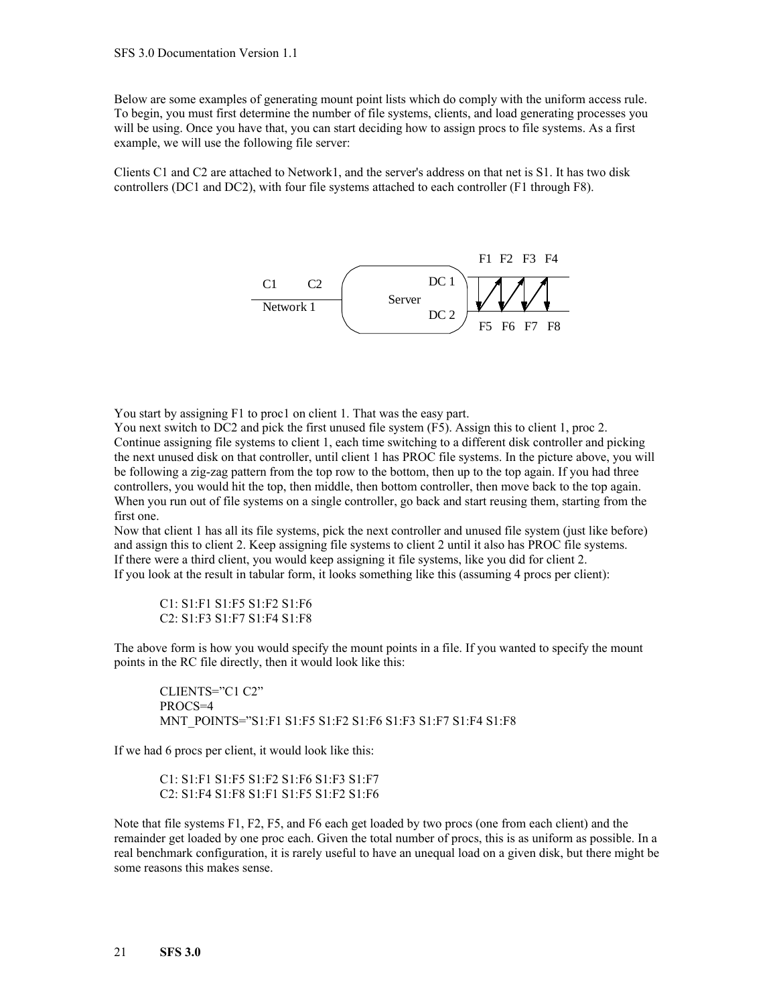Below are some examples of generating mount point lists which do comply with the uniform access rule. To begin, you must first determine the number of file systems, clients, and load generating processes you will be using. Once you have that, you can start deciding how to assign procs to file systems. As a first example, we will use the following file server:

Clients C1 and C2 are attached to Network1, and the server's address on that net is S1. It has two disk controllers (DC1 and DC2), with four file systems attached to each controller (F1 through F8).



You start by assigning F1 to proc1 on client 1. That was the easy part.

You next switch to DC2 and pick the first unused file system (F5). Assign this to client 1, proc 2. Continue assigning file systems to client 1, each time switching to a different disk controller and picking the next unused disk on that controller, until client 1 has PROC file systems. In the picture above, you will be following a zig-zag pattern from the top row to the bottom, then up to the top again. If you had three controllers, you would hit the top, then middle, then bottom controller, then move back to the top again. When you run out of file systems on a single controller, go back and start reusing them, starting from the first one.

Now that client 1 has all its file systems, pick the next controller and unused file system (just like before) and assign this to client 2. Keep assigning file systems to client 2 until it also has PROC file systems. If there were a third client, you would keep assigning it file systems, like you did for client 2. If you look at the result in tabular form, it looks something like this (assuming 4 procs per client):

C1: S1:F1 S1:F5 S1:F2 S1:F6 C2: S1:F3 S1:F7 S1:F4 S1:F8

The above form is how you would specify the mount points in a file. If you wanted to specify the mount points in the RC file directly, then it would look like this:

CLIENTS="C1 C2" PROCS=4 MNT\_POINTS="S1:F1 S1:F5 S1:F2 S1:F6 S1:F3 S1:F7 S1:F4 S1:F8

If we had 6 procs per client, it would look like this:

C1: S1:F1 S1:F5 S1:F2 S1:F6 S1:F3 S1:F7 C2: S1:F4 S1:F8 S1:F1 S1:F5 S1:F2 S1:F6

Note that file systems F1, F2, F5, and F6 each get loaded by two procs (one from each client) and the remainder get loaded by one proc each. Given the total number of procs, this is as uniform as possible. In a real benchmark configuration, it is rarely useful to have an unequal load on a given disk, but there might be some reasons this makes sense.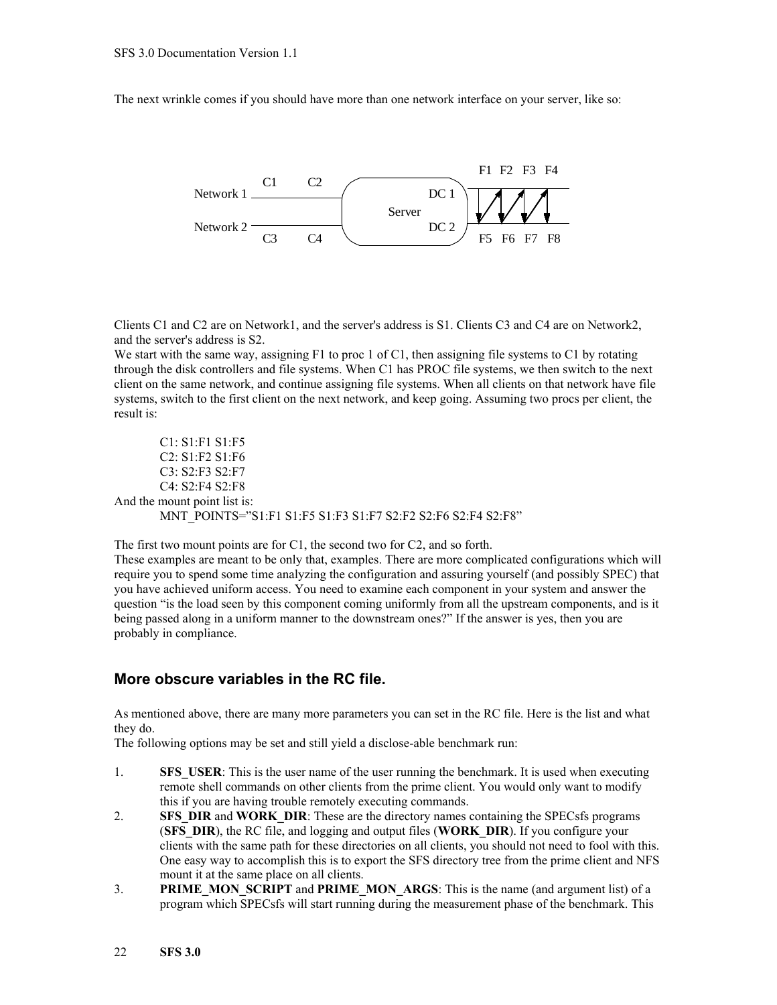The next wrinkle comes if you should have more than one network interface on your server, like so:



Clients C1 and C2 are on Network1, and the server's address is S1. Clients C3 and C4 are on Network2, and the server's address is S2.

We start with the same way, assigning F1 to proc 1 of C1, then assigning file systems to C1 by rotating through the disk controllers and file systems. When C1 has PROC file systems, we then switch to the next client on the same network, and continue assigning file systems. When all clients on that network have file systems, switch to the first client on the next network, and keep going. Assuming two procs per client, the result is:

C1: S1:F1 S1:F5 C2: S1:F2 S1:F6 C3: S2:F3 S2:F7 C4: S2:F4 S2:F8 And the mount point list is: MNT\_POINTS="S1:F1 S1:F5 S1:F3 S1:F7 S2:F2 S2:F6 S2:F4 S2:F8"

The first two mount points are for C1, the second two for C2, and so forth. These examples are meant to be only that, examples. There are more complicated configurations which will require you to spend some time analyzing the configuration and assuring yourself (and possibly SPEC) that you have achieved uniform access. You need to examine each component in your system and answer the question "is the load seen by this component coming uniformly from all the upstream components, and is it being passed along in a uniform manner to the downstream ones?" If the answer is yes, then you are probably in compliance.

### **More obscure variables in the RC file.**

As mentioned above, there are many more parameters you can set in the RC file. Here is the list and what they do.

The following options may be set and still yield a disclose-able benchmark run:

- 1. **SFS USER:** This is the user name of the user running the benchmark. It is used when executing remote shell commands on other clients from the prime client. You would only want to modify this if you are having trouble remotely executing commands.
- 2. **SFS\_DIR** and **WORK\_DIR**: These are the directory names containing the SPECsfs programs (**SFS\_DIR**), the RC file, and logging and output files (**WORK\_DIR**). If you configure your clients with the same path for these directories on all clients, you should not need to fool with this. One easy way to accomplish this is to export the SFS directory tree from the prime client and NFS mount it at the same place on all clients.
- 3. **PRIME\_MON\_SCRIPT** and **PRIME\_MON\_ARGS**: This is the name (and argument list) of a program which SPECsfs will start running during the measurement phase of the benchmark. This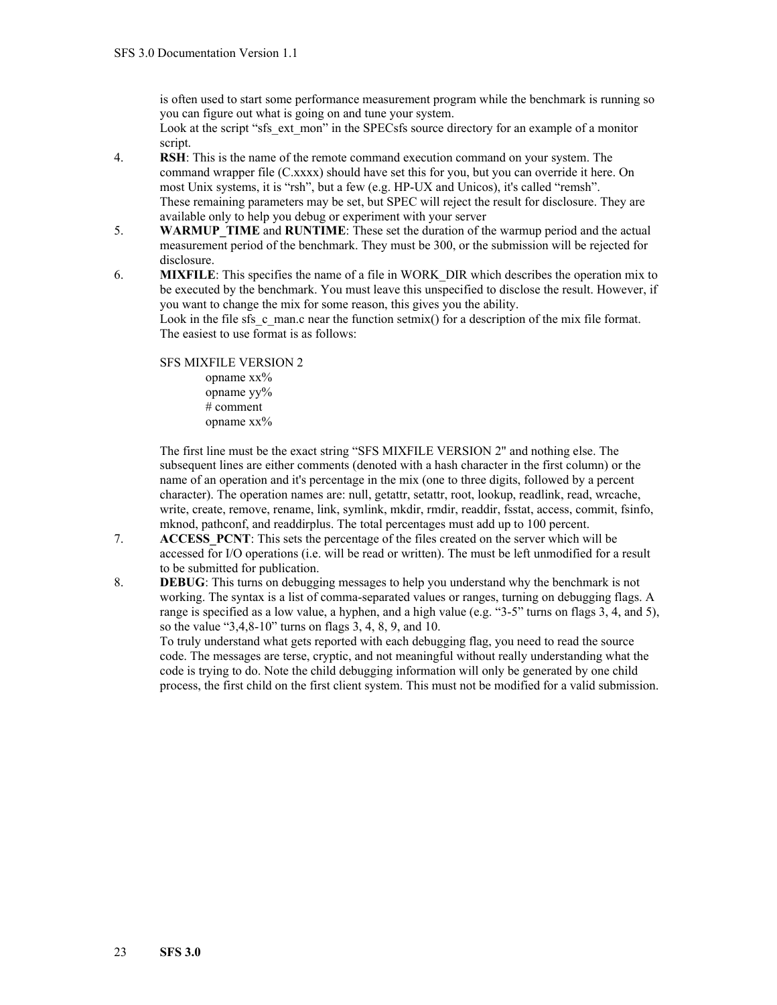is often used to start some performance measurement program while the benchmark is running so you can figure out what is going on and tune your system.

Look at the script "sfs\_ext\_mon" in the SPECsfs source directory for an example of a monitor script.

- 4. **RSH**: This is the name of the remote command execution command on your system. The command wrapper file (C.xxxx) should have set this for you, but you can override it here. On most Unix systems, it is "rsh", but a few (e.g. HP-UX and Unicos), it's called "remsh". These remaining parameters may be set, but SPEC will reject the result for disclosure. They are available only to help you debug or experiment with your server
- 5. **WARMUP\_TIME** and **RUNTIME**: These set the duration of the warmup period and the actual measurement period of the benchmark. They must be 300, or the submission will be rejected for disclosure.
- 6. **MIXFILE**: This specifies the name of a file in WORK\_DIR which describes the operation mix to be executed by the benchmark. You must leave this unspecified to disclose the result. However, if you want to change the mix for some reason, this gives you the ability.

Look in the file sfs  $c$  man.c near the function setmix() for a description of the mix file format. The easiest to use format is as follows:

SFS MIXFILE VERSION 2 opname xx% opname yy% # comment opname xx%

The first line must be the exact string "SFS MIXFILE VERSION 2" and nothing else. The subsequent lines are either comments (denoted with a hash character in the first column) or the name of an operation and it's percentage in the mix (one to three digits, followed by a percent character). The operation names are: null, getattr, setattr, root, lookup, readlink, read, wrcache, write, create, remove, rename, link, symlink, mkdir, rmdir, readdir, fsstat, access, commit, fsinfo, mknod, pathconf, and readdirplus. The total percentages must add up to 100 percent.

- 7. **ACCESS PCNT**: This sets the percentage of the files created on the server which will be accessed for I/O operations (i.e. will be read or written). The must be left unmodified for a result to be submitted for publication.
- 8. **DEBUG**: This turns on debugging messages to help you understand why the benchmark is not working. The syntax is a list of comma-separated values or ranges, turning on debugging flags. A range is specified as a low value, a hyphen, and a high value (e.g. "3-5" turns on flags 3, 4, and 5), so the value "3,4,8-10" turns on flags 3, 4, 8, 9, and 10.

To truly understand what gets reported with each debugging flag, you need to read the source code. The messages are terse, cryptic, and not meaningful without really understanding what the code is trying to do. Note the child debugging information will only be generated by one child process, the first child on the first client system. This must not be modified for a valid submission.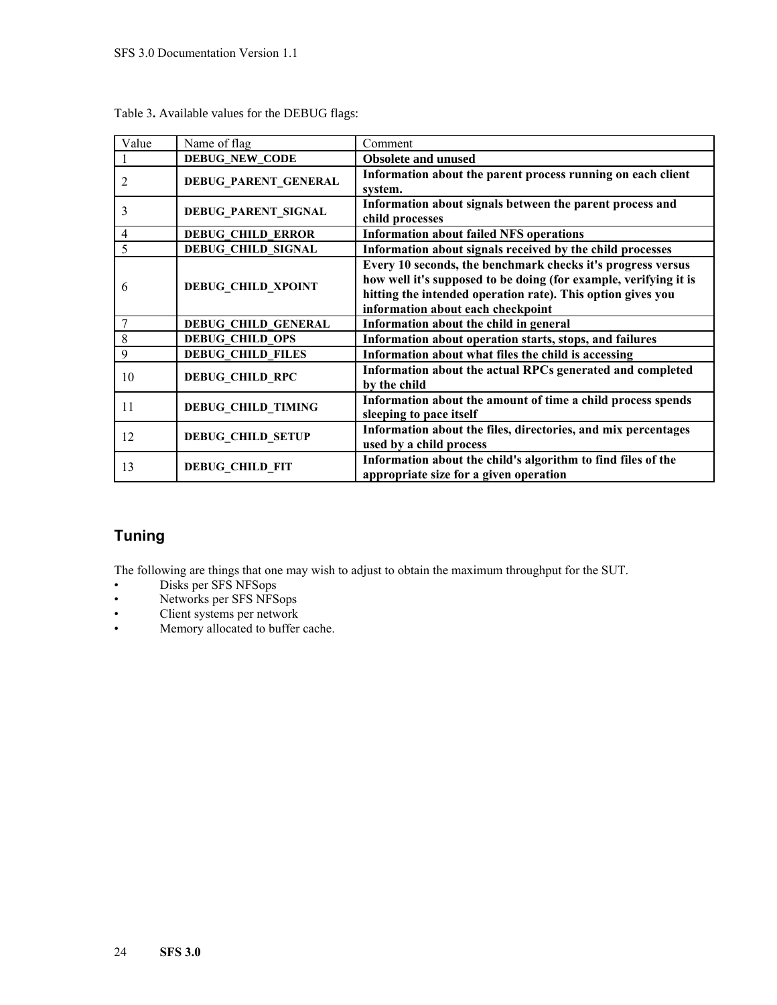| Value          | Name of flag               | Comment                                                                                                                                                                                                                             |
|----------------|----------------------------|-------------------------------------------------------------------------------------------------------------------------------------------------------------------------------------------------------------------------------------|
|                | <b>DEBUG_NEW_CODE</b>      | <b>Obsolete and unused</b>                                                                                                                                                                                                          |
| $\overline{2}$ | DEBUG_PARENT_GENERAL       | Information about the parent process running on each client<br>system.                                                                                                                                                              |
| 3              | DEBUG_PARENT_SIGNAL        | Information about signals between the parent process and<br>child processes                                                                                                                                                         |
| $\overline{4}$ | <b>DEBUG CHILD ERROR</b>   | <b>Information about failed NFS operations</b>                                                                                                                                                                                      |
| 5              | <b>DEBUG CHILD SIGNAL</b>  | Information about signals received by the child processes                                                                                                                                                                           |
| 6              | <b>DEBUG_CHILD_XPOINT</b>  | Every 10 seconds, the benchmark checks it's progress versus<br>how well it's supposed to be doing (for example, verifying it is<br>hitting the intended operation rate). This option gives you<br>information about each checkpoint |
|                | <b>DEBUG CHILD GENERAL</b> | Information about the child in general                                                                                                                                                                                              |
| 8              | <b>DEBUG CHILD OPS</b>     | Information about operation starts, stops, and failures                                                                                                                                                                             |
| 9              | <b>DEBUG CHILD FILES</b>   | Information about what files the child is accessing                                                                                                                                                                                 |
| 10             | <b>DEBUG_CHILD_RPC</b>     | Information about the actual RPCs generated and completed<br>by the child                                                                                                                                                           |
| 11             | <b>DEBUG_CHILD_TIMING</b>  | Information about the amount of time a child process spends<br>sleeping to pace itself                                                                                                                                              |
| 12             | <b>DEBUG_CHILD_SETUP</b>   | Information about the files, directories, and mix percentages<br>used by a child process                                                                                                                                            |
| 13             | DEBUG_CHILD_FIT            | Information about the child's algorithm to find files of the<br>appropriate size for a given operation                                                                                                                              |

Table 3**.** Available values for the DEBUG flags:

### **Tuning**

The following are things that one may wish to adjust to obtain the maximum throughput for the SUT.

- Disks per SFS NFSops
- Networks per SFS NFSops
- Client systems per network<br>• Memory allocated to buffer
- Memory allocated to buffer cache.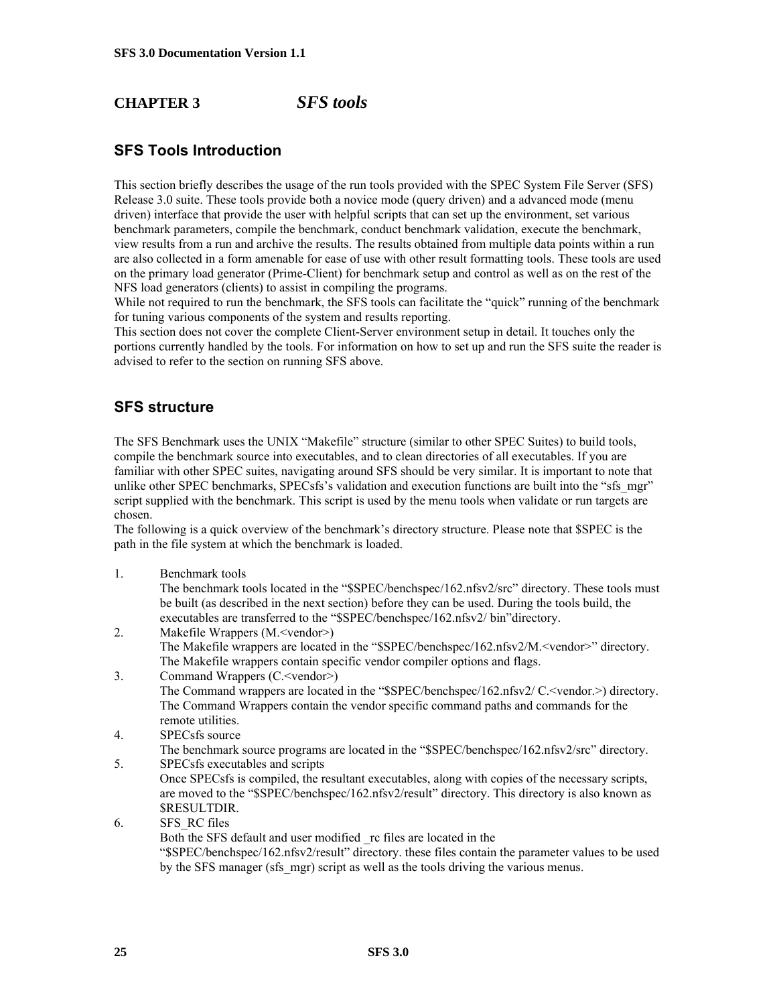### **CHAPTER 3** *SFS tools*

### **SFS Tools Introduction**

This section briefly describes the usage of the run tools provided with the SPEC System File Server (SFS) Release 3.0 suite. These tools provide both a novice mode (query driven) and a advanced mode (menu driven) interface that provide the user with helpful scripts that can set up the environment, set various benchmark parameters, compile the benchmark, conduct benchmark validation, execute the benchmark, view results from a run and archive the results. The results obtained from multiple data points within a run are also collected in a form amenable for ease of use with other result formatting tools. These tools are used on the primary load generator (Prime-Client) for benchmark setup and control as well as on the rest of the NFS load generators (clients) to assist in compiling the programs.

While not required to run the benchmark, the SFS tools can facilitate the "quick" running of the benchmark for tuning various components of the system and results reporting.

This section does not cover the complete Client-Server environment setup in detail. It touches only the portions currently handled by the tools. For information on how to set up and run the SFS suite the reader is advised to refer to the section on running SFS above.

### **SFS structure**

The SFS Benchmark uses the UNIX "Makefile" structure (similar to other SPEC Suites) to build tools, compile the benchmark source into executables, and to clean directories of all executables. If you are familiar with other SPEC suites, navigating around SFS should be very similar. It is important to note that unlike other SPEC benchmarks, SPECsfs's validation and execution functions are built into the "sfs\_mgr" script supplied with the benchmark. This script is used by the menu tools when validate or run targets are chosen.

The following is a quick overview of the benchmark's directory structure. Please note that \$SPEC is the path in the file system at which the benchmark is loaded.

1. Benchmark tools

The benchmark tools located in the "\$SPEC/benchspec/162.nfsv2/src" directory. These tools must be built (as described in the next section) before they can be used. During the tools build, the executables are transferred to the "\$SPEC/benchspec/162.nfsv2/ bin"directory.

- 2. Makefile Wrappers (M.<vendor>) The Makefile wrappers are located in the "\$SPEC/benchspec/162.nfsv2/M.<vendor>" directory. The Makefile wrappers contain specific vendor compiler options and flags.
- 3. Command Wrappers (C.<vendor>) The Command wrappers are located in the "\$SPEC/benchspec/162.nfsv2/ C.<vendor.>) directory. The Command Wrappers contain the vendor specific command paths and commands for the remote utilities.
- 4. SPECsfs source
- The benchmark source programs are located in the "\$SPEC/benchspec/162.nfsv2/src" directory. 5. SPECsfs executables and scripts
	- Once SPECsfs is compiled, the resultant executables, along with copies of the necessary scripts, are moved to the "\$SPEC/benchspec/162.nfsv2/result" directory. This directory is also known as \$RESULTDIR.
- 6. SFS\_RC files

Both the SFS default and user modified \_rc files are located in the

"\$SPEC/benchspec/162.nfsv2/result" directory. these files contain the parameter values to be used by the SFS manager (sfs\_mgr) script as well as the tools driving the various menus.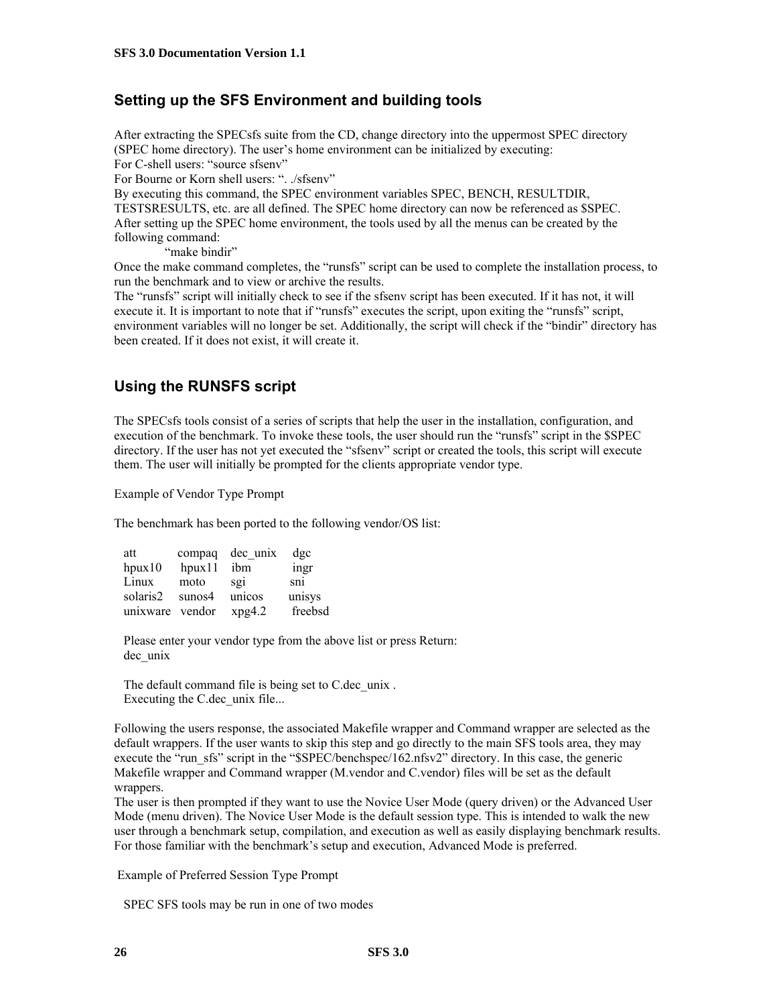### **Setting up the SFS Environment and building tools**

After extracting the SPECsfs suite from the CD, change directory into the uppermost SPEC directory (SPEC home directory). The user's home environment can be initialized by executing: For C-shell users: "source sfsenv" For Bourne or Korn shell users: ". ./sfsenv" By executing this command, the SPEC environment variables SPEC, BENCH, RESULTDIR,

TESTSRESULTS, etc. are all defined. The SPEC home directory can now be referenced as \$SPEC. After setting up the SPEC home environment, the tools used by all the menus can be created by the following command:

"make bindir"

Once the make command completes, the "runsfs" script can be used to complete the installation process, to run the benchmark and to view or archive the results.

The "runsfs" script will initially check to see if the sfsenv script has been executed. If it has not, it will execute it. It is important to note that if "runsfs" executes the script, upon exiting the "runsfs" script, environment variables will no longer be set. Additionally, the script will check if the "bindir" directory has been created. If it does not exist, it will create it.

### **Using the RUNSFS script**

The SPECsfs tools consist of a series of scripts that help the user in the installation, configuration, and execution of the benchmark. To invoke these tools, the user should run the "runsfs" script in the \$SPEC directory. If the user has not yet executed the "sfsenv" script or created the tools, this script will execute them. The user will initially be prompted for the clients appropriate vendor type.

Example of Vendor Type Prompt

The benchmark has been ported to the following vendor/OS list:

| att          | compaq | dec unix | dgc     |
|--------------|--------|----------|---------|
| $h$ pux $10$ | hpux11 | ibm      | ingr    |
| Linux        | moto   | SQ1      | sni     |
| solaris2     | sunos4 | unicos   | unisys  |
| unixware     | vendor | xpg4.2   | freebsd |

 Please enter your vendor type from the above list or press Return: dec\_unix

 The default command file is being set to C.dec\_unix . Executing the C.dec unix file...

Following the users response, the associated Makefile wrapper and Command wrapper are selected as the default wrappers. If the user wants to skip this step and go directly to the main SFS tools area, they may execute the "run\_sfs" script in the "\$SPEC/benchspec/162.nfsv2" directory. In this case, the generic Makefile wrapper and Command wrapper (M.vendor and C.vendor) files will be set as the default wrappers.

The user is then prompted if they want to use the Novice User Mode (query driven) or the Advanced User Mode (menu driven). The Novice User Mode is the default session type. This is intended to walk the new user through a benchmark setup, compilation, and execution as well as easily displaying benchmark results. For those familiar with the benchmark's setup and execution, Advanced Mode is preferred.

Example of Preferred Session Type Prompt

SPEC SFS tools may be run in one of two modes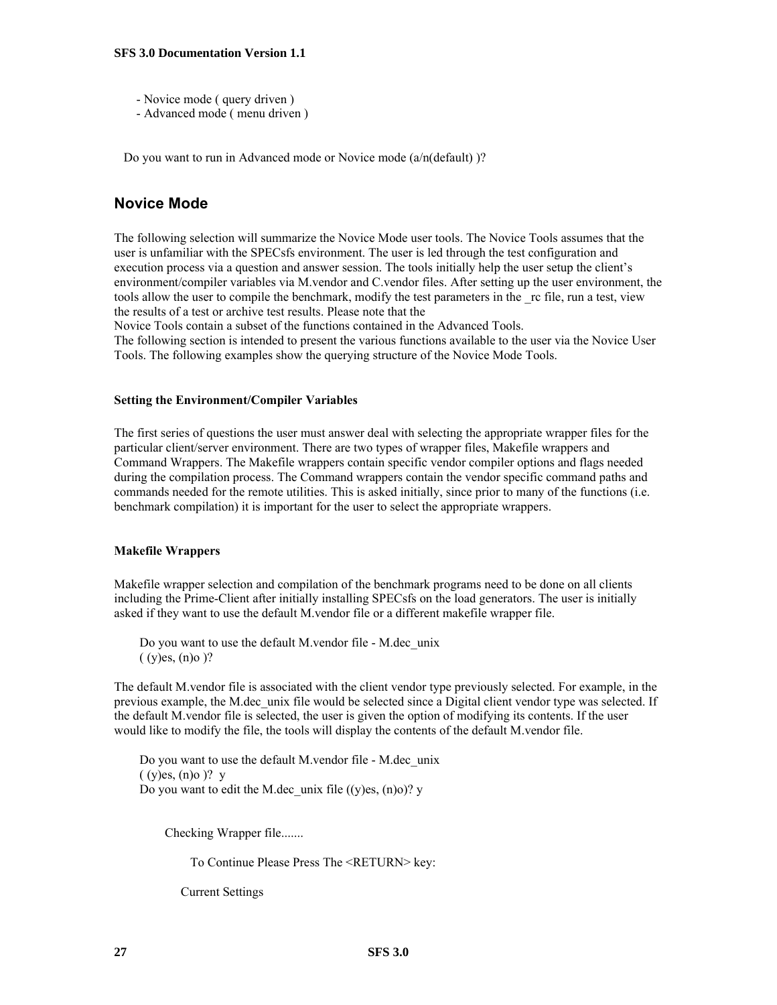- Novice mode ( query driven )
- Advanced mode ( menu driven )

Do you want to run in Advanced mode or Novice mode (a/n(default) )?

### **Novice Mode**

The following selection will summarize the Novice Mode user tools. The Novice Tools assumes that the user is unfamiliar with the SPECsfs environment. The user is led through the test configuration and execution process via a question and answer session. The tools initially help the user setup the client's environment/compiler variables via M.vendor and C.vendor files. After setting up the user environment, the tools allow the user to compile the benchmark, modify the test parameters in the rc file, run a test, view the results of a test or archive test results. Please note that the

Novice Tools contain a subset of the functions contained in the Advanced Tools.

The following section is intended to present the various functions available to the user via the Novice User Tools. The following examples show the querying structure of the Novice Mode Tools.

#### **Setting the Environment/Compiler Variables**

The first series of questions the user must answer deal with selecting the appropriate wrapper files for the particular client/server environment. There are two types of wrapper files, Makefile wrappers and Command Wrappers. The Makefile wrappers contain specific vendor compiler options and flags needed during the compilation process. The Command wrappers contain the vendor specific command paths and commands needed for the remote utilities. This is asked initially, since prior to many of the functions (i.e. benchmark compilation) it is important for the user to select the appropriate wrappers.

#### **Makefile Wrappers**

Makefile wrapper selection and compilation of the benchmark programs need to be done on all clients including the Prime-Client after initially installing SPECsfs on the load generators. The user is initially asked if they want to use the default M.vendor file or a different makefile wrapper file.

 Do you want to use the default M.vendor file - M.dec\_unix  $(y)$ es,  $(n)$ o $)$ ?

The default M.vendor file is associated with the client vendor type previously selected. For example, in the previous example, the M.dec\_unix file would be selected since a Digital client vendor type was selected. If the default M.vendor file is selected, the user is given the option of modifying its contents. If the user would like to modify the file, the tools will display the contents of the default M.vendor file.

 Do you want to use the default M.vendor file - M.dec\_unix  $(y)$ es,  $(n)$ o  $)$ ? y Do you want to edit the M.dec\_unix file  $((y)$ es,  $(n)$ o $)$ ? y

Checking Wrapper file.......

To Continue Please Press The <RETURN> key:

Current Settings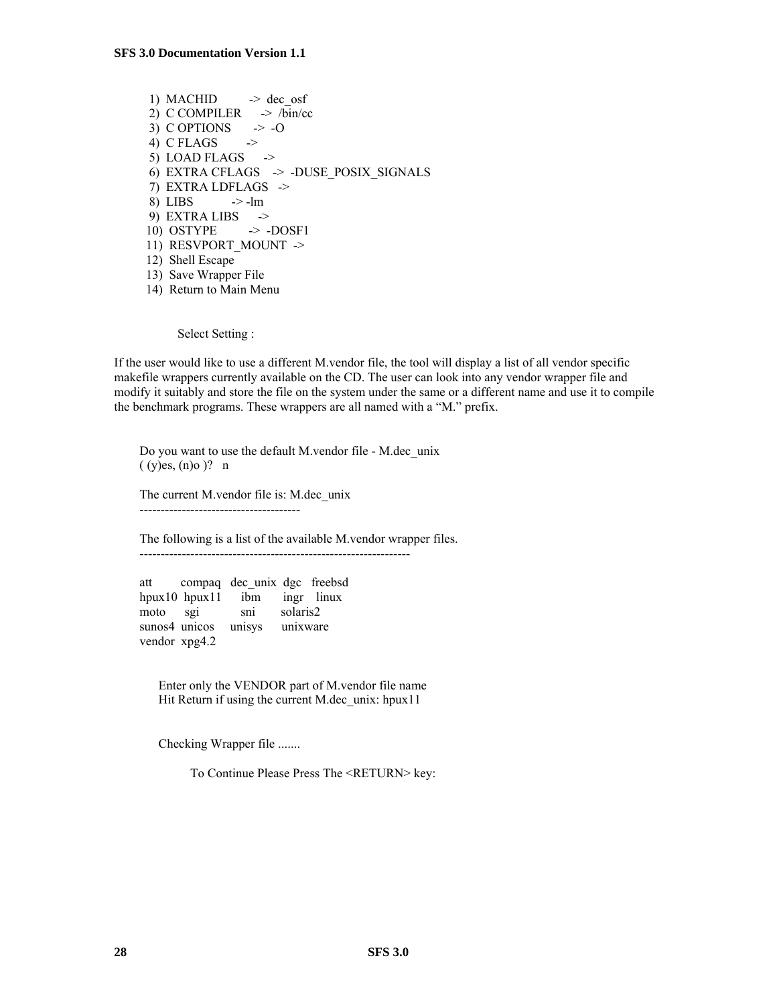1) MACHID  $\rightarrow$  dec\_osf 2) C COMPILER  $\rightarrow$  /bin/cc 3) C OPTIONS  $\rightarrow -0$ 4) C FLAGS  $\rightarrow$ 5) LOAD FLAGS  $\rightarrow$  6) EXTRA CFLAGS -> -DUSE\_POSIX\_SIGNALS 7) EXTRA LDFLAGS -> 8) LIBS  $\rightarrow$ -lm 9) EXTRA LIBS -> 10) OSTYPE -> -DOSF1 11) RESVPORT MOUNT -> 12) Shell Escape 13) Save Wrapper File 14) Return to Main Menu

Select Setting :

If the user would like to use a different M.vendor file, the tool will display a list of all vendor specific makefile wrappers currently available on the CD. The user can look into any vendor wrapper file and modify it suitably and store the file on the system under the same or a different name and use it to compile the benchmark programs. These wrappers are all named with a "M." prefix.

 Do you want to use the default M.vendor file - M.dec\_unix  $(y)$ es,  $(n)$ o  $)$ ? n

 The current M.vendor file is: M.dec\_unix --------------------------------------

 The following is a list of the available M.vendor wrapper files. ----------------------------------------------------------------

att compaq dec\_unix dgc freebsd<br>hpux10 hpux11 ibm ingr linux hpux10 hpux11 ibm moto sgi sni solaris2 sunos4 unicos unisys unixware vendor xpg4.2

 Enter only the VENDOR part of M.vendor file name Hit Return if using the current M.dec unix: hpux11

Checking Wrapper file .......

To Continue Please Press The <RETURN> key: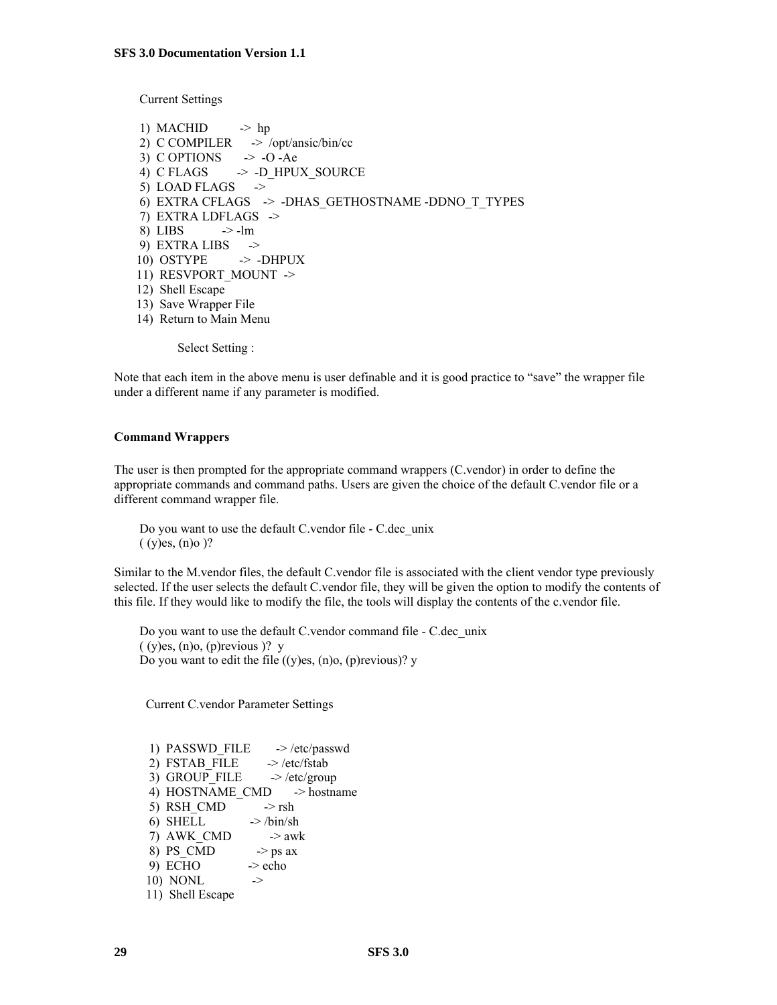Current Settings

1) MACHID  $\rightarrow$  hp 2) C COMPILER -> /opt/ansic/bin/cc 3) C OPTIONS  $\rightarrow$  -O -Ae 4) C FLAGS  $\rightarrow$  -D HPUX SOURCE 5) LOAD FLAGS  $\rightarrow$  6) EXTRA CFLAGS -> -DHAS\_GETHOSTNAME -DDNO\_T\_TYPES 7) EXTRA LDFLAGS -> 8) LIBS  $\rightarrow$ -lm 9) EXTRA LIBS  $\rightarrow$ 10) OSTYPE  $\rightarrow$  -DHPUX 11) RESVPORT MOUNT -> 12) Shell Escape 13) Save Wrapper File 14) Return to Main Menu

Select Setting :

Note that each item in the above menu is user definable and it is good practice to "save" the wrapper file under a different name if any parameter is modified.

#### **Command Wrappers**

The user is then prompted for the appropriate command wrappers (C.vendor) in order to define the appropriate commands and command paths. Users are given the choice of the default C.vendor file or a different command wrapper file.

 Do you want to use the default C.vendor file - C.dec\_unix  $(y)$ es,  $(n)$ o $)$ ?

Similar to the M.vendor files, the default C.vendor file is associated with the client vendor type previously selected. If the user selects the default C.vendor file, they will be given the option to modify the contents of this file. If they would like to modify the file, the tools will display the contents of the c.vendor file.

 Do you want to use the default C.vendor command file - C.dec\_unix  $(y)$ es,  $(n)$ o,  $(p)$ revious  $)$ ? y Do you want to edit the file  $((y)$ es,  $(n)$ o,  $(p)$ revious)? y

Current C.vendor Parameter Settings

1) PASSWD FILE  $\rightarrow$  /etc/passwd 2) FSTAB\_FILE  $\rightarrow$  /etc/fstab 3) GROUP FILE  $\rightarrow$  /etc/group 4) HOSTNAME CMD -> hostname 5) RSH\_CMD  $\rightarrow$  rsh 6) SHELL  $\rightarrow$  /bin/sh 7) AWK CMD  $-$  -> awk 8) PS CMD  $\rightarrow$  ps ax  $9)$  ECHO  $\rightarrow$  echo 10) NONL  $\rightarrow$ 11) Shell Escape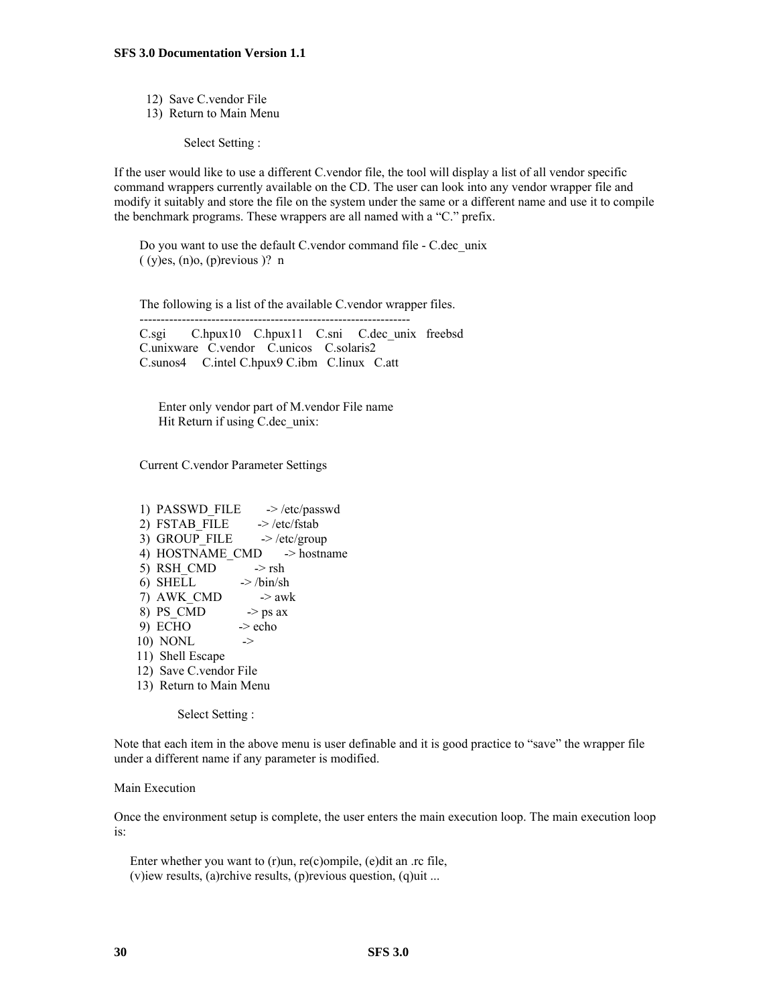- 12) Save C.vendor File
- 13) Return to Main Menu

Select Setting :

If the user would like to use a different C.vendor file, the tool will display a list of all vendor specific command wrappers currently available on the CD. The user can look into any vendor wrapper file and modify it suitably and store the file on the system under the same or a different name and use it to compile the benchmark programs. These wrappers are all named with a "C." prefix.

 Do you want to use the default C.vendor command file - C.dec\_unix  $(y)$ es,  $(n)$ o,  $(p)$ revious  $)$ ? n

----------------------------------------------------------------

The following is a list of the available C.vendor wrapper files.

 C.sgi C.hpux10 C.hpux11 C.sni C.dec\_unix freebsd C.unixware C.vendor C.unicos C.solaris2 C.sunos4 C.intel C.hpux9 C.ibm C.linux C.att

 Enter only vendor part of M.vendor File name Hit Return if using C.dec unix:

Current C.vendor Parameter Settings

1) PASSWD FILE  $\rightarrow$  /etc/passwd 2) FSTAB\_FILE -> /etc/fstab 3) GROUP FILE  $\rightarrow$  /etc/group 4) HOSTNAME CMD -> hostname 5) RSH\_CMD  $\rightarrow$  rsh 6) SHELL  $\rightarrow$  /bin/sh 7) AWK CMD  $\rightarrow$  awk 8) PS CMD  $\rightarrow$  ps ax  $9)$  ECHO  $\rightarrow$  echo 10) NONL -> 11) Shell Escape 12) Save C.vendor File 13) Return to Main Menu

Select Setting :

Note that each item in the above menu is user definable and it is good practice to "save" the wrapper file under a different name if any parameter is modified.

#### Main Execution

Once the environment setup is complete, the user enters the main execution loop. The main execution loop is:

 Enter whether you want to (r)un, re(c)ompile, (e)dit an .rc file, (v)iew results, (a)rchive results, (p)revious question, (q)uit ...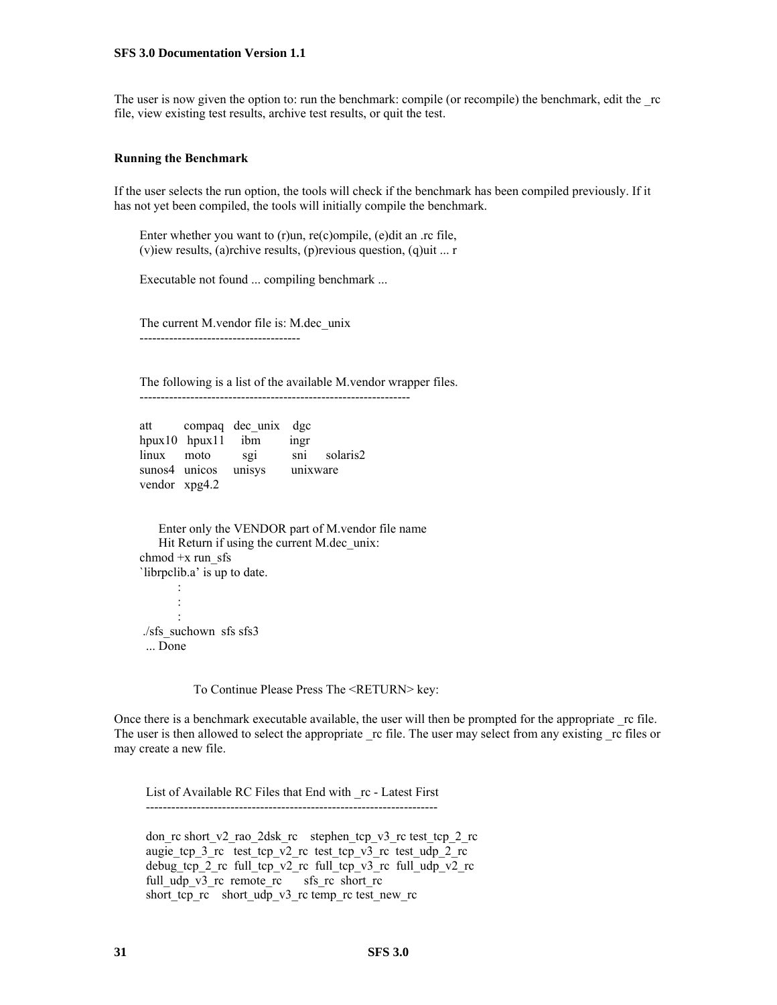The user is now given the option to: run the benchmark: compile (or recompile) the benchmark, edit the rc file, view existing test results, archive test results, or quit the test.

#### **Running the Benchmark**

If the user selects the run option, the tools will check if the benchmark has been compiled previously. If it has not yet been compiled, the tools will initially compile the benchmark.

 Enter whether you want to (r)un, re(c)ompile, (e)dit an .rc file, (v)iew results, (a)rchive results, (p)revious question, (q)uit ... r

Executable not found ... compiling benchmark ...

 The current M.vendor file is: M.dec\_unix --------------------------------------

 The following is a list of the available M.vendor wrapper files. ----------------------------------------------------------------

| att   |                         | compaq dec unix dgc |          |          |
|-------|-------------------------|---------------------|----------|----------|
|       | $h$ pux10 $h$ pux11 ibm |                     | ingr     |          |
| linux | moto                    | S <sub>21</sub>     | sini     | solaris2 |
|       | sunos4 unicos           | unisys              | unixware |          |
|       | vendor xpg4.2           |                     |          |          |

 Enter only the VENDOR part of M.vendor file name Hit Return if using the current M.dec unix: chmod +x run\_sfs `librpclib.a' is up to date. : 1999 - 1999<br>1999 - 1999 - 1999 : 1999 - 1999<br>1999 - 1999 - 1999 : 1999 - 1999<br>1999 - 1999 - 1999 ./sfs\_suchown sfs sfs3

... Done

To Continue Please Press The <RETURN> key:

Once there is a benchmark executable available, the user will then be prompted for the appropriate rc file. The user is then allowed to select the appropriate rc file. The user may select from any existing rc files or may create a new file.

 List of Available RC Files that End with \_rc - Latest First ---------------------------------------------------------------------

don rc short v2 rao 2dsk rc stephen tcp v3 rc test tcp 2 rc augie\_tcp\_3\_rc test\_tcp\_v2\_rc test\_tcp\_v3\_rc test\_udp\_2\_rc debug tcp 2 rc full tcp v2 rc full tcp v3 rc full udp v2 rc full udp v3 rc remote rc sfs rc short rc short\_tcp\_rc short\_udp\_v3\_rc temp\_rc test\_new\_rc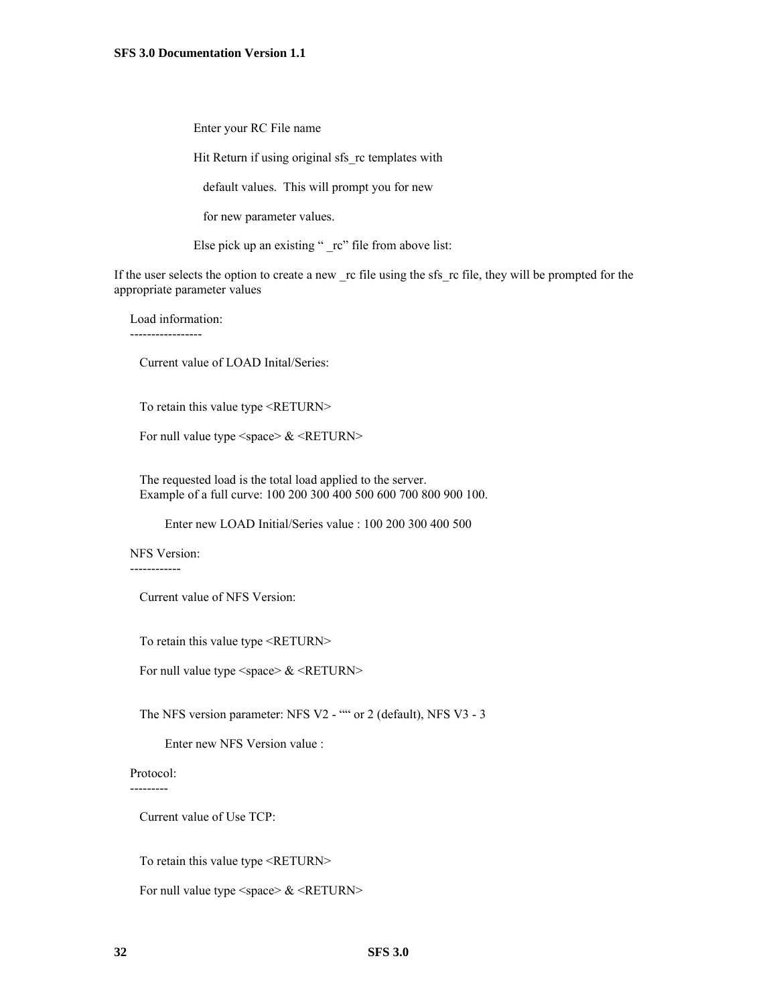Enter your RC File name

Hit Return if using original sfs rc templates with

default values. This will prompt you for new

for new parameter values.

Else pick up an existing " \_rc" file from above list:

If the user selects the option to create a new rc file using the sfs rc file, they will be prompted for the appropriate parameter values

Load information:

-----------------

Current value of LOAD Inital/Series:

To retain this value type <RETURN>

For null value type  $\langle$  space $\rangle \& \langle$ RETURN $\rangle$ 

 The requested load is the total load applied to the server. Example of a full curve: 100 200 300 400 500 600 700 800 900 100.

Enter new LOAD Initial/Series value : 100 200 300 400 500

NFS Version:

------------

Current value of NFS Version:

To retain this value type <RETURN>

For null value type  $\langle$  space $\rangle \& \langle$  RETURN $\rangle$ 

The NFS version parameter: NFS V2 - "" or 2 (default), NFS V3 - 3

Enter new NFS Version value :

 Protocol: ---------

Current value of Use TCP:

To retain this value type <RETURN>

For null value type  $\langle$  space $\rangle \& \langle$  RETURN $\rangle$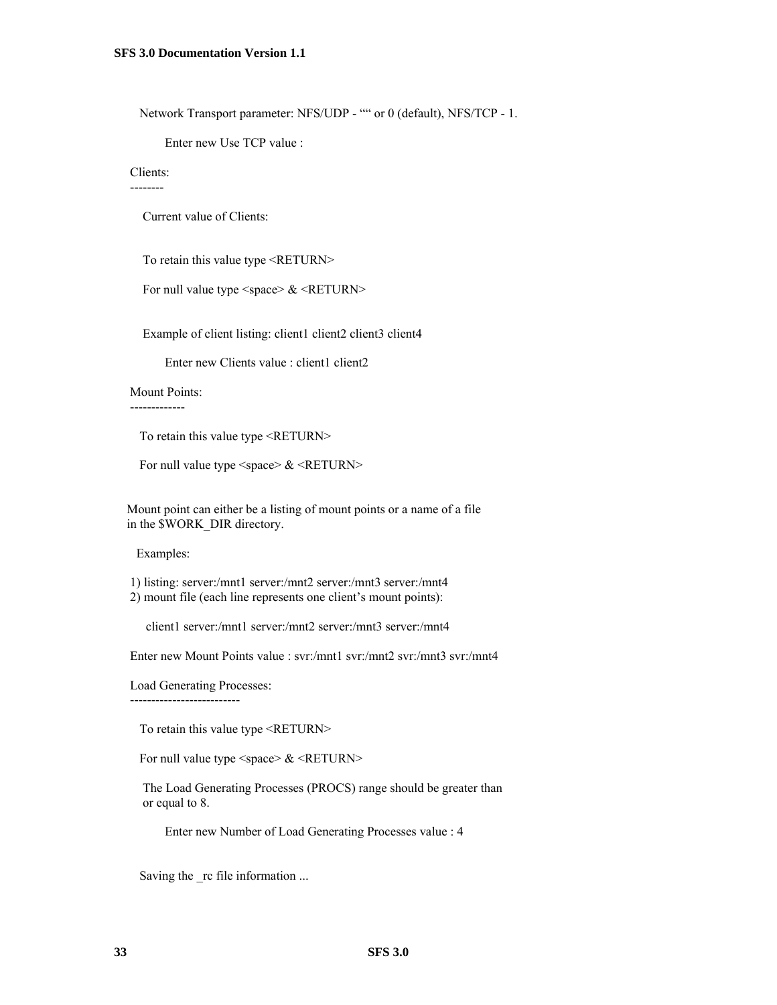Network Transport parameter: NFS/UDP - "" or 0 (default), NFS/TCP - 1.

Enter new Use TCP value :

#### Clients:

--------

Current value of Clients:

To retain this value type <RETURN>

For null value type  $\langle$  space $\rangle \& \langle$ RETURN $\rangle$ 

Example of client listing: client1 client2 client3 client4

Enter new Clients value : client1 client2

#### Mount Points:

-------------

To retain this value type <RETURN>

For null value type  $\langle$  space $\rangle \& \langle$ RETURN $\rangle$ 

 Mount point can either be a listing of mount points or a name of a file in the \$WORK\_DIR directory.

Examples:

 1) listing: server:/mnt1 server:/mnt2 server:/mnt3 server:/mnt4 2) mount file (each line represents one client's mount points):

client1 server:/mnt1 server:/mnt2 server:/mnt3 server:/mnt4

Enter new Mount Points value : svr:/mnt1 svr:/mnt2 svr:/mnt3 svr:/mnt4

Load Generating Processes:

--------------------------

To retain this value type <RETURN>

For null value type  $\langle$  space $\rangle \& \langle$  RETURN $\rangle$ 

 The Load Generating Processes (PROCS) range should be greater than or equal to 8.

Enter new Number of Load Generating Processes value : 4

Saving the \_rc file information ...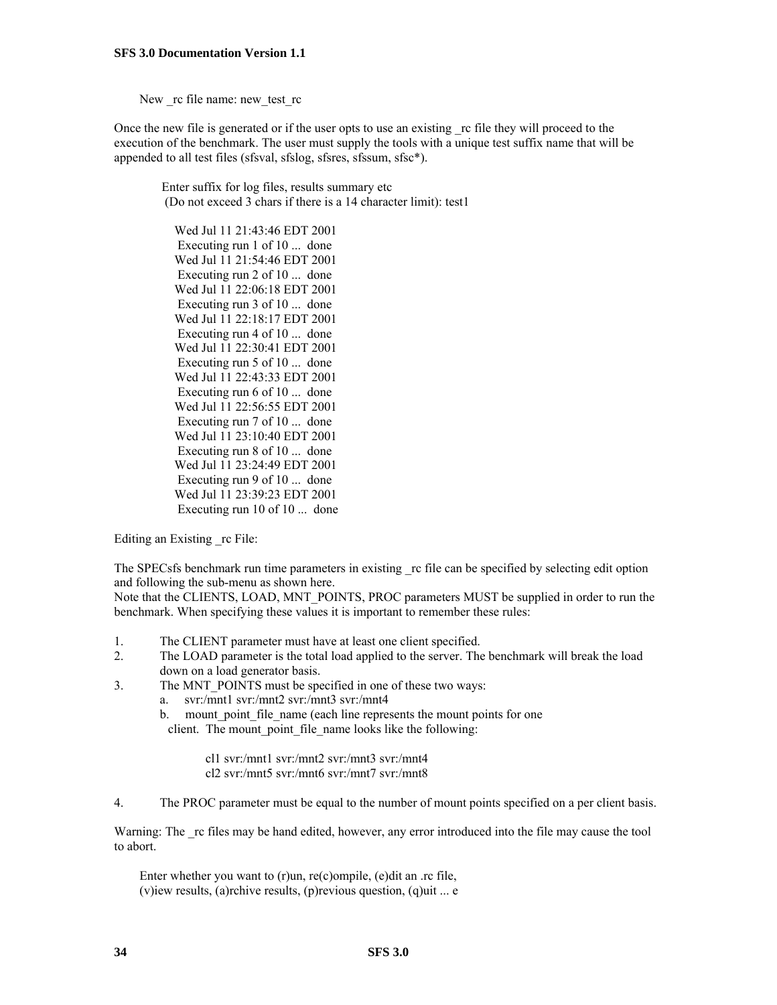New rc file name: new test rc

Once the new file is generated or if the user opts to use an existing \_rc file they will proceed to the execution of the benchmark. The user must supply the tools with a unique test suffix name that will be appended to all test files (sfsval, sfslog, sfsres, sfssum, sfsc\*).

 Enter suffix for log files, results summary etc (Do not exceed 3 chars if there is a 14 character limit): test1

 Wed Jul 11 21:43:46 EDT 2001 Executing run 1 of 10 ... done Wed Jul 11 21:54:46 EDT 2001 Executing run 2 of 10 ... done Wed Jul 11 22:06:18 EDT 2001 Executing run 3 of 10 ... done Wed Jul 11 22:18:17 EDT 2001 Executing run 4 of 10 ... done Wed Jul 11 22:30:41 EDT 2001 Executing run 5 of 10 ... done Wed Jul 11 22:43:33 EDT 2001 Executing run 6 of 10 ... done Wed Jul 11 22:56:55 EDT 2001 Executing run 7 of 10 ... done Wed Jul 11 23:10:40 EDT 2001 Executing run 8 of 10 ... done Wed Jul 11 23:24:49 EDT 2001 Executing run 9 of 10 ... done Wed Jul 11 23:39:23 EDT 2001 Executing run 10 of 10 ... done

Editing an Existing rc File:

The SPECsfs benchmark run time parameters in existing rc file can be specified by selecting edit option and following the sub-menu as shown here.

Note that the CLIENTS, LOAD, MNT\_POINTS, PROC parameters MUST be supplied in order to run the benchmark. When specifying these values it is important to remember these rules:

- 1. The CLIENT parameter must have at least one client specified.
- 2. The LOAD parameter is the total load applied to the server. The benchmark will break the load down on a load generator basis.
- 3. The MNT\_POINTS must be specified in one of these two ways:
	- a. svr:/mnt1 svr:/mnt2 svr:/mnt3 svr:/mnt4
	- b. mount point file name (each line represents the mount points for one

client. The mount point file name looks like the following:

cl1 svr:/mnt1 svr:/mnt2 svr:/mnt3 svr:/mnt4 cl2 svr:/mnt5 svr:/mnt6 svr:/mnt7 svr:/mnt8

4. The PROC parameter must be equal to the number of mount points specified on a per client basis.

Warning: The rc files may be hand edited, however, any error introduced into the file may cause the tool to abort.

 Enter whether you want to (r)un, re(c)ompile, (e)dit an .rc file, (v)iew results, (a)rchive results, (p)revious question, (q)uit ... e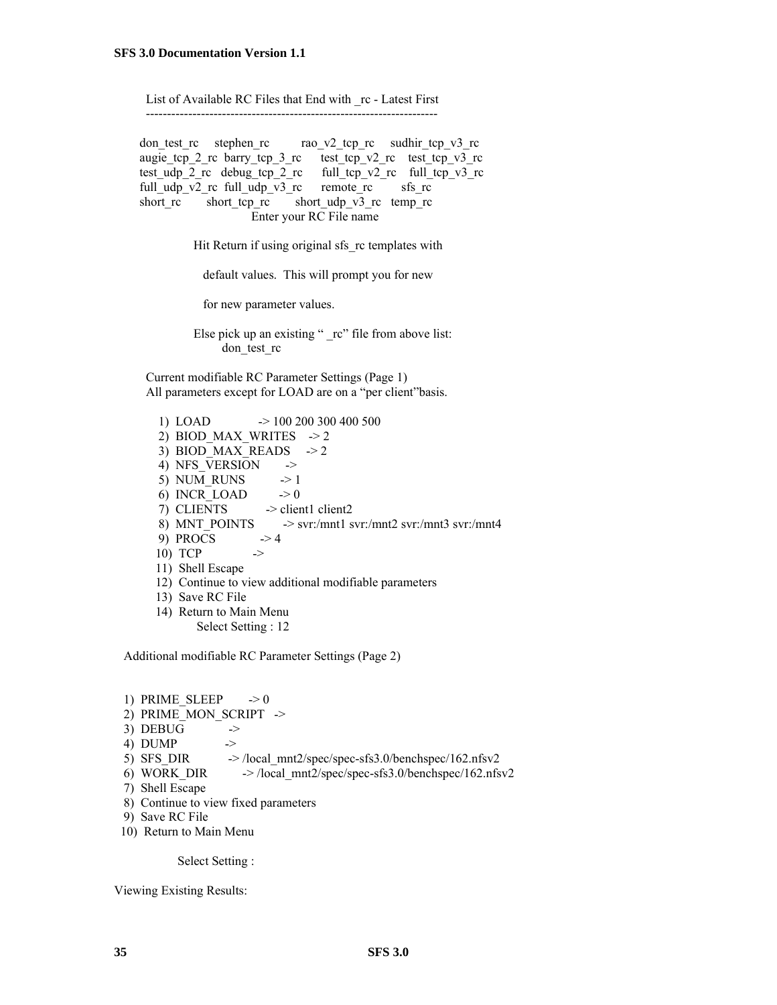List of Available RC Files that End with \_rc - Latest First ---------------------------------------------------------------------

don test rc stephen rc rao v2 tcp rc sudhir tcp v3 rc augie\_tcp\_2\_rc barry\_tcp\_3\_rc test\_tcp\_v2\_rc test\_tcp\_v3\_rc test udp 2 rc debug tcp 2 rc full tcp v2 rc full tcp v3 rc full udp v2 rc full udp v3 rc remote rc sfs rc short\_rc short\_tcp\_rc short\_udp\_v3\_rc temp\_rc Enter your RC File name

Hit Return if using original sfs rc templates with

default values. This will prompt you for new

for new parameter values.

Else pick up an existing " rc" file from above list: don test rc

 Current modifiable RC Parameter Settings (Page 1) All parameters except for LOAD are on a "per client"basis.

 1) LOAD -> 100 200 300 400 500 2) BIOD\_MAX\_WRITES  $\rightarrow$  2 3) BIOD MAX READS  $\rightarrow$  2 4) NFS VERSION  $\rightarrow$ 5) NUM\_RUNS  $\rightarrow$  1 6)  $INCR\_LOAD$  -> 0 7) CLIENTS -> client1 client2 8) MNT\_POINTS  $\longrightarrow$  svr:/mnt1 svr:/mnt2 svr:/mnt3 svr:/mnt4 9) PROCS  $\rightarrow$  4 10)  $TCP \rightarrow$  11) Shell Escape 12) Continue to view additional modifiable parameters 13) Save RC File 14) Return to Main Menu Select Setting : 12

Additional modifiable RC Parameter Settings (Page 2)

1) PRIME SLEEP  $\rightarrow 0$ 2) PRIME MON SCRIPT -> 3) DEBUG  $\rightarrow$ 4) DUMP  $\rightarrow$ <br>5) SFS\_DIR  $\rightarrow$  $\rightarrow$  /local\_mnt2/spec/spec-sfs3.0/benchspec/162.nfsv2 6) WORK DIR  $\rightarrow$  /local mnt2/spec/spec-sfs3.0/benchspec/162.nfsv2 7) Shell Escape 8) Continue to view fixed parameters 9) Save RC File 10) Return to Main Menu

Select Setting :

Viewing Existing Results: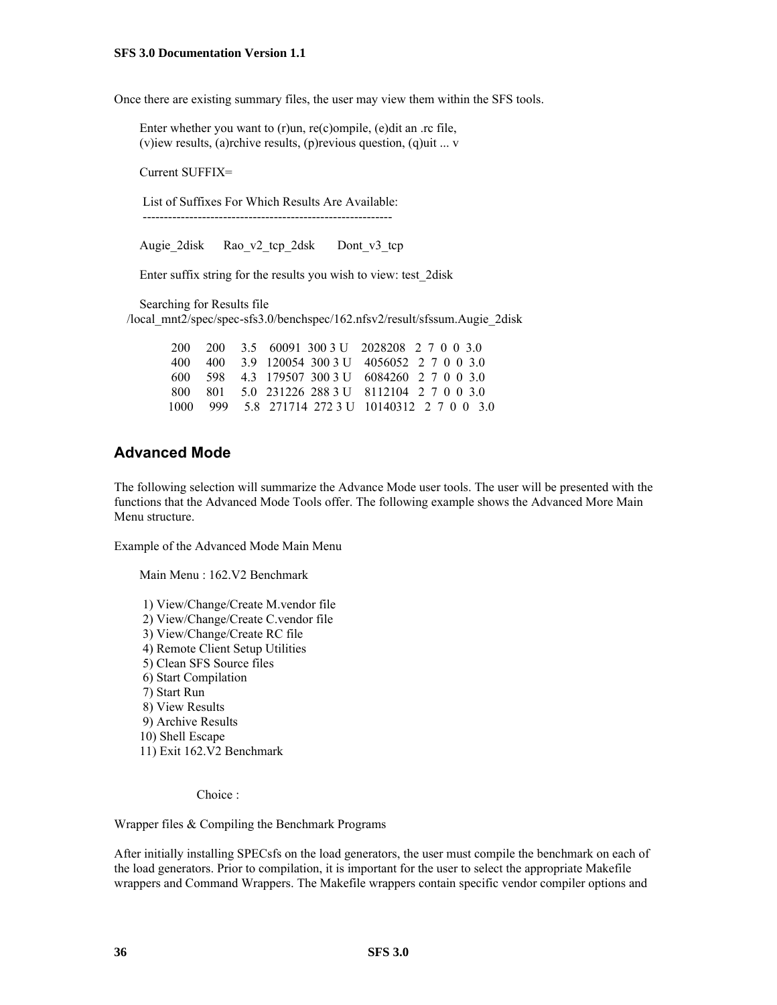Once there are existing summary files, the user may view them within the SFS tools.

 Enter whether you want to (r)un, re(c)ompile, (e)dit an .rc file, (v)iew results, (a)rchive results, (p)revious question, (q)uit ... v

Current SUFFIX=

List of Suffixes For Which Results Are Available:

-----------------------------------------------------------

Augie 2disk Rao v2 tcp 2dsk Dont v3 tcp

Enter suffix string for the results you wish to view: test\_2disk

Searching for Results file

/local\_mnt2/spec/spec-sfs3.0/benchspec/162.nfsv2/result/sfssum.Augie\_2disk

|  |  | 200 200 3.5 60091 300 3 U 2028208 2 7 0 0 3.0    |
|--|--|--------------------------------------------------|
|  |  | 400 400 3.9 120054 300 3 U 4056052 2 7 0 0 3.0   |
|  |  | 600 598 4.3 179507 300 3 U 6084260 2 7 0 0 3.0   |
|  |  | 800 801 5.0 231226 288 3 U 8112104 2 7 0 0 3.0   |
|  |  | 1000 999 5.8 271714 272 3 U 10140312 2 7 0 0 3.0 |

### **Advanced Mode**

The following selection will summarize the Advance Mode user tools. The user will be presented with the functions that the Advanced Mode Tools offer. The following example shows the Advanced More Main Menu structure.

Example of the Advanced Mode Main Menu

Main Menu : 162.V2 Benchmark

 1) View/Change/Create M.vendor file 2) View/Change/Create C.vendor file 3) View/Change/Create RC file 4) Remote Client Setup Utilities 5) Clean SFS Source files 6) Start Compilation 7) Start Run 8) View Results 9) Archive Results 10) Shell Escape 11) Exit 162.V2 Benchmark

Choice :

Wrapper files & Compiling the Benchmark Programs

After initially installing SPECsfs on the load generators, the user must compile the benchmark on each of the load generators. Prior to compilation, it is important for the user to select the appropriate Makefile wrappers and Command Wrappers. The Makefile wrappers contain specific vendor compiler options and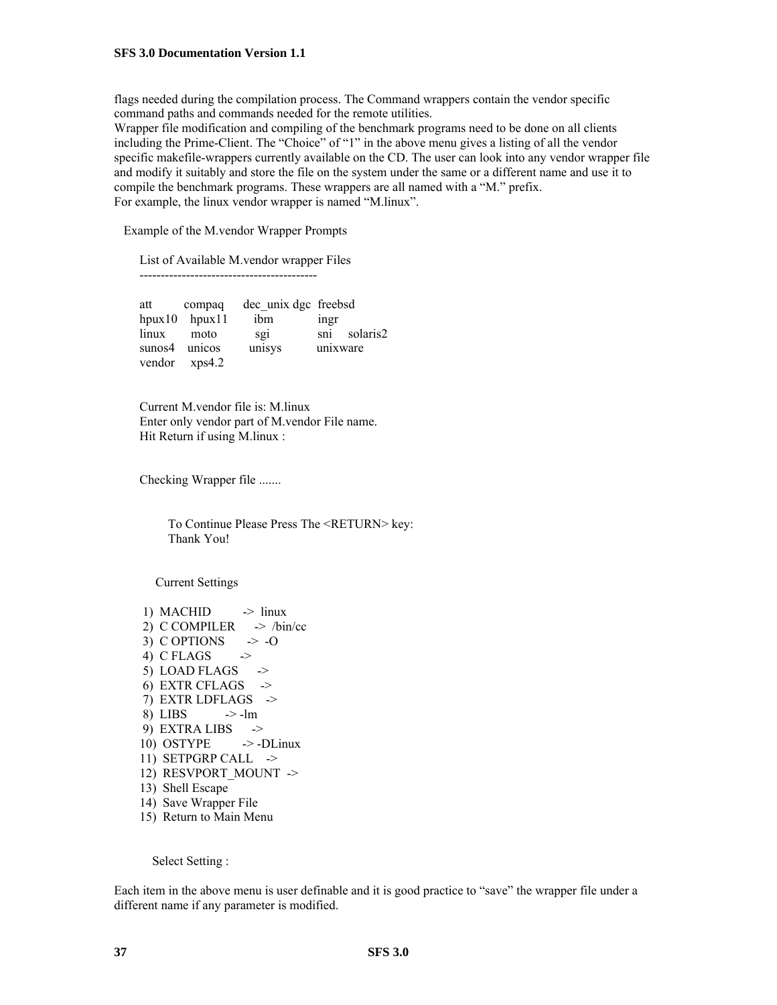flags needed during the compilation process. The Command wrappers contain the vendor specific command paths and commands needed for the remote utilities.

Wrapper file modification and compiling of the benchmark programs need to be done on all clients including the Prime-Client. The "Choice" of "1" in the above menu gives a listing of all the vendor specific makefile-wrappers currently available on the CD. The user can look into any vendor wrapper file and modify it suitably and store the file on the system under the same or a different name and use it to compile the benchmark programs. These wrappers are all named with a "M." prefix. For example, the linux vendor wrapper is named "M.linux".

Example of the M.vendor Wrapper Prompts

List of Available M.vendor wrapper Files

------------------------------------------

 att compaq dec\_unix dgc freebsd hpux10 hpux11 ibm ingr linux moto sgi sni solaris2 sunos4 unicos unisys unixware vendor xps4.2

 Current M.vendor file is: M.linux Enter only vendor part of M.vendor File name. Hit Return if using M.linux :

Checking Wrapper file .......

 To Continue Please Press The <RETURN> key: Thank You!

Current Settings

1) MACHID  $\rightarrow$  linux 2) C COMPILER  $\rightarrow$  /bin/cc 3) C OPTIONS  $\rightarrow -0$ 4) C FLAGS  $\rightarrow$ 5) LOAD FLAGS  $\rightarrow$ 6) EXTR CFLAGS  $\rightarrow$  7) EXTR LDFLAGS -> 8) LIBS  $\rightarrow$ -lm 9) EXTRA LIBS  $\rightarrow$ 10) OSTYPE  $\rightarrow$ -DLinux 11) SETPGRP CALL -> 12) RESVPORT MOUNT -> 13) Shell Escape 14) Save Wrapper File 15) Return to Main Menu

Select Setting :

Each item in the above menu is user definable and it is good practice to "save" the wrapper file under a different name if any parameter is modified.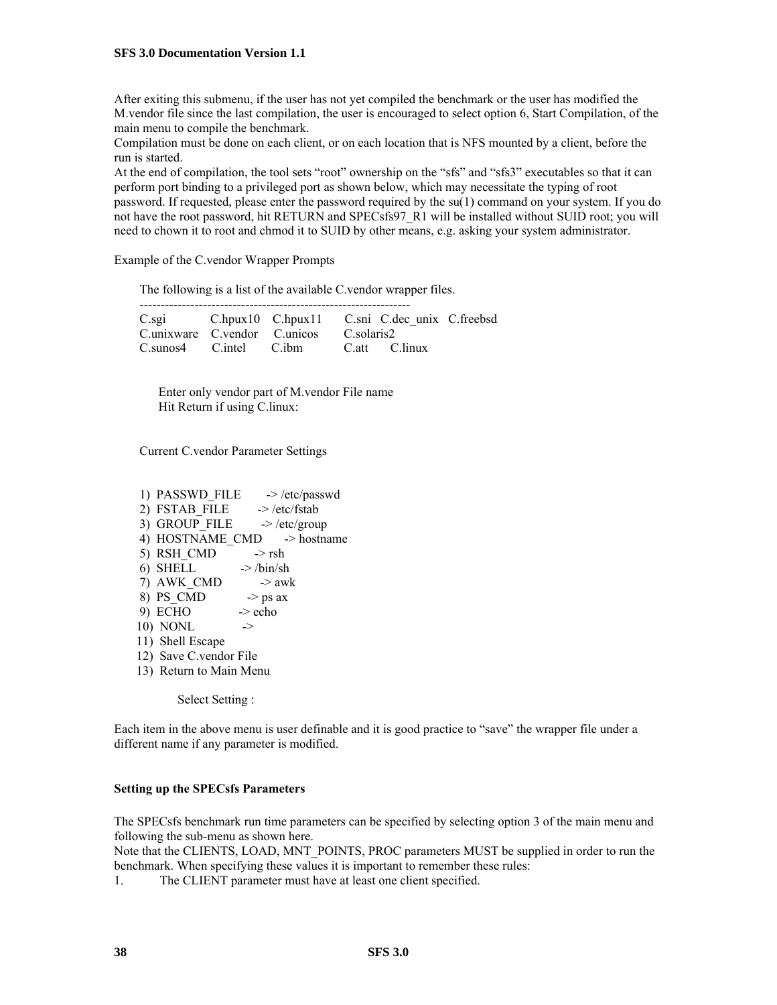After exiting this submenu, if the user has not yet compiled the benchmark or the user has modified the M.vendor file since the last compilation, the user is encouraged to select option 6, Start Compilation, of the main menu to compile the benchmark.

Compilation must be done on each client, or on each location that is NFS mounted by a client, before the run is started.

At the end of compilation, the tool sets "root" ownership on the "sfs" and "sfs3" executables so that it can perform port binding to a privileged port as shown below, which may necessitate the typing of root password. If requested, please enter the password required by the su(1) command on your system. If you do not have the root password, hit RETURN and SPECsfs97\_R1 will be installed without SUID root; you will need to chown it to root and chmod it to SUID by other means, e.g. asking your system administrator.

Example of the C.vendor Wrapper Prompts

The following is a list of the available C.vendor wrapper files.

| C.sgi C.hpux10 C.hpux11 C.sni C.dec unix C.freebsd |  |               |  |
|----------------------------------------------------|--|---------------|--|
| Cunixware Cyendor Cunicos Csolaris2                |  |               |  |
| Csunos4 C.intel C.ibm                              |  | C.att C.linux |  |

 Enter only vendor part of M.vendor File name Hit Return if using C.linux:

----------------------------------------------------------------

Current C.vendor Parameter Settings

1) PASSWD FILE  $\rightarrow$  /etc/passwd 2) FSTAB\_FILE  $\rightarrow$  /etc/fstab 3) GROUP FILE  $\rightarrow$  /etc/group 4) HOSTNAME CMD -> hostname 5) RSH\_CMD  $\rightarrow$  rsh 6) SHELL  $\rightarrow$  /bin/sh 7) AWK CMD  $\rightarrow$  awk 8) PS CMD  $\rightarrow$  ps ax  $9)$  ECHO  $\rightarrow$  echo 10) NONL  $\rightarrow$  11) Shell Escape 12) Save C.vendor File 13) Return to Main Menu

Select Setting :

Each item in the above menu is user definable and it is good practice to "save" the wrapper file under a different name if any parameter is modified.

#### **Setting up the SPECsfs Parameters**

The SPECsfs benchmark run time parameters can be specified by selecting option 3 of the main menu and following the sub-menu as shown here.

Note that the CLIENTS, LOAD, MNT\_POINTS, PROC parameters MUST be supplied in order to run the benchmark. When specifying these values it is important to remember these rules:

1. The CLIENT parameter must have at least one client specified.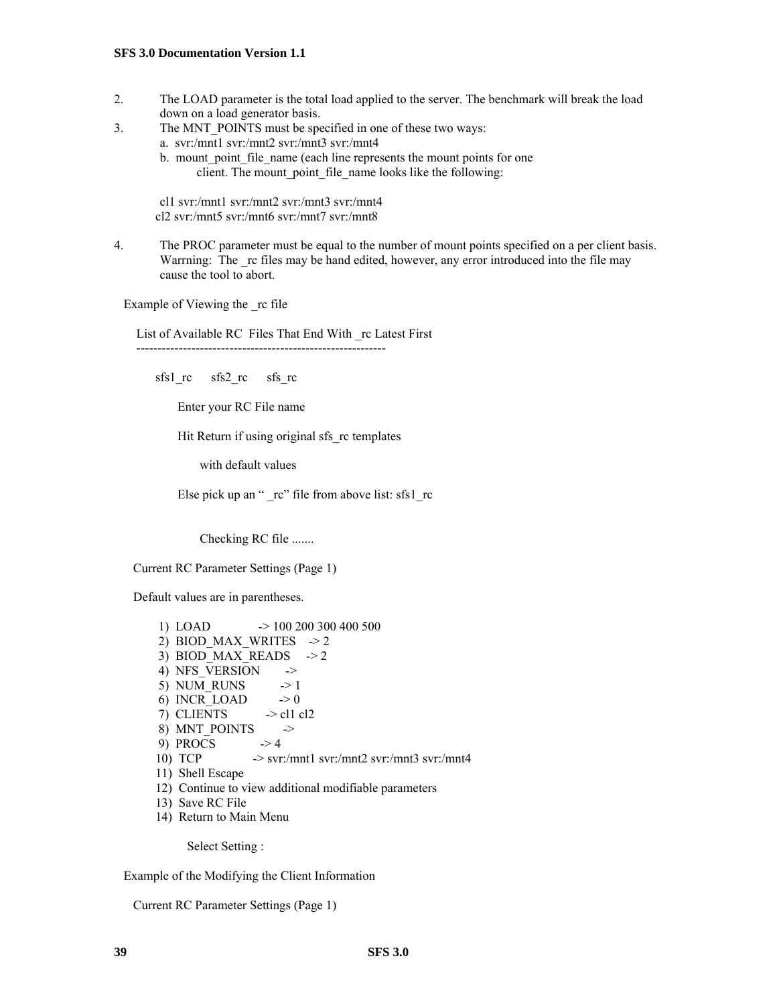- 2. The LOAD parameter is the total load applied to the server. The benchmark will break the load down on a load generator basis.
- 3. The MNT\_POINTS must be specified in one of these two ways:
	- a. svr:/mnt1 svr:/mnt2 svr:/mnt3 svr:/mnt4
		- b. mount point file name (each line represents the mount points for one client. The mount point file name looks like the following:

cl1 svr:/mnt1 svr:/mnt2 svr:/mnt3 svr:/mnt4 cl2 svr:/mnt5 svr:/mnt6 svr:/mnt7 svr:/mnt8

4. The PROC parameter must be equal to the number of mount points specified on a per client basis. Warrning: The rc files may be hand edited, however, any error introduced into the file may cause the tool to abort.

Example of Viewing the rc file

 List of Available RC Files That End With \_rc Latest First -----------------------------------------------------------

sfs1\_rc sfs2\_rc sfs\_rc

Enter your RC File name

Hit Return if using original sfs\_rc templates

with default values

Else pick up an " $rc$ " file from above list: sfs1  $rc$ 

Checking RC file .......

Current RC Parameter Settings (Page 1)

Default values are in parentheses.

```
1) LOAD \rightarrow 100 200 300 400 500
2) BIOD MAX WRITES \rightarrow 2
3) BIOD_MAX_READS \rightarrow 2
4) NFS VERSION \rightarrow5) NUM RUNS \rightarrow 1
6) INCR LOAD \rightarrow 0
7) CLIENTS \rightarrow cl1 cl2
8) MNT_POINTS \rightarrow9) PROCS \rightarrow 4
10) TCP \rightarrow svr./mnt1 svr./mnt2 svr./mnt3 svr./mnt4 11) Shell Escape
 12) Continue to view additional modifiable parameters
 13) Save RC File
 14) Return to Main Menu
```
Select Setting :

Example of the Modifying the Client Information

Current RC Parameter Settings (Page 1)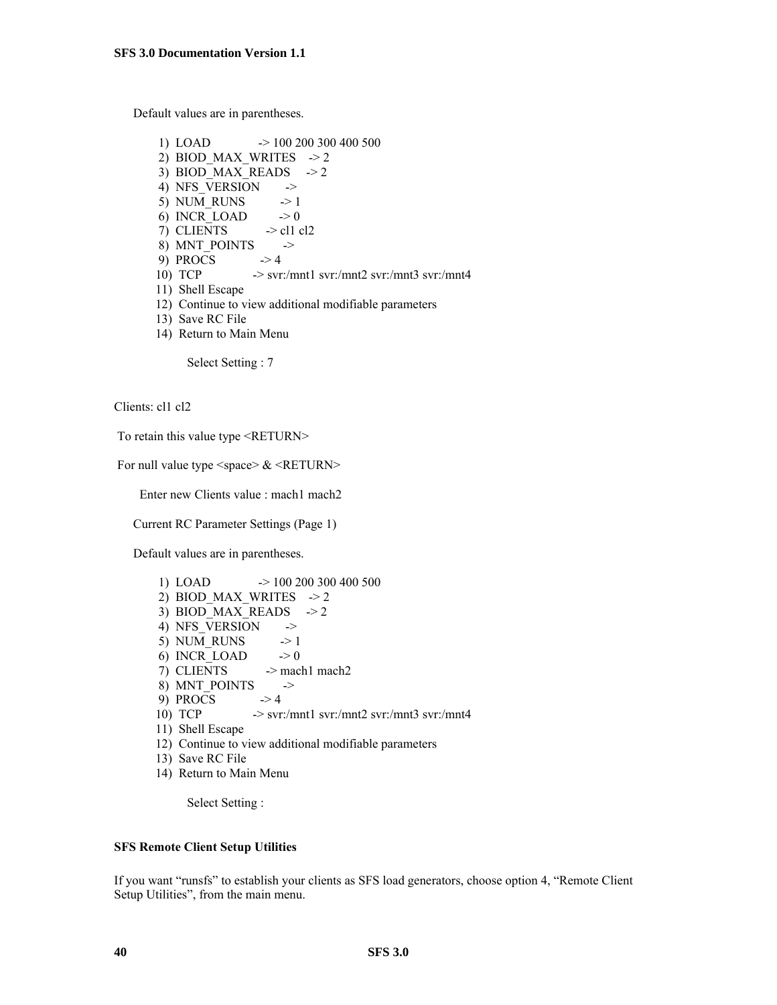Default values are in parentheses.

```
 1) LOAD -> 100 200 300 400 500
2) BIOD MAX WRITES \rightarrow 2
3) BIOD MAX READS \rightarrow 2
4) NFS VERSION \rightarrow5) NUM_RUNS \rightarrow 1
6) INCR_LOAD \rightarrow 07) CLIENTS \rightarrow cl1 cl2
8) MNT POINTS \rightarrow9) PROCS \rightarrow 410) TCP \rightarrow svr./mnt1 svr./mnt2 svr./mnt3 svr./mnt4 11) Shell Escape
 12) Continue to view additional modifiable parameters
 13) Save RC File
```
14) Return to Main Menu

Select Setting : 7

Clients: cl1 cl2

To retain this value type <RETURN>

For null value type  $\langle$ space $\rangle \& \langle$ RETURN $\rangle$ 

Enter new Clients value : mach1 mach2

Current RC Parameter Settings (Page 1)

Default values are in parentheses.

```
1) LOAD \rightarrow 100 200 300 400 500
2) BIOD MAX WRITES \geq 23) BIOD MAX READS \rightarrow 2
4) NFS VERSION \rightarrow5) NUM RUNS \rightarrow 1
6) INCR LOAD \rightarrow 0
7) CLIENTS -> mach1 mach2
8) MNT_POINTS \rightarrow9) PROCS \rightarrow 4
 10) TCP -> svr:/mnt1 svr:/mnt2 svr:/mnt3 svr:/mnt4
 11) Shell Escape
 12) Continue to view additional modifiable parameters
 13) Save RC File
 14) Return to Main Menu
```
Select Setting :

#### **SFS Remote Client Setup Utilities**

If you want "runsfs" to establish your clients as SFS load generators, choose option 4, "Remote Client Setup Utilities", from the main menu.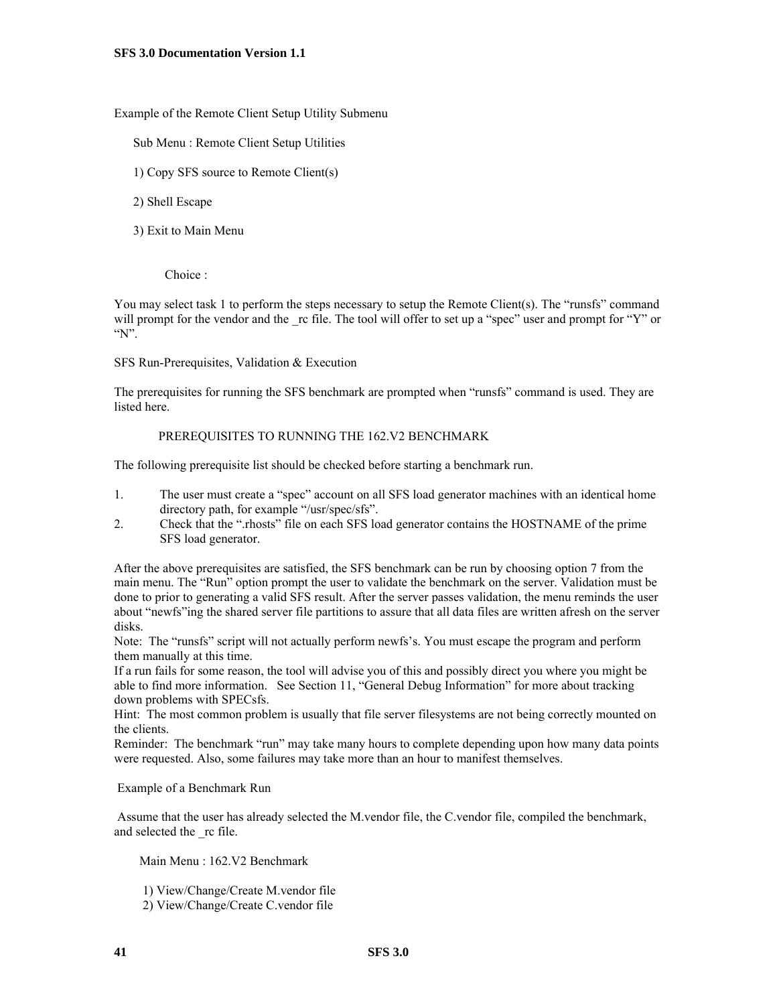Example of the Remote Client Setup Utility Submenu

Sub Menu : Remote Client Setup Utilities

- 1) Copy SFS source to Remote Client(s)
- 2) Shell Escape
- 3) Exit to Main Menu

Choice :

You may select task 1 to perform the steps necessary to setup the Remote Client(s). The "runsfs" command will prompt for the vendor and the rc file. The tool will offer to set up a "spec" user and prompt for "Y" or "N".

SFS Run-Prerequisites, Validation & Execution

The prerequisites for running the SFS benchmark are prompted when "runsfs" command is used. They are listed here.

#### PREREQUISITES TO RUNNING THE 162.V2 BENCHMARK

The following prerequisite list should be checked before starting a benchmark run.

- 1. The user must create a "spec" account on all SFS load generator machines with an identical home directory path, for example "/usr/spec/sfs".
- 2. Check that the ".rhosts" file on each SFS load generator contains the HOSTNAME of the prime SFS load generator.

After the above prerequisites are satisfied, the SFS benchmark can be run by choosing option 7 from the main menu. The "Run" option prompt the user to validate the benchmark on the server. Validation must be done to prior to generating a valid SFS result. After the server passes validation, the menu reminds the user about "newfs"ing the shared server file partitions to assure that all data files are written afresh on the server disks.

Note: The "runsfs" script will not actually perform newfs's. You must escape the program and perform them manually at this time.

If a run fails for some reason, the tool will advise you of this and possibly direct you where you might be able to find more information. See Section 11, "General Debug Information" for more about tracking down problems with SPECsfs.

Hint: The most common problem is usually that file server filesystems are not being correctly mounted on the clients.

Reminder: The benchmark "run" may take many hours to complete depending upon how many data points were requested. Also, some failures may take more than an hour to manifest themselves.

Example of a Benchmark Run

 Assume that the user has already selected the M.vendor file, the C.vendor file, compiled the benchmark, and selected the rc file.

Main Menu : 162.V2 Benchmark

1) View/Change/Create M.vendor file

2) View/Change/Create C.vendor file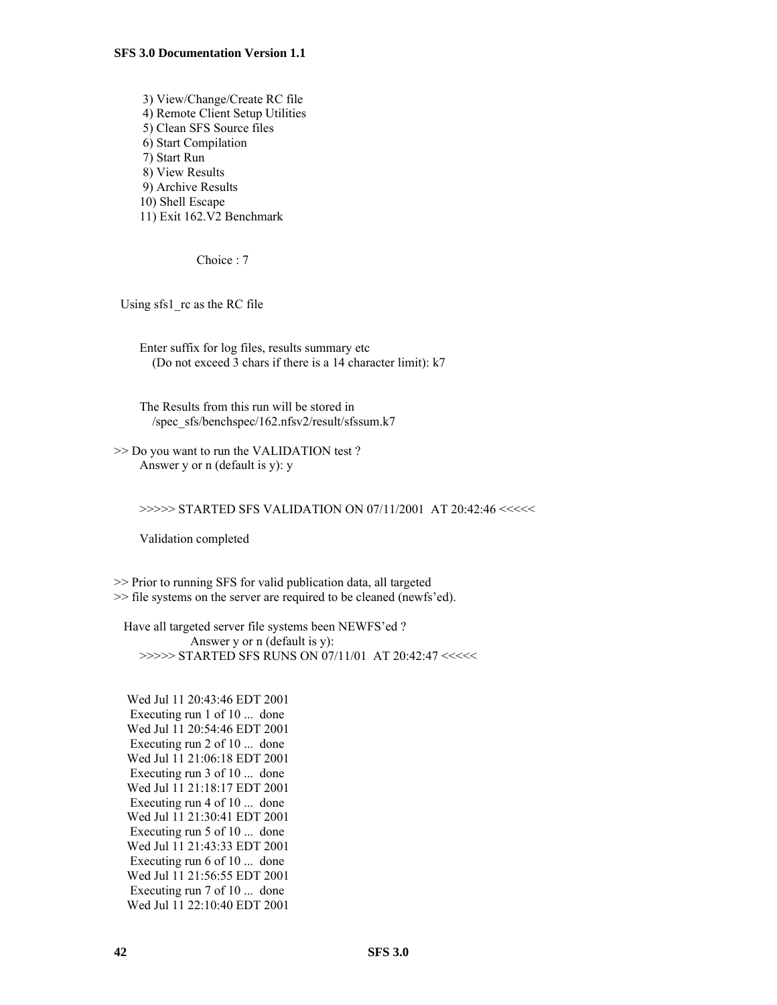3) View/Change/Create RC file 4) Remote Client Setup Utilities 5) Clean SFS Source files 6) Start Compilation 7) Start Run 8) View Results 9) Archive Results 10) Shell Escape 11) Exit 162.V2 Benchmark

Choice : 7

Using sfs1 rc as the RC file

 Enter suffix for log files, results summary etc (Do not exceed 3 chars if there is a 14 character limit): k7

 The Results from this run will be stored in /spec\_sfs/benchspec/162.nfsv2/result/sfssum.k7

>> Do you want to run the VALIDATION test ? Answer y or n (default is y): y

>>>>> STARTED SFS VALIDATION ON 07/11/2001 AT 20:42:46 <<<<<

Validation completed

>> Prior to running SFS for valid publication data, all targeted >> file systems on the server are required to be cleaned (newfs'ed).

 Have all targeted server file systems been NEWFS'ed ? Answer y or n (default is y): >>>>> STARTED SFS RUNS ON 07/11/01 AT 20:42:47 <<<<<

 Wed Jul 11 20:43:46 EDT 2001 Executing run 1 of 10 ... done Wed Jul 11 20:54:46 EDT 2001 Executing run 2 of 10 ... done Wed Jul 11 21:06:18 EDT 2001 Executing run 3 of 10 ... done Wed Jul 11 21:18:17 EDT 2001 Executing run 4 of 10 ... done Wed Jul 11 21:30:41 EDT 2001 Executing run 5 of 10 ... done Wed Jul 11 21:43:33 EDT 2001 Executing run 6 of 10 ... done Wed Jul 11 21:56:55 EDT 2001 Executing run 7 of 10 ... done Wed Jul 11 22:10:40 EDT 2001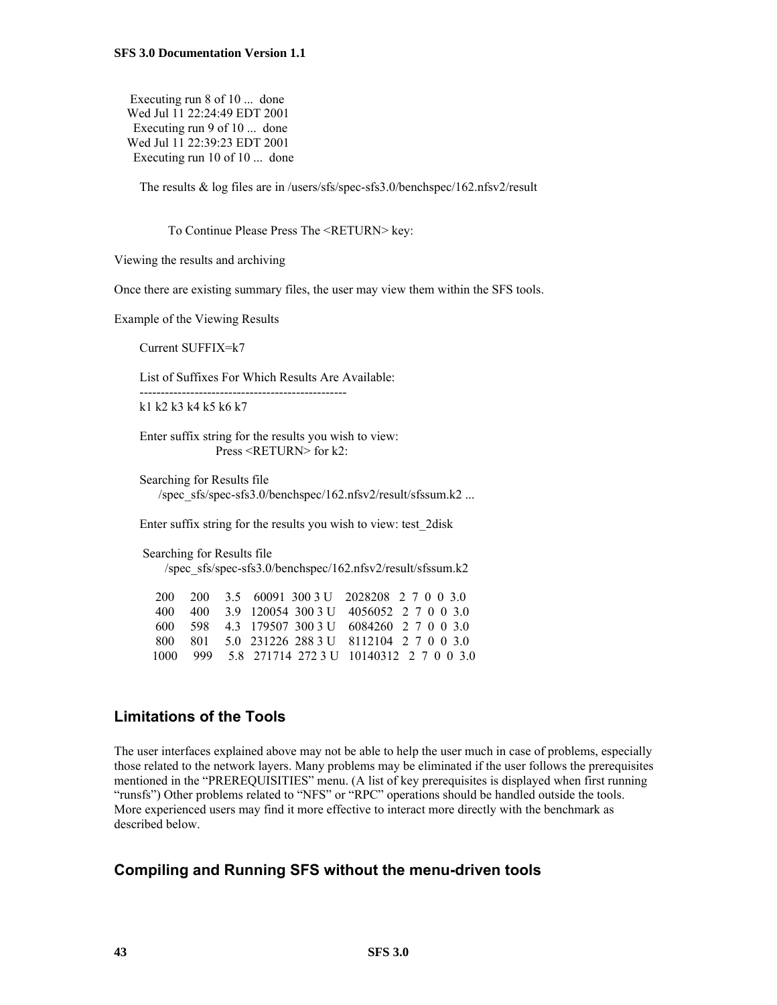Executing run 8 of 10 ... done Wed Jul 11 22:24:49 EDT 2001 Executing run 9 of 10 ... done Wed Jul 11 22:39:23 EDT 2001 Executing run 10 of 10 ... done

The results & log files are in /users/sfs/spec-sfs3.0/benchspec/162.nfsv2/result

To Continue Please Press The <RETURN> key:

Viewing the results and archiving

Once there are existing summary files, the user may view them within the SFS tools.

Example of the Viewing Results

Current SUFFIX=k7

List of Suffixes For Which Results Are Available:

 ------------------------------------------------ k1 k2 k3 k4 k5 k6 k7

 Enter suffix string for the results you wish to view: Press <RETURN> for k2:

 Searching for Results file /spec\_sfs/spec-sfs3.0/benchspec/162.nfsv2/result/sfssum.k2 ...

Enter suffix string for the results you wish to view: test\_2disk

 Searching for Results file /spec\_sfs/spec-sfs3.0/benchspec/162.nfsv2/result/sfssum.k2

 200 200 3.5 60091 300 3 U 2028208 2 7 0 0 3.0 400 400 3.9 120054 300 3 U 4056052 2 7 0 0 3.0 600 598 4.3 179507 300 3 U 6084260 2 7 0 0 3.0 800 801 5.0 231226 288 3 U 8112104 2 7 0 0 3.0 1000 999 5.8 271714 272 3 U 10140312 2 7 0 0 3.0

### **Limitations of the Tools**

The user interfaces explained above may not be able to help the user much in case of problems, especially those related to the network layers. Many problems may be eliminated if the user follows the prerequisites mentioned in the "PREREQUISITIES" menu. (A list of key prerequisites is displayed when first running "runsfs") Other problems related to "NFS" or "RPC" operations should be handled outside the tools. More experienced users may find it more effective to interact more directly with the benchmark as described below.

#### **Compiling and Running SFS without the menu-driven tools**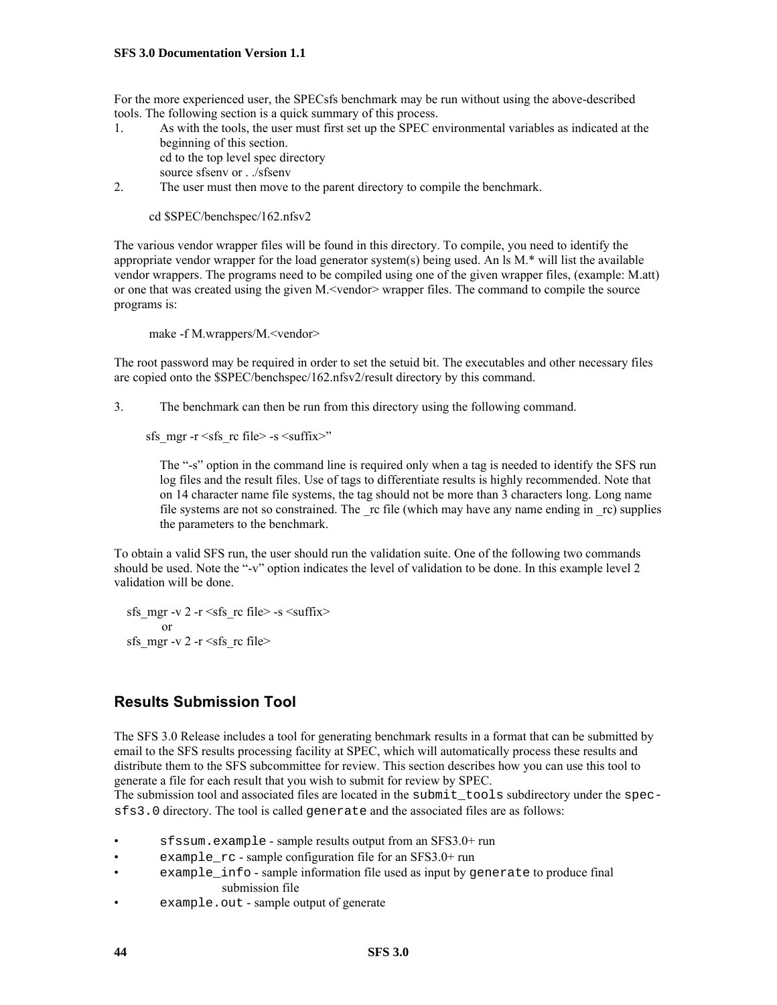For the more experienced user, the SPECsfs benchmark may be run without using the above-described tools. The following section is a quick summary of this process.

1. As with the tools, the user must first set up the SPEC environmental variables as indicated at the beginning of this section. cd to the top level spec directory

source sfsenv or . ./sfsenv

2. The user must then move to the parent directory to compile the benchmark.

cd \$SPEC/benchspec/162.nfsv2

The various vendor wrapper files will be found in this directory. To compile, you need to identify the appropriate vendor wrapper for the load generator system(s) being used. An ls M.\* will list the available vendor wrappers. The programs need to be compiled using one of the given wrapper files, (example: M.att) or one that was created using the given M.<vendor> wrapper files. The command to compile the source programs is:

make -f M.wrappers/M.<vendor>

The root password may be required in order to set the setuid bit. The executables and other necessary files are copied onto the \$SPEC/benchspec/162.nfsv2/result directory by this command.

3. The benchmark can then be run from this directory using the following command.

sfs\_mgr -r  $\leq$ sfs\_rc file> -s  $\leq$ suffix>"

The "-s" option in the command line is required only when a tag is needed to identify the SFS run log files and the result files. Use of tags to differentiate results is highly recommended. Note that on 14 character name file systems, the tag should not be more than 3 characters long. Long name file systems are not so constrained. The rc file (which may have any name ending in rc) supplies the parameters to the benchmark.

To obtain a valid SFS run, the user should run the validation suite. One of the following two commands should be used. Note the "-v" option indicates the level of validation to be done. In this example level 2 validation will be done.

sfs\_mgr -v 2 -r  $\leq$ sfs\_rc file> -s  $\leq$ suffix> or sfs mgr -v 2 -r  $\leq$ sfs rc file>

### **Results Submission Tool**

The SFS 3.0 Release includes a tool for generating benchmark results in a format that can be submitted by email to the SFS results processing facility at SPEC, which will automatically process these results and distribute them to the SFS subcommittee for review. This section describes how you can use this tool to generate a file for each result that you wish to submit for review by SPEC.

The submission tool and associated files are located in the submit\_tools subdirectory under the specsfs3.0 directory. The tool is called generate and the associated files are as follows:

- sfssum.example sample results output from an SFS3.0+ run
- example\_rc sample configuration file for an SFS3.0+ run
- example info sample information file used as input by generate to produce final submission file
- example.out sample output of generate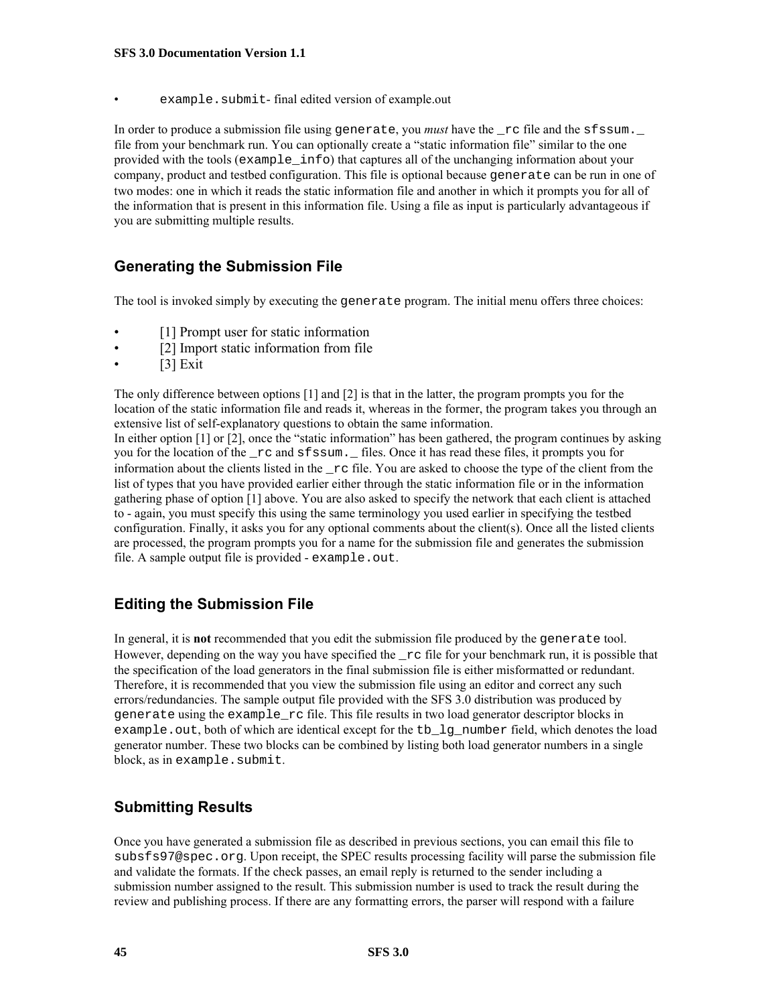example.submit-final edited version of example.out

In order to produce a submission file using generate, you *must* have the  $rc$  file and the sfssum. file from your benchmark run. You can optionally create a "static information file" similar to the one provided with the tools (example\_info) that captures all of the unchanging information about your company, product and testbed configuration. This file is optional because generate can be run in one of two modes: one in which it reads the static information file and another in which it prompts you for all of the information that is present in this information file. Using a file as input is particularly advantageous if you are submitting multiple results.

### **Generating the Submission File**

The tool is invoked simply by executing the generate program. The initial menu offers three choices:

- [1] Prompt user for static information
- [2] Import static information from file
- [3] Exit

The only difference between options [1] and [2] is that in the latter, the program prompts you for the location of the static information file and reads it, whereas in the former, the program takes you through an extensive list of self-explanatory questions to obtain the same information. In either option [1] or [2], once the "static information" has been gathered, the program continues by asking

you for the location of the  $\text{rc}$  and sfssum.  $\text{m}$  files. Once it has read these files, it prompts you for information about the clients listed in the  $rc$  file. You are asked to choose the type of the client from the list of types that you have provided earlier either through the static information file or in the information gathering phase of option [1] above. You are also asked to specify the network that each client is attached to - again, you must specify this using the same terminology you used earlier in specifying the testbed configuration. Finally, it asks you for any optional comments about the client(s). Once all the listed clients are processed, the program prompts you for a name for the submission file and generates the submission file. A sample output file is provided - example.out.

### **Editing the Submission File**

In general, it is **not** recommended that you edit the submission file produced by the generate tool. However, depending on the way you have specified the  $\text{\_rc}$  rc file for your benchmark run, it is possible that the specification of the load generators in the final submission file is either misformatted or redundant. Therefore, it is recommended that you view the submission file using an editor and correct any such errors/redundancies. The sample output file provided with the SFS 3.0 distribution was produced by generate using the example\_rc file. This file results in two load generator descriptor blocks in example.out, both of which are identical except for the tb\_lg\_number field, which denotes the load generator number. These two blocks can be combined by listing both load generator numbers in a single block, as in example. submit.

### **Submitting Results**

Once you have generated a submission file as described in previous sections, you can email this file to subsfs97@spec.org. Upon receipt, the SPEC results processing facility will parse the submission file and validate the formats. If the check passes, an email reply is returned to the sender including a submission number assigned to the result. This submission number is used to track the result during the review and publishing process. If there are any formatting errors, the parser will respond with a failure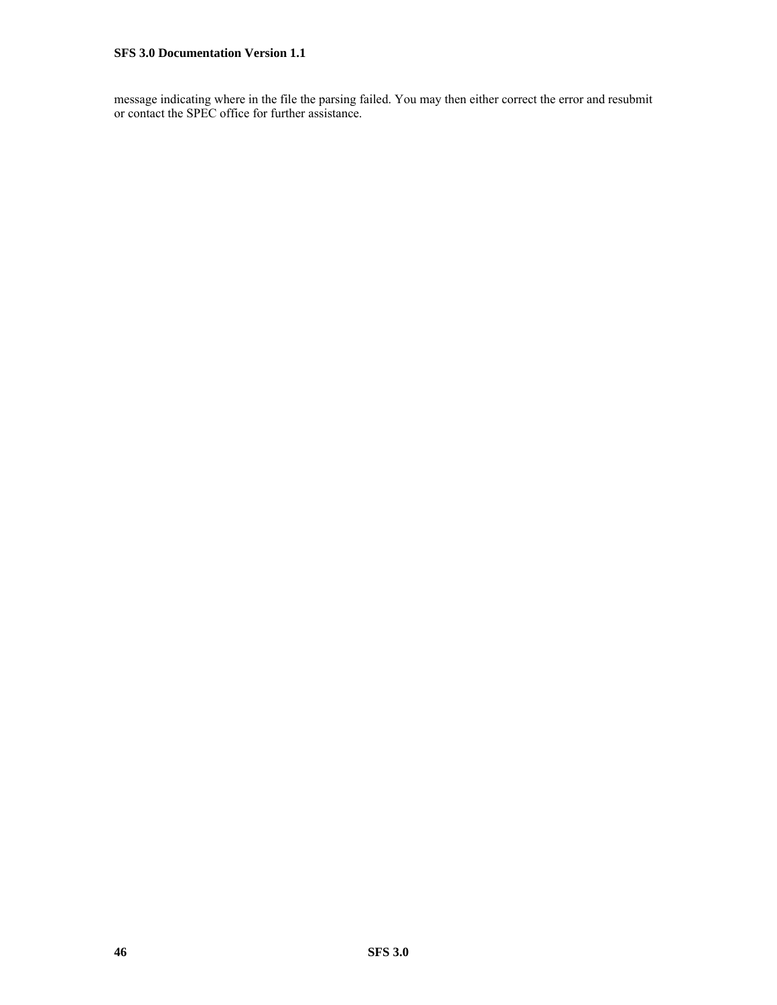message indicating where in the file the parsing failed. You may then either correct the error and resubmit or contact the SPEC office for further assistance.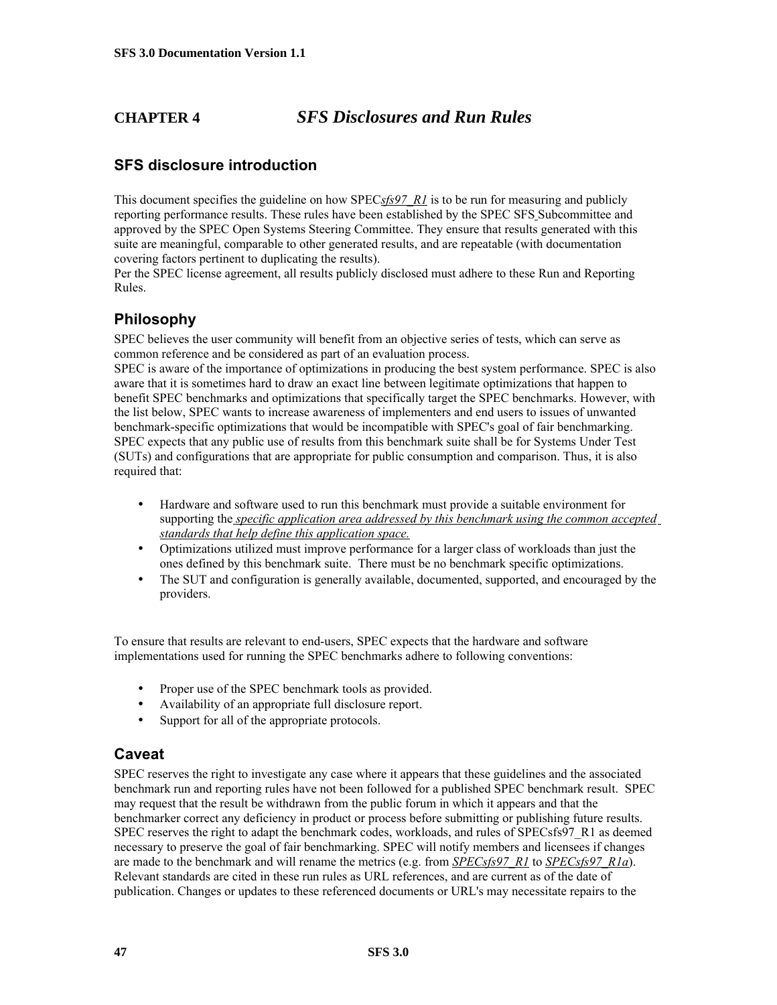### **CHAPTER 4** *SFS Disclosures and Run Rules*

### **SFS disclosure introduction**

This document specifies the guideline on how SPEC*sfs97\_R1* is to be run for measuring and publicly reporting performance results. These rules have been established by the SPEC SFS Subcommittee and approved by the SPEC Open Systems Steering Committee. They ensure that results generated with this suite are meaningful, comparable to other generated results, and are repeatable (with documentation covering factors pertinent to duplicating the results).

Per the SPEC license agreement, all results publicly disclosed must adhere to these Run and Reporting Rules.

### **Philosophy**

SPEC believes the user community will benefit from an objective series of tests, which can serve as common reference and be considered as part of an evaluation process.

SPEC is aware of the importance of optimizations in producing the best system performance. SPEC is also aware that it is sometimes hard to draw an exact line between legitimate optimizations that happen to benefit SPEC benchmarks and optimizations that specifically target the SPEC benchmarks. However, with the list below, SPEC wants to increase awareness of implementers and end users to issues of unwanted benchmark-specific optimizations that would be incompatible with SPEC's goal of fair benchmarking. SPEC expects that any public use of results from this benchmark suite shall be for Systems Under Test (SUTs) and configurations that are appropriate for public consumption and comparison. Thus, it is also required that:

- Hardware and software used to run this benchmark must provide a suitable environment for supporting the *specific application area addressed by this benchmark using the common accepted standards that help define this application space.*
- Optimizations utilized must improve performance for a larger class of workloads than just the ones defined by this benchmark suite. There must be no benchmark specific optimizations.
- The SUT and configuration is generally available, documented, supported, and encouraged by the providers.

To ensure that results are relevant to end-users, SPEC expects that the hardware and software implementations used for running the SPEC benchmarks adhere to following conventions:

- Proper use of the SPEC benchmark tools as provided.
- Availability of an appropriate full disclosure report.
- Support for all of the appropriate protocols.

### **Caveat**

SPEC reserves the right to investigate any case where it appears that these guidelines and the associated benchmark run and reporting rules have not been followed for a published SPEC benchmark result. SPEC may request that the result be withdrawn from the public forum in which it appears and that the benchmarker correct any deficiency in product or process before submitting or publishing future results. SPEC reserves the right to adapt the benchmark codes, workloads, and rules of SPECsfs97 R1 as deemed necessary to preserve the goal of fair benchmarking. SPEC will notify members and licensees if changes are made to the benchmark and will rename the metrics (e.g. from *SPECsfs97\_R1* to *SPECsfs97\_R1a*). Relevant standards are cited in these run rules as URL references, and are current as of the date of publication. Changes or updates to these referenced documents or URL's may necessitate repairs to the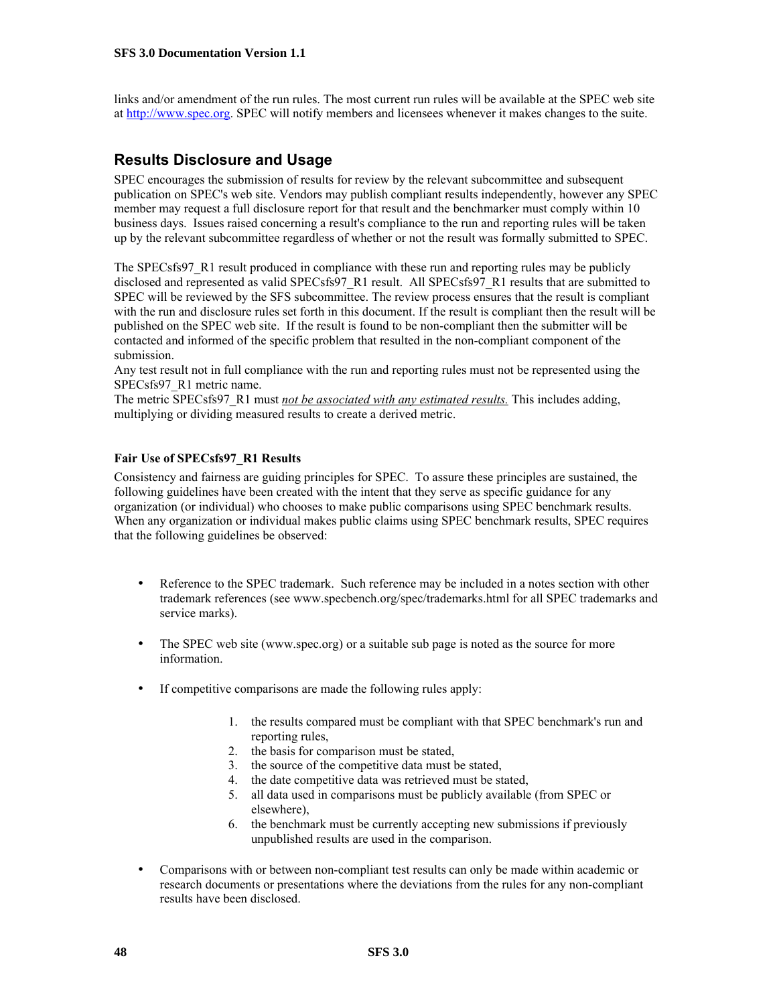links and/or amendment of the run rules. The most current run rules will be available at the SPEC web site at [http://www.spec.org](http://www.specbench.org/). SPEC will notify members and licensees whenever it makes changes to the suite.

### **Results Disclosure and Usage**

SPEC encourages the submission of results for review by the relevant subcommittee and subsequent publication on SPEC's web site. Vendors may publish compliant results independently, however any SPEC member may request a full disclosure report for that result and the benchmarker must comply within 10 business days. Issues raised concerning a result's compliance to the run and reporting rules will be taken up by the relevant subcommittee regardless of whether or not the result was formally submitted to SPEC.

The SPECsfs97, R1 result produced in compliance with these run and reporting rules may be publicly disclosed and represented as valid SPECsfs97\_R1 result. All SPECsfs97\_R1 results that are submitted to SPEC will be reviewed by the SFS subcommittee. The review process ensures that the result is compliant with the run and disclosure rules set forth in this document. If the result is compliant then the result will be published on the SPEC web site. If the result is found to be non-compliant then the submitter will be contacted and informed of the specific problem that resulted in the non-compliant component of the submission.

Any test result not in full compliance with the run and reporting rules must not be represented using the SPECsfs97\_R1 metric name.

The metric SPECsfs97\_R1 must *not be associated with any estimated results.* This includes adding, multiplying or dividing measured results to create a derived metric.

#### **Fair Use of SPECsfs97\_R1 Results**

Consistency and fairness are guiding principles for SPEC. To assure these principles are sustained, the following guidelines have been created with the intent that they serve as specific guidance for any organization (or individual) who chooses to make public comparisons using SPEC benchmark results. When any organization or individual makes public claims using SPEC benchmark results, SPEC requires that the following guidelines be observed:

- Reference to the SPEC trademark. Such reference may be included in a notes section with other trademark references (see www.specbench.org/spec/trademarks.html for all SPEC trademarks and service marks).
- The SPEC web site (www.spec.org) or a suitable sub page is noted as the source for more information.
- If competitive comparisons are made the following rules apply:
	- 1. the results compared must be compliant with that SPEC benchmark's run and reporting rules,
	- 2. the basis for comparison must be stated,
	- 3. the source of the competitive data must be stated,
	- 4. the date competitive data was retrieved must be stated,
	- 5. all data used in comparisons must be publicly available (from SPEC or elsewhere),
	- 6. the benchmark must be currently accepting new submissions if previously unpublished results are used in the comparison.
- Comparisons with or between non-compliant test results can only be made within academic or research documents or presentations where the deviations from the rules for any non-compliant results have been disclosed.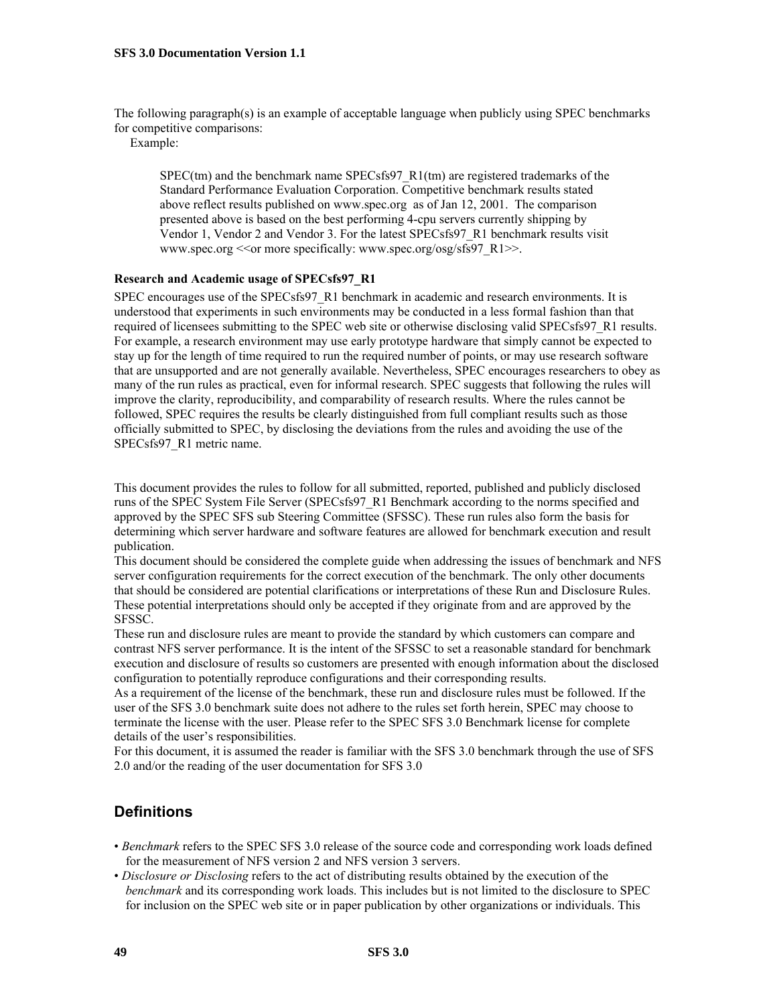The following paragraph(s) is an example of acceptable language when publicly using SPEC benchmarks for competitive comparisons:

Example:

 $SPEC$ (tm) and the benchmark name  $SPECs$   $R1$ (tm) are registered trademarks of the Standard Performance Evaluation Corporation. Competitive benchmark results stated above reflect results published on www.spec.org as of Jan 12, 2001. The comparison presented above is based on the best performing 4-cpu servers currently shipping by Vendor 1, Vendor 2 and Vendor 3. For the latest SPECsfs97\_R1 benchmark results visit www.spec.org << or more specifically: www.spec.org/osg/sfs97\_R1>>.

#### **Research and Academic usage of SPECsfs97\_R1**

SPEC encourages use of the SPECsfs97\_R1 benchmark in academic and research environments. It is understood that experiments in such environments may be conducted in a less formal fashion than that required of licensees submitting to the SPEC web site or otherwise disclosing valid SPECsfs97\_R1 results. For example, a research environment may use early prototype hardware that simply cannot be expected to stay up for the length of time required to run the required number of points, or may use research software that are unsupported and are not generally available. Nevertheless, SPEC encourages researchers to obey as many of the run rules as practical, even for informal research. SPEC suggests that following the rules will improve the clarity, reproducibility, and comparability of research results. Where the rules cannot be followed, SPEC requires the results be clearly distinguished from full compliant results such as those officially submitted to SPEC, by disclosing the deviations from the rules and avoiding the use of the SPECsfs97\_R1 metric name.

This document provides the rules to follow for all submitted, reported, published and publicly disclosed runs of the SPEC System File Server (SPECsfs97\_R1 Benchmark according to the norms specified and approved by the SPEC SFS sub Steering Committee (SFSSC). These run rules also form the basis for determining which server hardware and software features are allowed for benchmark execution and result publication.

This document should be considered the complete guide when addressing the issues of benchmark and NFS server configuration requirements for the correct execution of the benchmark. The only other documents that should be considered are potential clarifications or interpretations of these Run and Disclosure Rules. These potential interpretations should only be accepted if they originate from and are approved by the SFSSC.

These run and disclosure rules are meant to provide the standard by which customers can compare and contrast NFS server performance. It is the intent of the SFSSC to set a reasonable standard for benchmark execution and disclosure of results so customers are presented with enough information about the disclosed configuration to potentially reproduce configurations and their corresponding results.

As a requirement of the license of the benchmark, these run and disclosure rules must be followed. If the user of the SFS 3.0 benchmark suite does not adhere to the rules set forth herein, SPEC may choose to terminate the license with the user. Please refer to the SPEC SFS 3.0 Benchmark license for complete details of the user's responsibilities.

For this document, it is assumed the reader is familiar with the SFS 3.0 benchmark through the use of SFS 2.0 and/or the reading of the user documentation for SFS 3.0

### **Definitions**

- *Benchmark* refers to the SPEC SFS 3.0 release of the source code and corresponding work loads defined for the measurement of NFS version 2 and NFS version 3 servers.
- *Disclosure or Disclosing* refers to the act of distributing results obtained by the execution of the *benchmark* and its corresponding work loads. This includes but is not limited to the disclosure to SPEC for inclusion on the SPEC web site or in paper publication by other organizations or individuals. This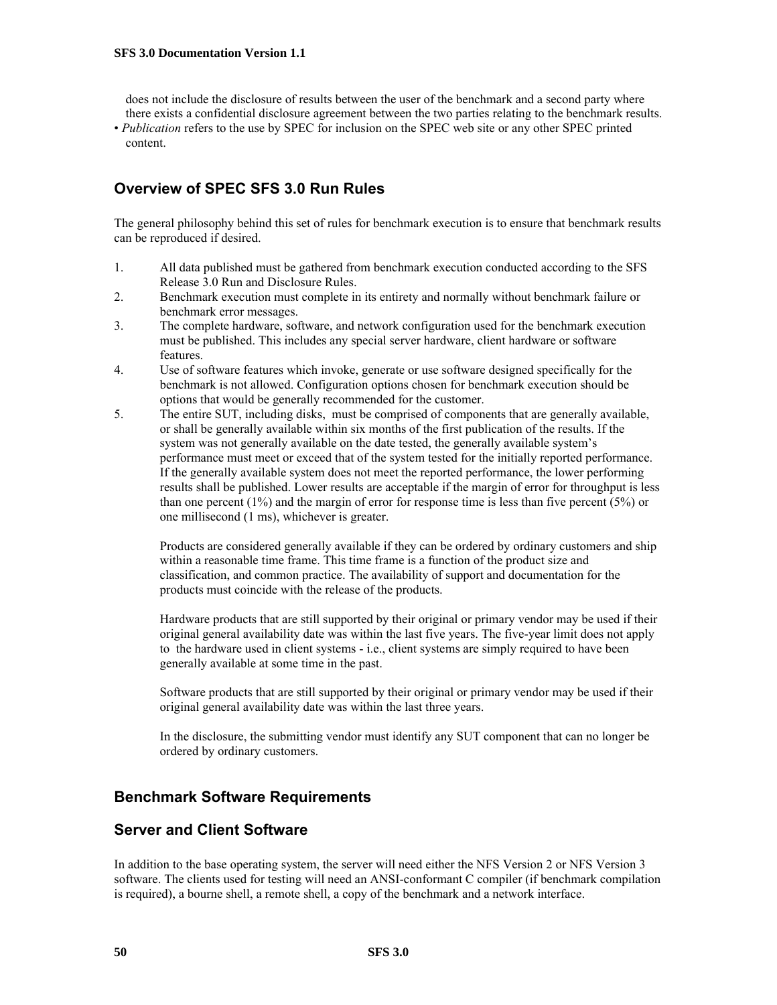does not include the disclosure of results between the user of the benchmark and a second party where there exists a confidential disclosure agreement between the two parties relating to the benchmark results.

• *Publication* refers to the use by SPEC for inclusion on the SPEC web site or any other SPEC printed content.

### **Overview of SPEC SFS 3.0 Run Rules**

The general philosophy behind this set of rules for benchmark execution is to ensure that benchmark results can be reproduced if desired.

- 1. All data published must be gathered from benchmark execution conducted according to the SFS Release 3.0 Run and Disclosure Rules.
- 2. Benchmark execution must complete in its entirety and normally without benchmark failure or benchmark error messages.
- 3. The complete hardware, software, and network configuration used for the benchmark execution must be published. This includes any special server hardware, client hardware or software features.
- 4. Use of software features which invoke, generate or use software designed specifically for the benchmark is not allowed. Configuration options chosen for benchmark execution should be options that would be generally recommended for the customer.
- 5. The entire SUT, including disks, must be comprised of components that are generally available, or shall be generally available within six months of the first publication of the results. If the system was not generally available on the date tested, the generally available system's performance must meet or exceed that of the system tested for the initially reported performance. If the generally available system does not meet the reported performance, the lower performing results shall be published. Lower results are acceptable if the margin of error for throughput is less than one percent  $(1\%)$  and the margin of error for response time is less than five percent  $(5\%)$  or one millisecond (1 ms), whichever is greater.

Products are considered generally available if they can be ordered by ordinary customers and ship within a reasonable time frame. This time frame is a function of the product size and classification, and common practice. The availability of support and documentation for the products must coincide with the release of the products.

Hardware products that are still supported by their original or primary vendor may be used if their original general availability date was within the last five years. The five-year limit does not apply to the hardware used in client systems - i.e., client systems are simply required to have been generally available at some time in the past.

Software products that are still supported by their original or primary vendor may be used if their original general availability date was within the last three years.

In the disclosure, the submitting vendor must identify any SUT component that can no longer be ordered by ordinary customers.

### **Benchmark Software Requirements**

### **Server and Client Software**

In addition to the base operating system, the server will need either the NFS Version 2 or NFS Version 3 software. The clients used for testing will need an ANSI-conformant C compiler (if benchmark compilation is required), a bourne shell, a remote shell, a copy of the benchmark and a network interface.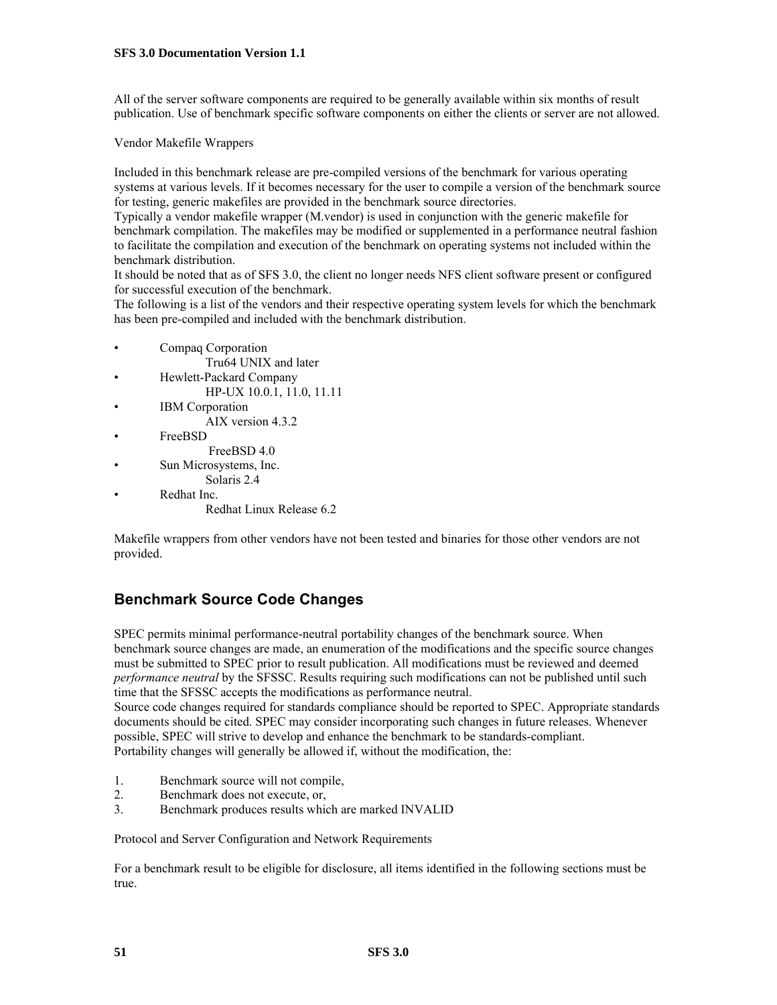All of the server software components are required to be generally available within six months of result publication. Use of benchmark specific software components on either the clients or server are not allowed.

Vendor Makefile Wrappers

Included in this benchmark release are pre-compiled versions of the benchmark for various operating systems at various levels. If it becomes necessary for the user to compile a version of the benchmark source for testing, generic makefiles are provided in the benchmark source directories.

Typically a vendor makefile wrapper (M.vendor) is used in conjunction with the generic makefile for benchmark compilation. The makefiles may be modified or supplemented in a performance neutral fashion to facilitate the compilation and execution of the benchmark on operating systems not included within the benchmark distribution.

It should be noted that as of SFS 3.0, the client no longer needs NFS client software present or configured for successful execution of the benchmark.

The following is a list of the vendors and their respective operating system levels for which the benchmark has been pre-compiled and included with the benchmark distribution.

- Compaq Corporation
	- Tru64 UNIX and later
- Hewlett-Packard Company HP-UX 10.0.1, 11.0, 11.11
- IBM Corporation AIX version 4.3.2
- FreeBSD
	- FreeBSD 4.0
- Sun Microsystems, Inc.
- Solaris 2.4
- Redhat Inc.

Redhat Linux Release 6.2

Makefile wrappers from other vendors have not been tested and binaries for those other vendors are not provided.

### **Benchmark Source Code Changes**

SPEC permits minimal performance-neutral portability changes of the benchmark source. When benchmark source changes are made, an enumeration of the modifications and the specific source changes must be submitted to SPEC prior to result publication. All modifications must be reviewed and deemed *performance neutral* by the SFSSC. Results requiring such modifications can not be published until such time that the SFSSC accepts the modifications as performance neutral.

Source code changes required for standards compliance should be reported to SPEC. Appropriate standards documents should be cited. SPEC may consider incorporating such changes in future releases. Whenever possible, SPEC will strive to develop and enhance the benchmark to be standards-compliant. Portability changes will generally be allowed if, without the modification, the:

- 1. Benchmark source will not compile,
- 2. Benchmark does not execute, or,
- 3. Benchmark produces results which are marked INVALID

Protocol and Server Configuration and Network Requirements

For a benchmark result to be eligible for disclosure, all items identified in the following sections must be true.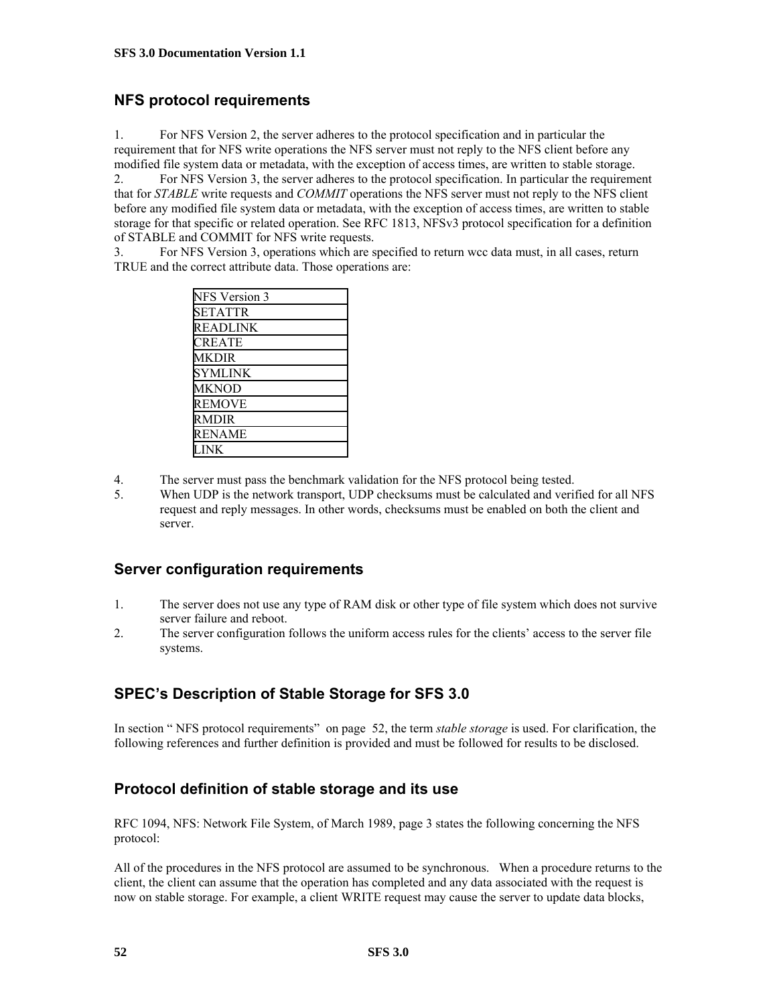### <span id="page-51-0"></span>**NFS protocol requirements**

1. For NFS Version 2, the server adheres to the protocol specification and in particular the requirement that for NFS write operations the NFS server must not reply to the NFS client before any modified file system data or metadata, with the exception of access times, are written to stable storage.

2. For NFS Version 3, the server adheres to the protocol specification. In particular the requirement that for *STABLE* write requests and *COMMIT* operations the NFS server must not reply to the NFS client before any modified file system data or metadata, with the exception of access times, are written to stable storage for that specific or related operation. See RFC 1813, NFSv3 protocol specification for a definition of STABLE and COMMIT for NFS write requests.

3. For NFS Version 3, operations which are specified to return wcc data must, in all cases, return TRUE and the correct attribute data. Those operations are:

| <b>NFS</b> Version 3 |
|----------------------|
| <b>SETATTR</b>       |
| READLINK             |
| CREATE               |
| MKDIR                |
| <b>SYMLINK</b>       |
| <b>MKNOD</b>         |
| <b>REMOVE</b>        |
| RMDIR                |
| <b>RENAME</b>        |
|                      |
|                      |

- 4. The server must pass the benchmark validation for the NFS protocol being tested.
- 5. When UDP is the network transport, UDP checksums must be calculated and verified for all NFS request and reply messages. In other words, checksums must be enabled on both the client and server.

### <span id="page-51-1"></span>**Server configuration requirements**

- 1. The server does not use any type of RAM disk or other type of file system which does not survive server failure and reboot.
- <span id="page-51-2"></span>2. The server configuration follows the uniform access rules for the clients' access to the server file systems.

### **SPEC's Description of Stable Storage for SFS 3.0**

In section " NFS protocol requirements" on page [52](#page-51-0), the term *stable storage* is used. For clarification, the following references and further definition is provided and must be followed for results to be disclosed.

### **Protocol definition of stable storage and its use**

RFC 1094, NFS: Network File System, of March 1989, page 3 states the following concerning the NFS protocol:

All of the procedures in the NFS protocol are assumed to be synchronous. When a procedure returns to the client, the client can assume that the operation has completed and any data associated with the request is now on stable storage. For example, a client WRITE request may cause the server to update data blocks,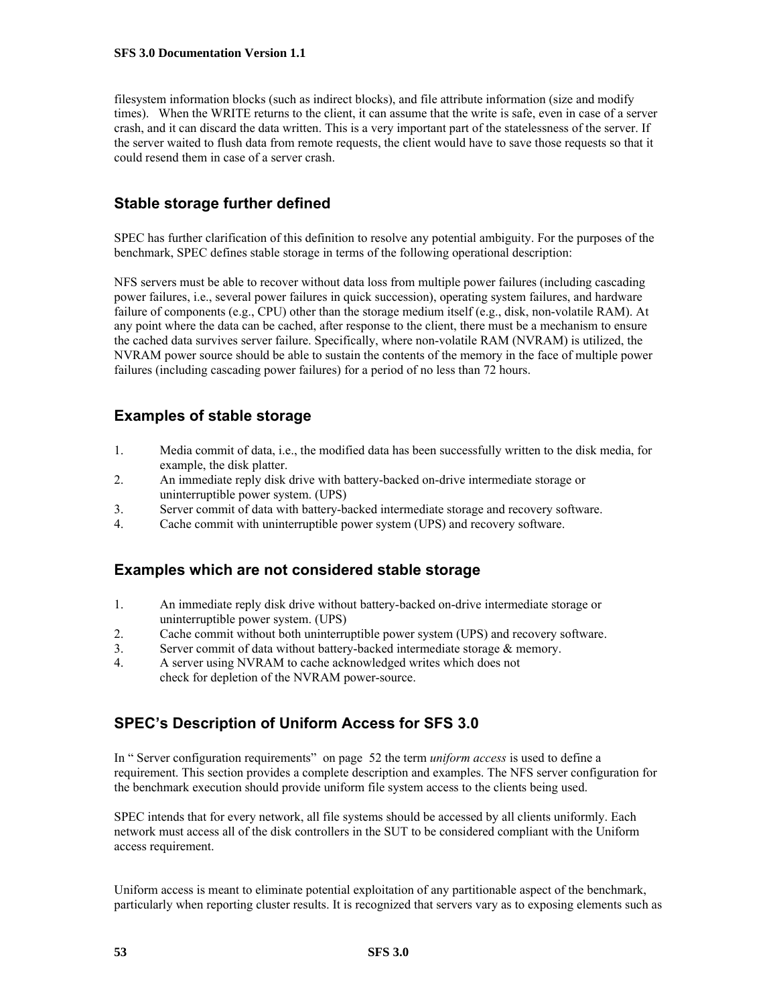filesystem information blocks (such as indirect blocks), and file attribute information (size and modify times). When the WRITE returns to the client, it can assume that the write is safe, even in case of a server crash, and it can discard the data written. This is a very important part of the statelessness of the server. If the server waited to flush data from remote requests, the client would have to save those requests so that it could resend them in case of a server crash.

### **Stable storage further defined**

SPEC has further clarification of this definition to resolve any potential ambiguity. For the purposes of the benchmark, SPEC defines stable storage in terms of the following operational description:

NFS servers must be able to recover without data loss from multiple power failures (including cascading power failures, i.e., several power failures in quick succession), operating system failures, and hardware failure of components (e.g., CPU) other than the storage medium itself (e.g., disk, non-volatile RAM). At any point where the data can be cached, after response to the client, there must be a mechanism to ensure the cached data survives server failure. Specifically, where non-volatile RAM (NVRAM) is utilized, the NVRAM power source should be able to sustain the contents of the memory in the face of multiple power failures (including cascading power failures) for a period of no less than 72 hours.

### **Examples of stable storage**

- 1. Media commit of data, i.e., the modified data has been successfully written to the disk media, for example, the disk platter.
- 2. An immediate reply disk drive with battery-backed on-drive intermediate storage or uninterruptible power system. (UPS)
- 3. Server commit of data with battery-backed intermediate storage and recovery software.
- 4. Cache commit with uninterruptible power system (UPS) and recovery software.

### **Examples which are not considered stable storage**

- 1. An immediate reply disk drive without battery-backed on-drive intermediate storage or uninterruptible power system. (UPS)
- 2. Cache commit without both uninterruptible power system (UPS) and recovery software.
- 3. Server commit of data without battery-backed intermediate storage & memory.
- 4. A server using NVRAM to cache acknowledged writes which does not check for depletion of the NVRAM power-source.

### <span id="page-52-0"></span>**SPEC's Description of Uniform Access for SFS 3.0**

In " [Server configuration requirements](#page-51-1)" on page [52](#page-51-1) the term *uniform access* is used to define a requirement. This section provides a complete description and examples. The NFS server configuration for the benchmark execution should provide uniform file system access to the clients being used.

SPEC intends that for every network, all file systems should be accessed by all clients uniformly. Each network must access all of the disk controllers in the SUT to be considered compliant with the Uniform access requirement.

Uniform access is meant to eliminate potential exploitation of any partitionable aspect of the benchmark, particularly when reporting cluster results. It is recognized that servers vary as to exposing elements such as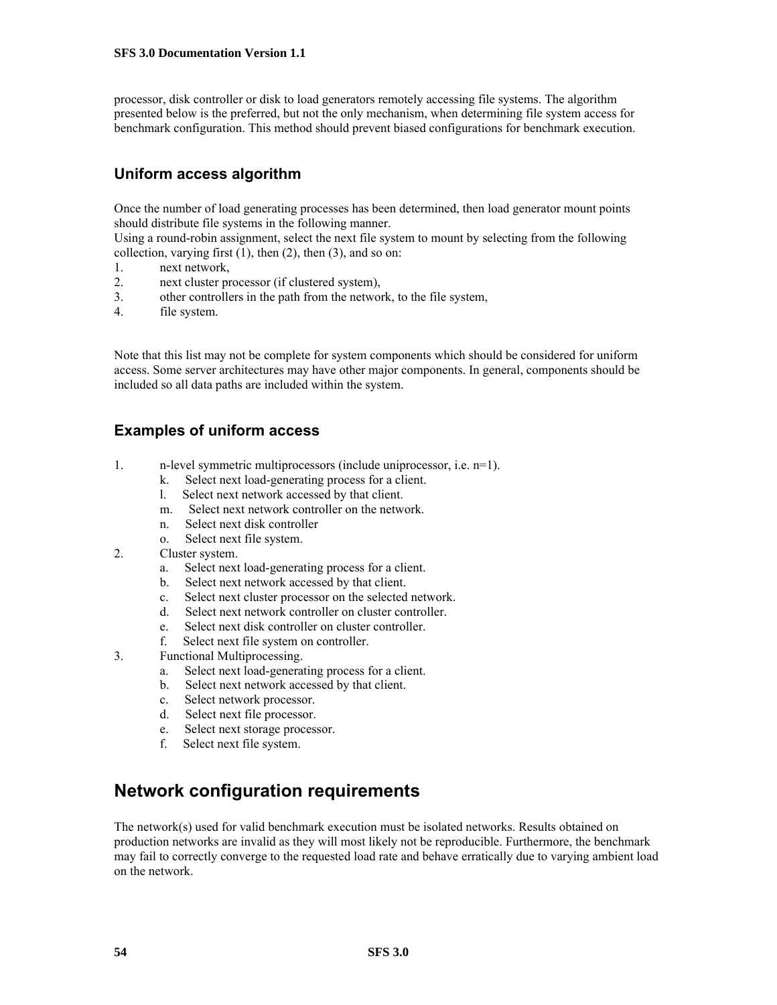processor, disk controller or disk to load generators remotely accessing file systems. The algorithm presented below is the preferred, but not the only mechanism, when determining file system access for benchmark configuration. This method should prevent biased configurations for benchmark execution.

### **Uniform access algorithm**

Once the number of load generating processes has been determined, then load generator mount points should distribute file systems in the following manner.

Using a round-robin assignment, select the next file system to mount by selecting from the following collection, varying first  $(1)$ , then  $(2)$ , then  $(3)$ , and so on:

- 1. next network,
- 2. next cluster processor (if clustered system),
- 3. other controllers in the path from the network, to the file system,
- 4. file system.

Note that this list may not be complete for system components which should be considered for uniform access. Some server architectures may have other major components. In general, components should be included so all data paths are included within the system.

### **Examples of uniform access**

- 1. n-level symmetric multiprocessors (include uniprocessor, i.e. n=1).
	- k. Select next load-generating process for a client.
	- l. Select next network accessed by that client.
	- m. Select next network controller on the network.
	- n. Select next disk controller
	- o. Select next file system.
- 2. Cluster system.
	- a. Select next load-generating process for a client.
	- b. Select next network accessed by that client.
	- c. Select next cluster processor on the selected network.
	- d. Select next network controller on cluster controller.
	- e. Select next disk controller on cluster controller.
	- f. Select next file system on controller.
- 3. Functional Multiprocessing.
	- a. Select next load-generating process for a client.
	- b. Select next network accessed by that client.
	- c. Select network processor.
	- d. Select next file processor.
	- e. Select next storage processor.
	- f. Select next file system.

### **Network configuration requirements**

The network(s) used for valid benchmark execution must be isolated networks. Results obtained on production networks are invalid as they will most likely not be reproducible. Furthermore, the benchmark may fail to correctly converge to the requested load rate and behave erratically due to varying ambient load on the network.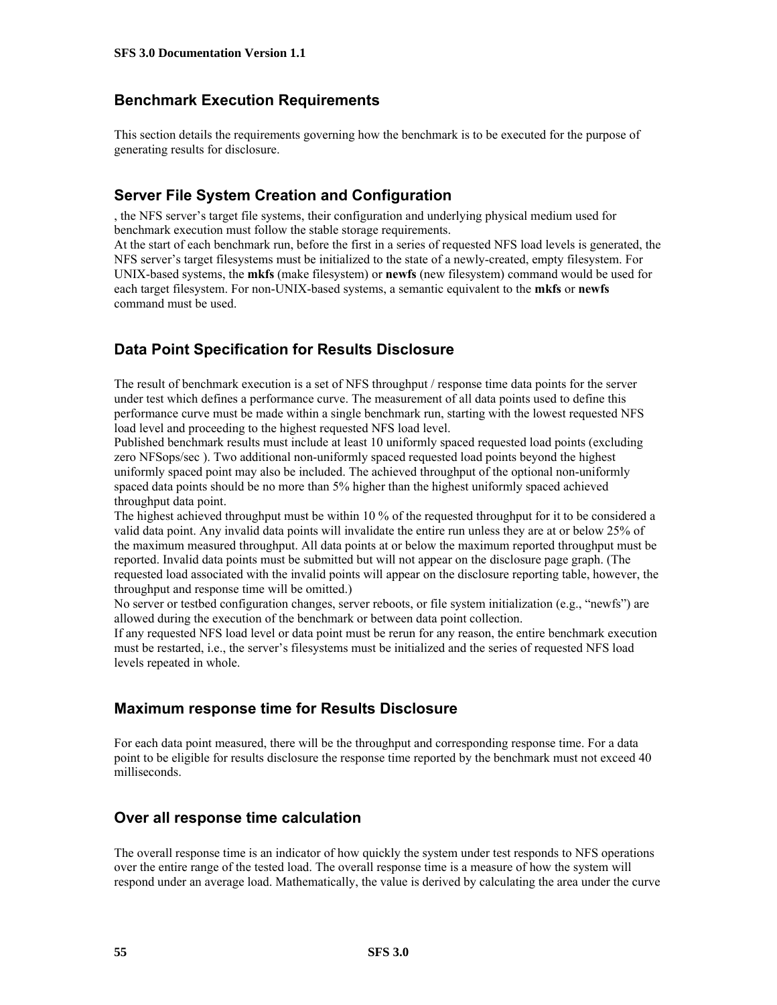### **Benchmark Execution Requirements**

This section details the requirements governing how the benchmark is to be executed for the purpose of generating results for disclosure.

### **Server File System Creation and Configuration**

[,](#page-51-2) the NFS server's target file systems, their configuration and underlying physical medium used for benchmark execution must follow the stable storage requirements.

At the start of each benchmark run, before the first in a series of requested NFS load levels is generated, the NFS server's target filesystems must be initialized to the state of a newly-created, empty filesystem. For UNIX-based systems, the **mkfs** (make filesystem) or **newfs** (new filesystem) command would be used for each target filesystem. For non-UNIX-based systems, a semantic equivalent to the **mkfs** or **newfs** command must be used.

### **Data Point Specification for Results Disclosure**

The result of benchmark execution is a set of NFS throughput / response time data points for the server under test which defines a performance curve. The measurement of all data points used to define this performance curve must be made within a single benchmark run, starting with the lowest requested NFS load level and proceeding to the highest requested NFS load level.

Published benchmark results must include at least 10 uniformly spaced requested load points (excluding zero NFSops/sec ). Two additional non-uniformly spaced requested load points beyond the highest uniformly spaced point may also be included. The achieved throughput of the optional non-uniformly spaced data points should be no more than 5% higher than the highest uniformly spaced achieved throughput data point.

The highest achieved throughput must be within 10 % of the requested throughput for it to be considered a valid data point. Any invalid data points will invalidate the entire run unless they are at or below 25% of the maximum measured throughput. All data points at or below the maximum reported throughput must be reported. Invalid data points must be submitted but will not appear on the disclosure page graph. (The requested load associated with the invalid points will appear on the disclosure reporting table, however, the throughput and response time will be omitted.)

No server or testbed configuration changes, server reboots, or file system initialization (e.g., "newfs") are allowed during the execution of the benchmark or between data point collection.

If any requested NFS load level or data point must be rerun for any reason, the entire benchmark execution must be restarted, i.e., the server's filesystems must be initialized and the series of requested NFS load levels repeated in whole.

### **Maximum response time for Results Disclosure**

For each data point measured, there will be the throughput and corresponding response time. For a data point to be eligible for results disclosure the response time reported by the benchmark must not exceed 40 milliseconds.

### **Over all response time calculation**

The overall response time is an indicator of how quickly the system under test responds to NFS operations over the entire range of the tested load. The overall response time is a measure of how the system will respond under an average load. Mathematically, the value is derived by calculating the area under the curve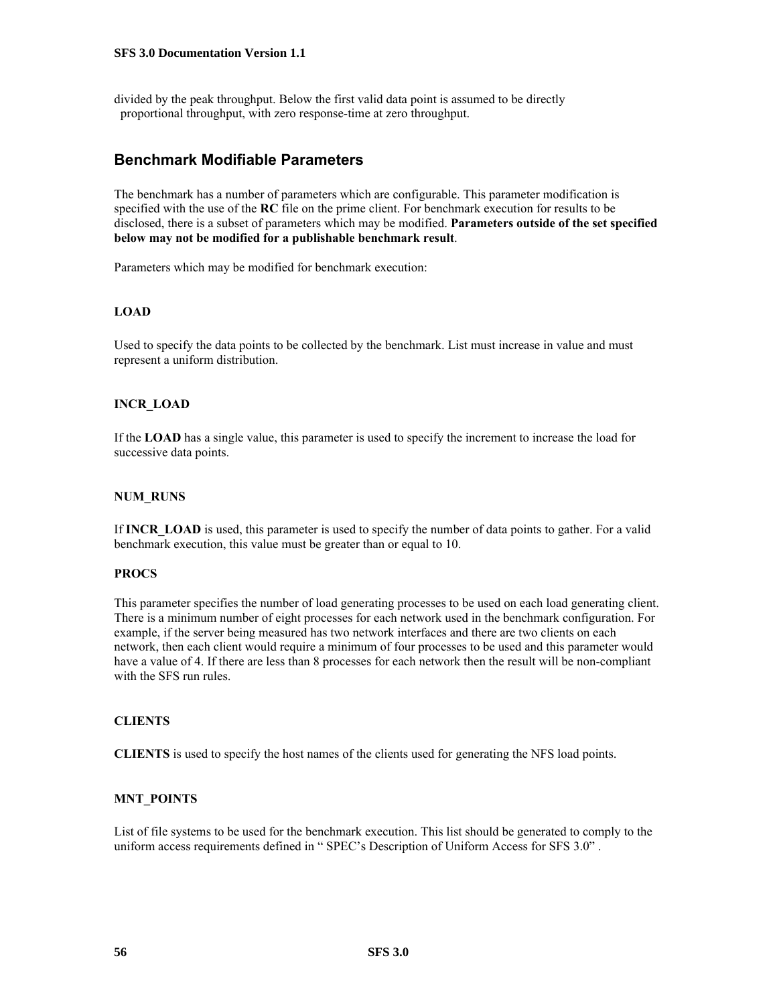divided by the peak throughput. Below the first valid data point is assumed to be directly proportional throughput, with zero response-time at zero throughput.

### **Benchmark Modifiable Parameters**

The benchmark has a number of parameters which are configurable. This parameter modification is specified with the use of the **RC** file on the prime client. For benchmark execution for results to be disclosed, there is a subset of parameters which may be modified. **Parameters outside of the set specified below may not be modified for a publishable benchmark result**.

Parameters which may be modified for benchmark execution:

#### **LOAD**

Used to specify the data points to be collected by the benchmark. List must increase in value and must represent a uniform distribution.

#### **INCR\_LOAD**

If the **LOAD** has a single value, this parameter is used to specify the increment to increase the load for successive data points.

#### **NUM\_RUNS**

If **INCR\_LOAD** is used, this parameter is used to specify the number of data points to gather. For a valid benchmark execution, this value must be greater than or equal to 10.

#### **PROCS**

This parameter specifies the number of load generating processes to be used on each load generating client. There is a minimum number of eight processes for each network used in the benchmark configuration. For example, if the server being measured has two network interfaces and there are two clients on each network, then each client would require a minimum of four processes to be used and this parameter would have a value of 4. If there are less than 8 processes for each network then the result will be non-compliant with the SFS run rules.

#### **CLIENTS**

**CLIENTS** is used to specify the host names of the clients used for generating the NFS load points.

#### **MNT\_POINTS**

List of file systems to be used for the benchmark execution. This list should be generated to comply to the uniform access requirements defined in " [SPEC's Description of Uniform Access for SFS 3.0](#page-52-0)" .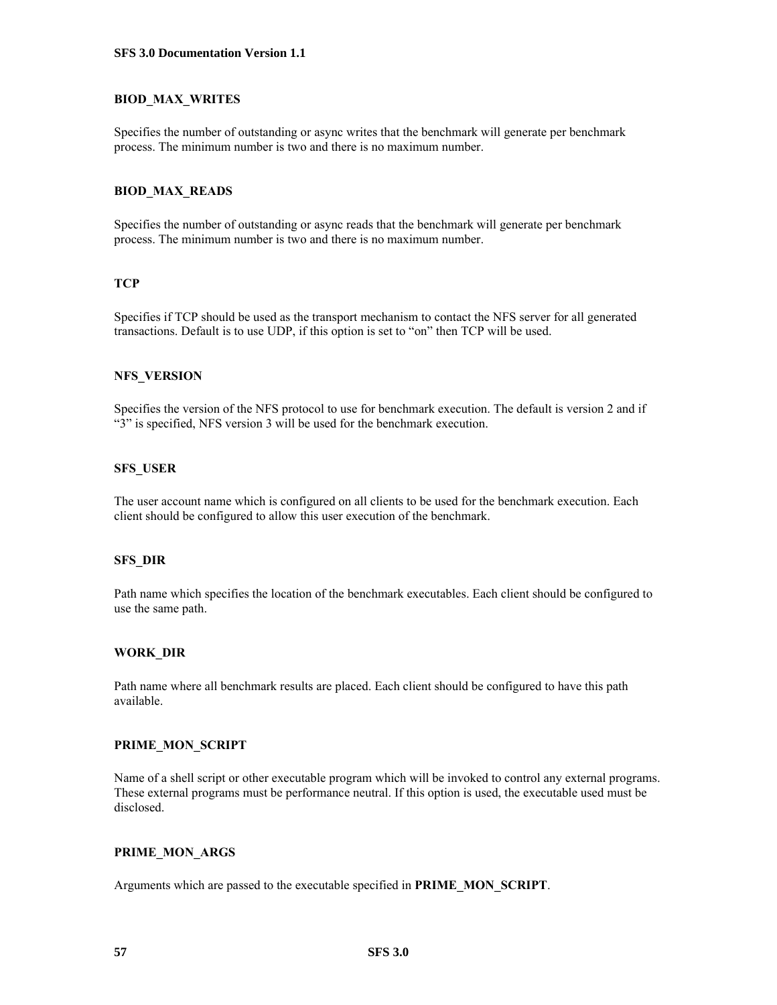#### **BIOD\_MAX\_WRITES**

Specifies the number of outstanding or async writes that the benchmark will generate per benchmark process. The minimum number is two and there is no maximum number.

#### **BIOD\_MAX\_READS**

Specifies the number of outstanding or async reads that the benchmark will generate per benchmark process. The minimum number is two and there is no maximum number.

#### **TCP**

Specifies if TCP should be used as the transport mechanism to contact the NFS server for all generated transactions. Default is to use UDP, if this option is set to "on" then TCP will be used.

#### **NFS\_VERSION**

Specifies the version of the NFS protocol to use for benchmark execution. The default is version 2 and if "3" is specified, NFS version 3 will be used for the benchmark execution.

#### **SFS\_USER**

The user account name which is configured on all clients to be used for the benchmark execution. Each client should be configured to allow this user execution of the benchmark.

#### **SFS\_DIR**

Path name which specifies the location of the benchmark executables. Each client should be configured to use the same path.

#### **WORK\_DIR**

Path name where all benchmark results are placed. Each client should be configured to have this path available.

#### **PRIME\_MON\_SCRIPT**

Name of a shell script or other executable program which will be invoked to control any external programs. These external programs must be performance neutral. If this option is used, the executable used must be disclosed.

#### **PRIME\_MON\_ARGS**

Arguments which are passed to the executable specified in **PRIME\_MON\_SCRIPT**.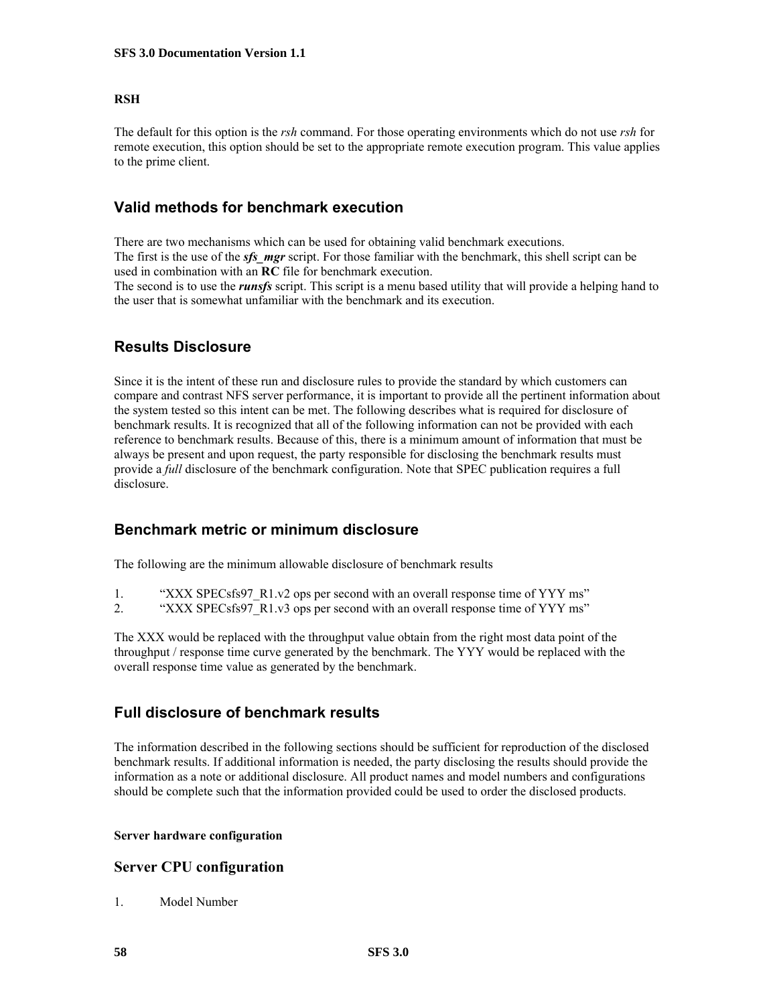#### **RSH**

The default for this option is the *rsh* command. For those operating environments which do not use *rsh* for remote execution, this option should be set to the appropriate remote execution program. This value applies to the prime client.

### **Valid methods for benchmark execution**

There are two mechanisms which can be used for obtaining valid benchmark executions. The first is the use of the *sfs* mgr script. For those familiar with the benchmark, this shell script can be used in combination with an **RC** file for benchmark execution.

The second is to use the *runsfs* script. This script is a menu based utility that will provide a helping hand to the user that is somewhat unfamiliar with the benchmark and its execution.

### **Results Disclosure**

Since it is the intent of these run and disclosure rules to provide the standard by which customers can compare and contrast NFS server performance, it is important to provide all the pertinent information about the system tested so this intent can be met. The following describes what is required for disclosure of benchmark results. It is recognized that all of the following information can not be provided with each reference to benchmark results. Because of this, there is a minimum amount of information that must be always be present and upon request, the party responsible for disclosing the benchmark results must provide a *full* disclosure of the benchmark configuration. Note that SPEC publication requires a full disclosure.

### **Benchmark metric or minimum disclosure**

The following are the minimum allowable disclosure of benchmark results

- 1. "XXX SPECsfs97 R1.v2 ops per second with an overall response time of YYY ms"
- 2. "XXX SPECsfs97 R1.v3 ops per second with an overall response time of YYY ms"

The XXX would be replaced with the throughput value obtain from the right most data point of the throughput / response time curve generated by the benchmark. The YYY would be replaced with the overall response time value as generated by the benchmark.

### **Full disclosure of benchmark results**

The information described in the following sections should be sufficient for reproduction of the disclosed benchmark results. If additional information is needed, the party disclosing the results should provide the information as a note or additional disclosure. All product names and model numbers and configurations should be complete such that the information provided could be used to order the disclosed products.

#### **Server hardware configuration**

### **Server CPU configuration**

1. Model Number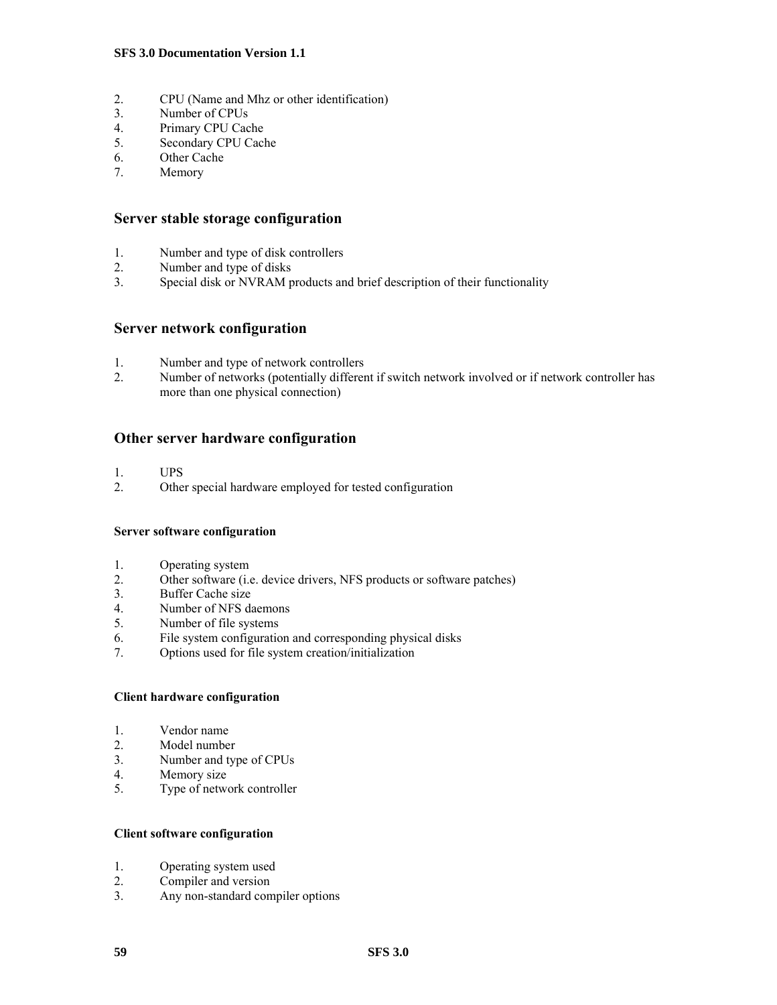- 2. CPU (Name and Mhz or other identification)<br>3. Number of CPUs
- Number of CPUs
- 4. Primary CPU Cache
- 5. Secondary CPU Cache
- 6. Other Cache
- 7. Memory

#### **Server stable storage configuration**

- 1. Number and type of disk controllers
- 2. Number and type of disks
- 3. Special disk or NVRAM products and brief description of their functionality

#### **Server network configuration**

- 1. Number and type of network controllers<br>2. Number of networks (potentially differentially
- Number of networks (potentially different if switch network involved or if network controller has more than one physical connection)

#### **Other server hardware configuration**

- 1. UPS
- 2. Other special hardware employed for tested configuration

#### **Server software configuration**

- 1. Operating system
- 2. Other software (i.e. device drivers, NFS products or software patches)
- 3. Buffer Cache size<br>4. Number of NFS da
- Number of NFS daemons
- 5. Number of file systems
- 6. File system configuration and corresponding physical disks
- 7. Options used for file system creation/initialization

#### **Client hardware configuration**

- 1. Vendor name
- 2. Model number
- 3. Number and type of CPUs
- 4. Memory size
- 5. Type of network controller

#### **Client software configuration**

- 1. Operating system used
- 2. Compiler and version
- 3. Any non-standard compiler options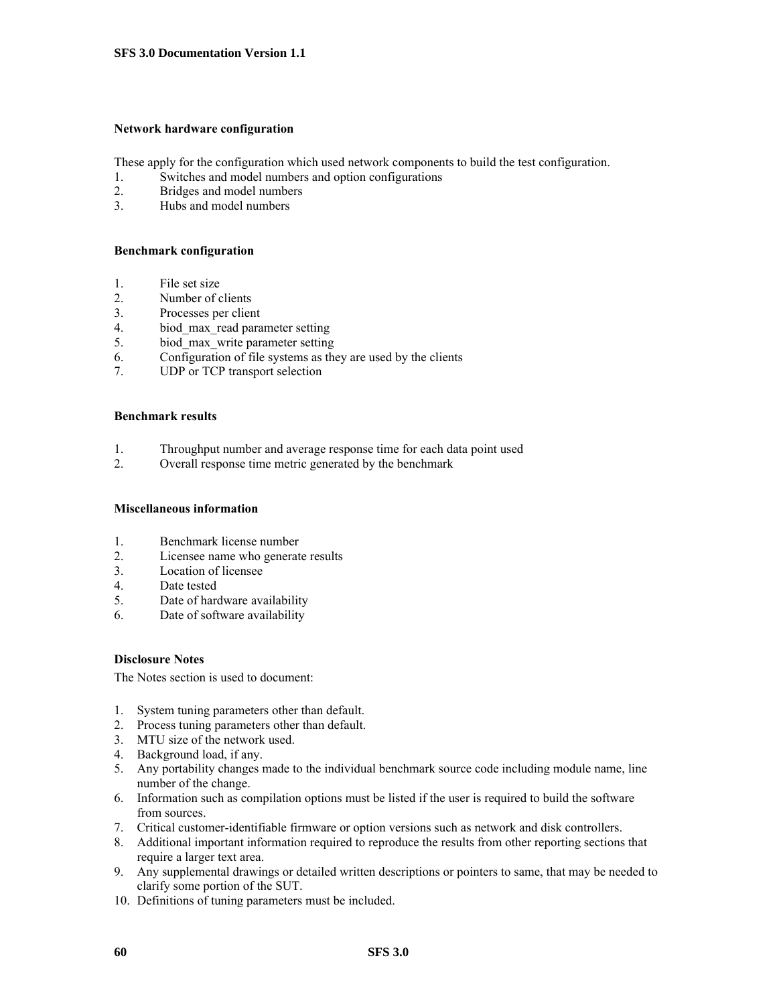#### **Network hardware configuration**

These apply for the configuration which used network components to build the test configuration.

- 1. Switches and model numbers and option configurations
- 2. Bridges and model numbers
- 3. Hubs and model numbers

#### **Benchmark configuration**

- 1. File set size
- 2. Number of clients
- 3. Processes per client
- 4. biod\_max\_read parameter setting
- 5. biod\_max\_write parameter setting
- $6.$  Configuration of file systems as they are used by the clients
- 7. UDP or TCP transport selection

#### **Benchmark results**

- 1. Throughput number and average response time for each data point used
- 2. Overall response time metric generated by the benchmark

#### **Miscellaneous information**

- 1. Benchmark license number
- 2. Licensee name who generate results
- 3. Location of licensee
- 4. Date tested
- 5. Date of hardware availability
- 6. Date of software availability

#### **Disclosure Notes**

The Notes section is used to document:

- 1. System tuning parameters other than default.
- 2. Process tuning parameters other than default.
- 3. MTU size of the network used.
- 4. Background load, if any.
- 5. Any portability changes made to the individual benchmark source code including module name, line number of the change.
- 6. Information such as compilation options must be listed if the user is required to build the software from sources.
- 7. Critical customer-identifiable firmware or option versions such as network and disk controllers.
- 8. Additional important information required to reproduce the results from other reporting sections that require a larger text area.
- 9. Any supplemental drawings or detailed written descriptions or pointers to same, that may be needed to clarify some portion of the SUT.
- 10. Definitions of tuning parameters must be included.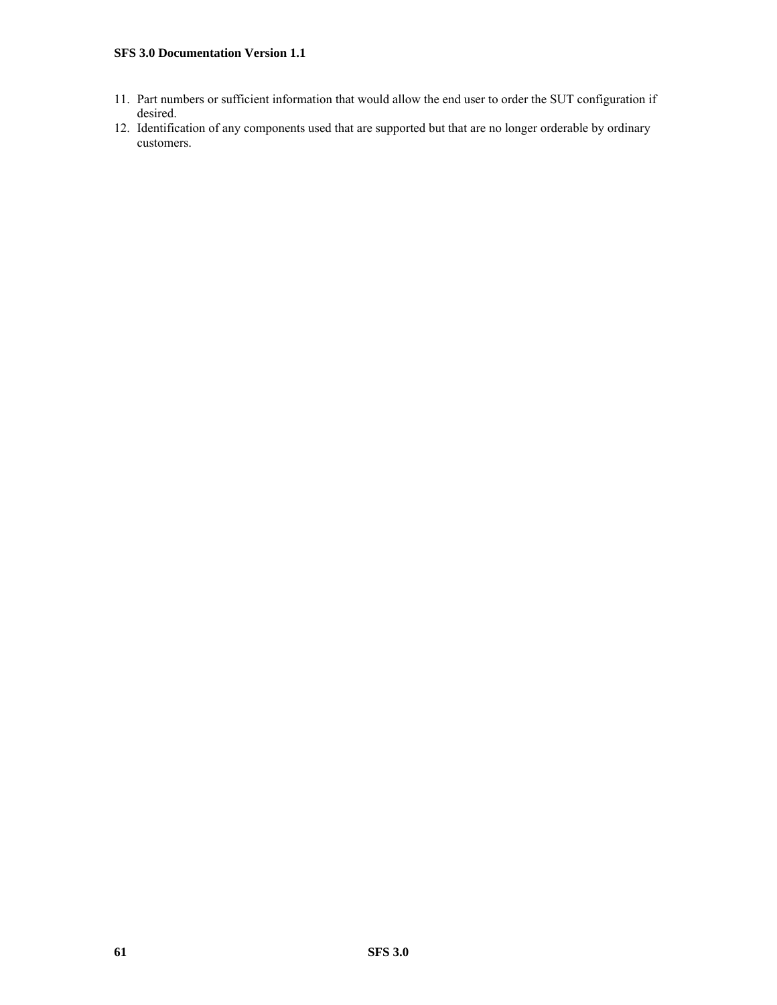- 11. Part numbers or sufficient information that would allow the end user to order the SUT configuration if desired.
- 12. Identification of any components used that are supported but that are no longer orderable by ordinary customers.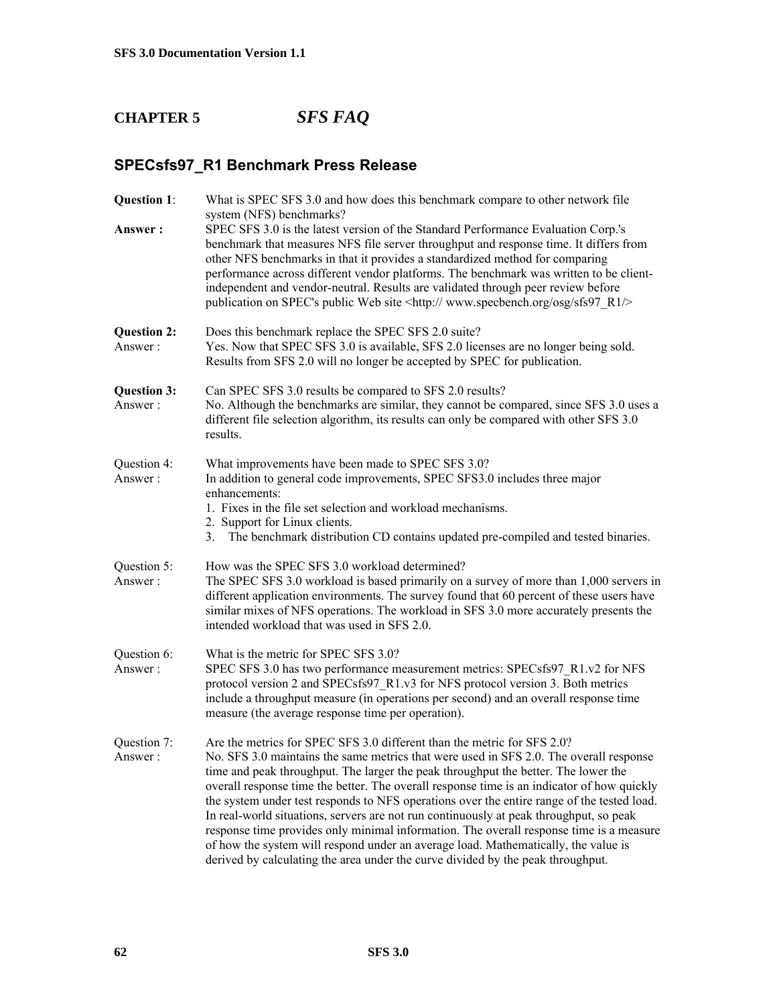# **CHAPTER 5** *SFS FAQ*

## **SPECsfs97\_R1 Benchmark Press Release**

| Question 1:<br>Answer:        | What is SPEC SFS 3.0 and how does this benchmark compare to other network file<br>system (NFS) benchmarks?<br>SPEC SFS 3.0 is the latest version of the Standard Performance Evaluation Corp.'s<br>benchmark that measures NFS file server throughput and response time. It differs from<br>other NFS benchmarks in that it provides a standardized method for comparing<br>performance across different vendor platforms. The benchmark was written to be client-<br>independent and vendor-neutral. Results are validated through peer review before<br>publication on SPEC's public Web site <http: osg="" r1="" sfs97="" www.specbench.org=""></http:>                                                                                                                                                        |
|-------------------------------|-------------------------------------------------------------------------------------------------------------------------------------------------------------------------------------------------------------------------------------------------------------------------------------------------------------------------------------------------------------------------------------------------------------------------------------------------------------------------------------------------------------------------------------------------------------------------------------------------------------------------------------------------------------------------------------------------------------------------------------------------------------------------------------------------------------------|
| <b>Question 2:</b><br>Answer: | Does this benchmark replace the SPEC SFS 2.0 suite?<br>Yes. Now that SPEC SFS 3.0 is available, SFS 2.0 licenses are no longer being sold.<br>Results from SFS 2.0 will no longer be accepted by SPEC for publication.                                                                                                                                                                                                                                                                                                                                                                                                                                                                                                                                                                                            |
| <b>Question 3:</b><br>Answer: | Can SPEC SFS 3.0 results be compared to SFS 2.0 results?<br>No. Although the benchmarks are similar, they cannot be compared, since SFS 3.0 uses a<br>different file selection algorithm, its results can only be compared with other SFS 3.0<br>results.                                                                                                                                                                                                                                                                                                                                                                                                                                                                                                                                                         |
| Question 4:<br>Answer:        | What improvements have been made to SPEC SFS 3.0?<br>In addition to general code improvements, SPEC SFS3.0 includes three major<br>enhancements:<br>1. Fixes in the file set selection and workload mechanisms.<br>2. Support for Linux clients.<br>3. The benchmark distribution CD contains updated pre-compiled and tested binaries.                                                                                                                                                                                                                                                                                                                                                                                                                                                                           |
| Question 5:<br>Answer:        | How was the SPEC SFS 3.0 workload determined?<br>The SPEC SFS 3.0 workload is based primarily on a survey of more than 1,000 servers in<br>different application environments. The survey found that 60 percent of these users have<br>similar mixes of NFS operations. The workload in SFS 3.0 more accurately presents the<br>intended workload that was used in SFS 2.0.                                                                                                                                                                                                                                                                                                                                                                                                                                       |
| Question 6:<br>Answer:        | What is the metric for SPEC SFS 3.0?<br>SPEC SFS 3.0 has two performance measurement metrics: SPECsfs97 R1.v2 for NFS<br>protocol version 2 and SPECsfs97 R1.v3 for NFS protocol version 3. Both metrics<br>include a throughput measure (in operations per second) and an overall response time<br>measure (the average response time per operation).                                                                                                                                                                                                                                                                                                                                                                                                                                                            |
| Question 7:<br>Answer:        | Are the metrics for SPEC SFS 3.0 different than the metric for SFS 2.0?<br>No. SFS 3.0 maintains the same metrics that were used in SFS 2.0. The overall response<br>time and peak throughput. The larger the peak throughput the better. The lower the<br>overall response time the better. The overall response time is an indicator of how quickly<br>the system under test responds to NFS operations over the entire range of the tested load.<br>In real-world situations, servers are not run continuously at peak throughput, so peak<br>response time provides only minimal information. The overall response time is a measure<br>of how the system will respond under an average load. Mathematically, the value is<br>derived by calculating the area under the curve divided by the peak throughput. |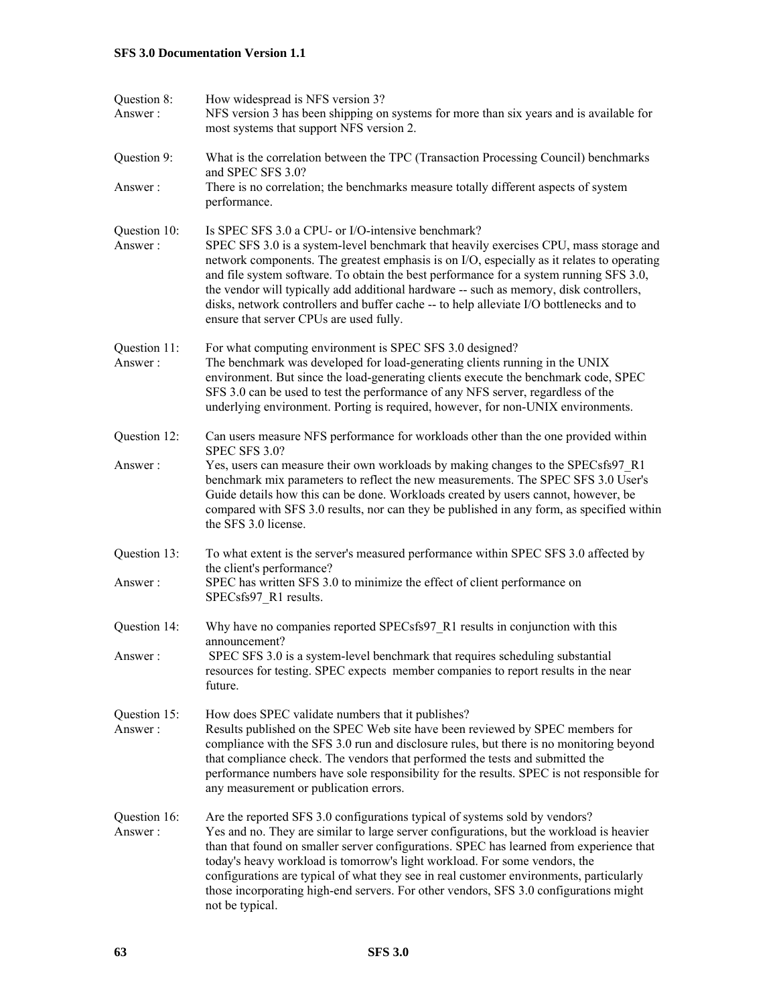| Question 8:<br>Answer:  | How widespread is NFS version 3?<br>NFS version 3 has been shipping on systems for more than six years and is available for<br>most systems that support NFS version 2.                                                                                                                                                                                                                                                                                                                                                                                             |
|-------------------------|---------------------------------------------------------------------------------------------------------------------------------------------------------------------------------------------------------------------------------------------------------------------------------------------------------------------------------------------------------------------------------------------------------------------------------------------------------------------------------------------------------------------------------------------------------------------|
| Question 9:<br>Answer:  | What is the correlation between the TPC (Transaction Processing Council) benchmarks<br>and SPEC SFS 3.0?<br>There is no correlation; the benchmarks measure totally different aspects of system<br>performance.                                                                                                                                                                                                                                                                                                                                                     |
| Question 10:<br>Answer: | Is SPEC SFS 3.0 a CPU- or I/O-intensive benchmark?<br>SPEC SFS 3.0 is a system-level benchmark that heavily exercises CPU, mass storage and<br>network components. The greatest emphasis is on I/O, especially as it relates to operating<br>and file system software. To obtain the best performance for a system running SFS 3.0,<br>the vendor will typically add additional hardware -- such as memory, disk controllers,<br>disks, network controllers and buffer cache -- to help alleviate I/O bottlenecks and to<br>ensure that server CPUs are used fully. |
| Question 11:<br>Answer: | For what computing environment is SPEC SFS 3.0 designed?<br>The benchmark was developed for load-generating clients running in the UNIX<br>environment. But since the load-generating clients execute the benchmark code, SPEC<br>SFS 3.0 can be used to test the performance of any NFS server, regardless of the<br>underlying environment. Porting is required, however, for non-UNIX environments.                                                                                                                                                              |
| Question 12:            | Can users measure NFS performance for workloads other than the one provided within<br>SPEC SFS 3.0?                                                                                                                                                                                                                                                                                                                                                                                                                                                                 |
| Answer:                 | Yes, users can measure their own workloads by making changes to the SPECsfs97_R1<br>benchmark mix parameters to reflect the new measurements. The SPEC SFS 3.0 User's<br>Guide details how this can be done. Workloads created by users cannot, however, be<br>compared with SFS 3.0 results, nor can they be published in any form, as specified within<br>the SFS 3.0 license.                                                                                                                                                                                    |
| Question 13:<br>Answer: | To what extent is the server's measured performance within SPEC SFS 3.0 affected by<br>the client's performance?<br>SPEC has written SFS 3.0 to minimize the effect of client performance on<br>SPECsfs97 R1 results.                                                                                                                                                                                                                                                                                                                                               |
| Question 14:            | Why have no companies reported SPECsfs97 R1 results in conjunction with this                                                                                                                                                                                                                                                                                                                                                                                                                                                                                        |
| Answer:                 | announcement?<br>SPEC SFS 3.0 is a system-level benchmark that requires scheduling substantial<br>resources for testing. SPEC expects member companies to report results in the near<br>future.                                                                                                                                                                                                                                                                                                                                                                     |
| Question 15:<br>Answer: | How does SPEC validate numbers that it publishes?<br>Results published on the SPEC Web site have been reviewed by SPEC members for<br>compliance with the SFS 3.0 run and disclosure rules, but there is no monitoring beyond<br>that compliance check. The vendors that performed the tests and submitted the<br>performance numbers have sole responsibility for the results. SPEC is not responsible for<br>any measurement or publication errors.                                                                                                               |
| Question 16:<br>Answer: | Are the reported SFS 3.0 configurations typical of systems sold by vendors?<br>Yes and no. They are similar to large server configurations, but the workload is heavier<br>than that found on smaller server configurations. SPEC has learned from experience that<br>today's heavy workload is tomorrow's light workload. For some vendors, the<br>configurations are typical of what they see in real customer environments, particularly<br>those incorporating high-end servers. For other vendors, SFS 3.0 configurations might<br>not be typical.             |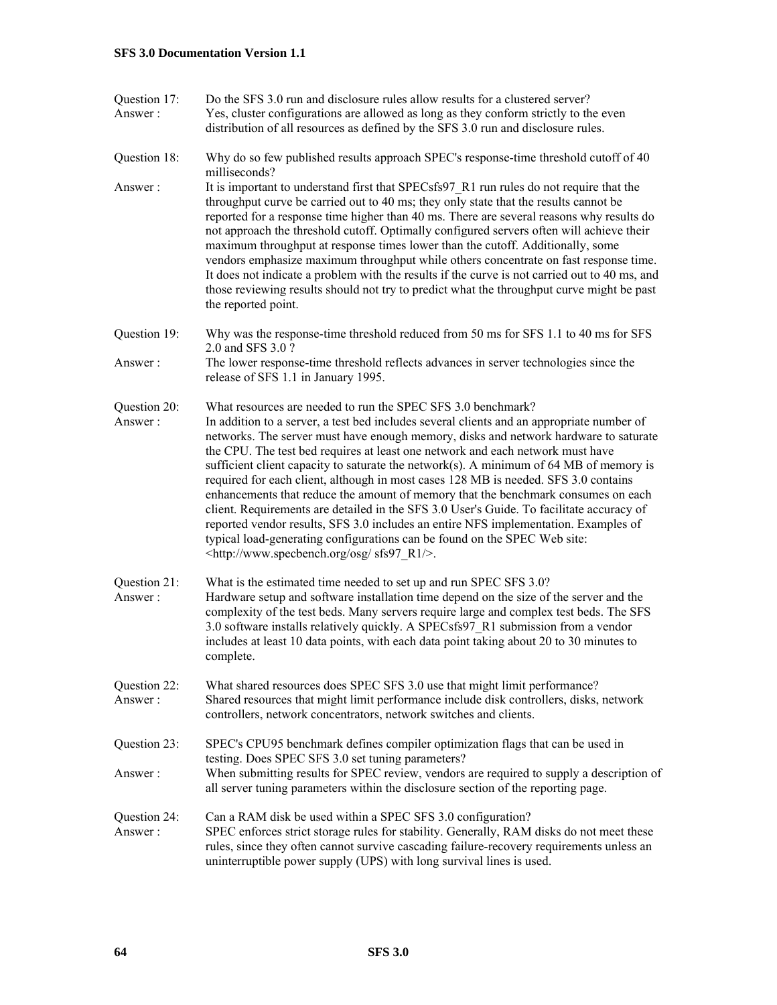- Question 17: Do the SFS 3.0 run and disclosure rules allow results for a clustered server? Answer : Yes, cluster configurations are allowed as long as they conform strictly to the even distribution of all resources as defined by the SFS 3.0 run and disclosure rules.
- Question 18: Why do so few published results approach SPEC's response-time threshold cutoff of 40 milliseconds?
- Answer : It is important to understand first that SPECsfs97 R1 run rules do not require that the throughput curve be carried out to 40 ms; they only state that the results cannot be reported for a response time higher than 40 ms. There are several reasons why results do not approach the threshold cutoff. Optimally configured servers often will achieve their maximum throughput at response times lower than the cutoff. Additionally, some vendors emphasize maximum throughput while others concentrate on fast response time. It does not indicate a problem with the results if the curve is not carried out to 40 ms, and those reviewing results should not try to predict what the throughput curve might be past the reported point.
- Question 19: Why was the response-time threshold reduced from 50 ms for SFS 1.1 to 40 ms for SFS 2.0 and SFS 3.0 ?
- Answer : The lower response-time threshold reflects advances in server technologies since the release of SFS 1.1 in January 1995.
- Question 20: What resources are needed to run the SPEC SFS 3.0 benchmark?
- Answer : In addition to a server, a test bed includes several clients and an appropriate number of networks. The server must have enough memory, disks and network hardware to saturate the CPU. The test bed requires at least one network and each network must have sufficient client capacity to saturate the network(s). A minimum of 64 MB of memory is required for each client, although in most cases 128 MB is needed. SFS 3.0 contains enhancements that reduce the amount of memory that the benchmark consumes on each client. Requirements are detailed in the SFS 3.0 User's Guide. To facilitate accuracy of reported vendor results, SFS 3.0 includes an entire NFS implementation. Examples of typical load-generating configurations can be found on the SPEC Web site: <http://www.specbench.org/osg/ sfs97\_R1/>.
- Question 21: What is the estimated time needed to set up and run SPEC SFS 3.0? Answer : Hardware setup and software installation time depend on the size of the server and the complexity of the test beds. Many servers require large and complex test beds. The SFS 3.0 software installs relatively quickly. A SPECsfs97\_R1 submission from a vendor includes at least 10 data points, with each data point taking about 20 to 30 minutes to complete.
- Question 22: What shared resources does SPEC SFS 3.0 use that might limit performance? Answer : Shared resources that might limit performance include disk controllers, disks, network controllers, network concentrators, network switches and clients.
- Question 23: SPEC's CPU95 benchmark defines compiler optimization flags that can be used in testing. Does SPEC SFS 3.0 set tuning parameters? Answer : When submitting results for SPEC review, vendors are required to supply a description of all server tuning parameters within the disclosure section of the reporting page.
- Question 24: Can a RAM disk be used within a SPEC SFS 3.0 configuration? Answer : SPEC enforces strict storage rules for stability. Generally, RAM disks do not meet these rules, since they often cannot survive cascading failure-recovery requirements unless an uninterruptible power supply (UPS) with long survival lines is used.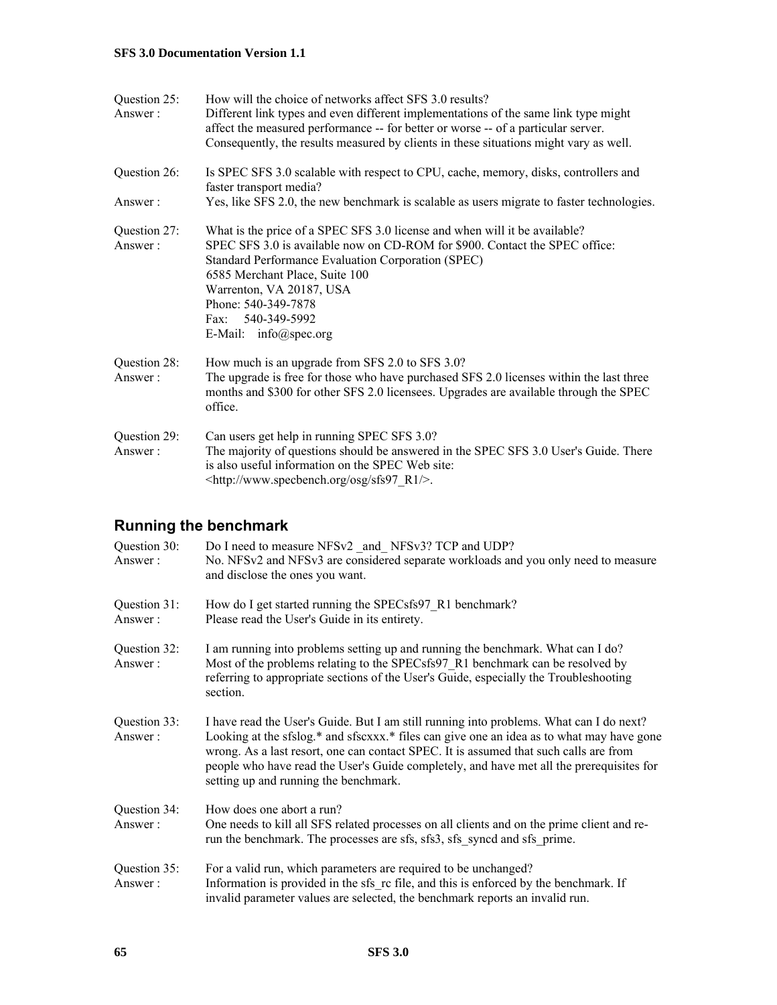| Question 25:<br>Answer: | How will the choice of networks affect SFS 3.0 results?<br>Different link types and even different implementations of the same link type might<br>affect the measured performance -- for better or worse -- of a particular server.<br>Consequently, the results measured by clients in these situations might vary as well.                                 |
|-------------------------|--------------------------------------------------------------------------------------------------------------------------------------------------------------------------------------------------------------------------------------------------------------------------------------------------------------------------------------------------------------|
| Question 26:            | Is SPEC SFS 3.0 scalable with respect to CPU, cache, memory, disks, controllers and<br>faster transport media?                                                                                                                                                                                                                                               |
| Answer:                 | Yes, like SFS 2.0, the new benchmark is scalable as users migrate to faster technologies.                                                                                                                                                                                                                                                                    |
| Question 27:<br>Answer: | What is the price of a SPEC SFS 3.0 license and when will it be available?<br>SPEC SFS 3.0 is available now on CD-ROM for \$900. Contact the SPEC office:<br>Standard Performance Evaluation Corporation (SPEC)<br>6585 Merchant Place, Suite 100<br>Warrenton, VA 20187, USA<br>Phone: 540-349-7878<br>Fax: 540-349-5992<br>E-Mail: $info(\omega)$ spec.org |
| Question 28:<br>Answer: | How much is an upgrade from SFS 2.0 to SFS 3.0?<br>The upgrade is free for those who have purchased SFS 2.0 licenses within the last three<br>months and \$300 for other SFS 2.0 licensees. Upgrades are available through the SPEC<br>office.                                                                                                               |
| Question 29:<br>Answer: | Can users get help in running SPEC SFS 3.0?<br>The majority of questions should be answered in the SPEC SFS 3.0 User's Guide. There<br>is also useful information on the SPEC Web site:<br><http: osg="" r1="" sfs97="" www.specbench.org=""></http:> .                                                                                                      |

## **Running the benchmark**

| Question 30:<br>Answer: | Do I need to measure NFSv2 and NFSv3? TCP and UDP?<br>No. NFSv2 and NFSv3 are considered separate workloads and you only need to measure<br>and disclose the ones you want.                                                                                                                                                                                                                                        |
|-------------------------|--------------------------------------------------------------------------------------------------------------------------------------------------------------------------------------------------------------------------------------------------------------------------------------------------------------------------------------------------------------------------------------------------------------------|
| Question 31:<br>Answer: | How do I get started running the SPECsfs97 R1 benchmark?<br>Please read the User's Guide in its entirety.                                                                                                                                                                                                                                                                                                          |
| Question 32:<br>Answer: | I am running into problems setting up and running the benchmark. What can I do?<br>Most of the problems relating to the SPECsfs97 R1 benchmark can be resolved by<br>referring to appropriate sections of the User's Guide, especially the Troubleshooting<br>section.                                                                                                                                             |
| Question 33:<br>Answer: | I have read the User's Guide. But I am still running into problems. What can I do next?<br>Looking at the sfslog.* and sfscxxx.* files can give one an idea as to what may have gone<br>wrong. As a last resort, one can contact SPEC. It is assumed that such calls are from<br>people who have read the User's Guide completely, and have met all the prerequisites for<br>setting up and running the benchmark. |
| Question 34:<br>Answer: | How does one abort a run?<br>One needs to kill all SFS related processes on all clients and on the prime client and re-<br>run the benchmark. The processes are sfs, sfs3, sfs syncd and sfs prime.                                                                                                                                                                                                                |
| Question 35:<br>Answer: | For a valid run, which parameters are required to be unchanged?<br>Information is provided in the sfs rc file, and this is enforced by the benchmark. If<br>invalid parameter values are selected, the benchmark reports an invalid run.                                                                                                                                                                           |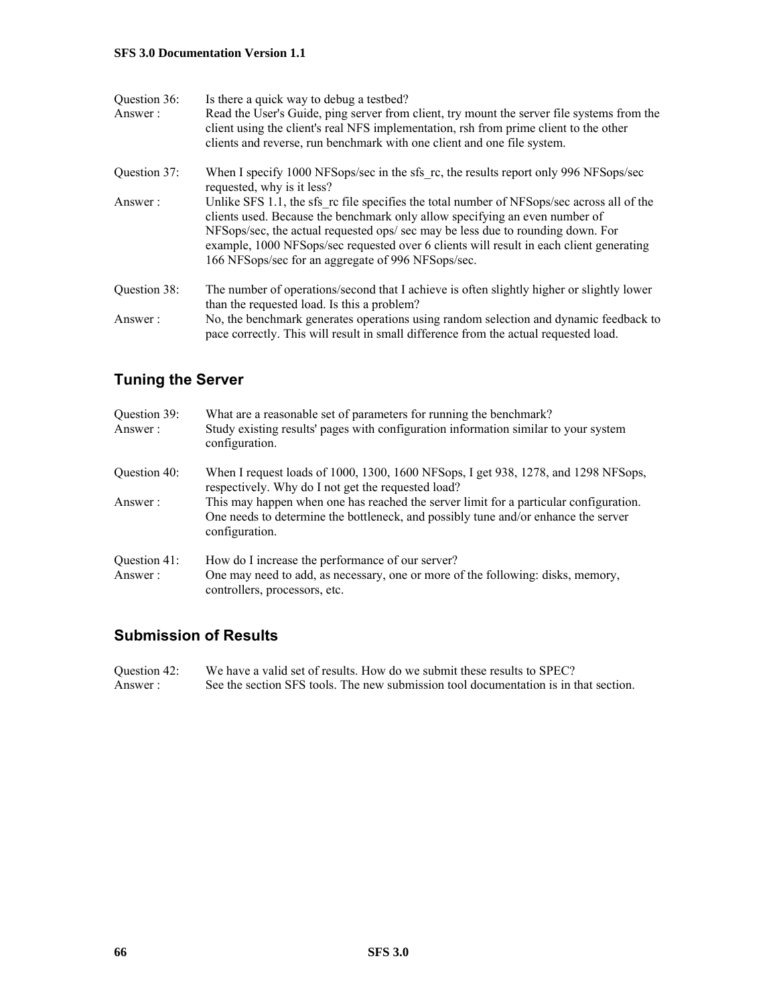| Question 36: | Is there a quick way to debug a testbed?                                                                                                                                      |
|--------------|-------------------------------------------------------------------------------------------------------------------------------------------------------------------------------|
| Answer:      | Read the User's Guide, ping server from client, try mount the server file systems from the                                                                                    |
|              | client using the client's real NFS implementation, rsh from prime client to the other                                                                                         |
|              | clients and reverse, run benchmark with one client and one file system.                                                                                                       |
| Ouestion 37: | When I specify 1000 NFSops/sec in the sfs rc, the results report only 996 NFSops/sec                                                                                          |
|              | requested, why is it less?                                                                                                                                                    |
| Answer:      | Unlike SFS 1.1, the sfs rc file specifies the total number of NFSops/sec across all of the                                                                                    |
|              | clients used. Because the benchmark only allow specifying an even number of                                                                                                   |
|              | NFSops/sec, the actual requested ops/ sec may be less due to rounding down. For                                                                                               |
|              | example, 1000 NFSops/sec requested over 6 clients will result in each client generating                                                                                       |
|              | 166 NFSops/sec for an aggregate of 996 NFSops/sec.                                                                                                                            |
| Question 38: | The number of operations/second that I achieve is often slightly higher or slightly lower                                                                                     |
|              | than the requested load. Is this a problem?                                                                                                                                   |
| Answer:      | No, the benchmark generates operations using random selection and dynamic feedback to<br>pace correctly. This will result in small difference from the actual requested load. |
|              |                                                                                                                                                                               |

### **Tuning the Server**

| Question 39:<br>Answer: | What are a reasonable set of parameters for running the benchmark?<br>Study existing results' pages with configuration information similar to your system<br>configuration.                   |
|-------------------------|-----------------------------------------------------------------------------------------------------------------------------------------------------------------------------------------------|
| Ouestion 40:            | When I request loads of 1000, 1300, 1600 NFSops, I get 938, 1278, and 1298 NFSops,<br>respectively. Why do I not get the requested load?                                                      |
| Answer:                 | This may happen when one has reached the server limit for a particular configuration.<br>One needs to determine the bottleneck, and possibly tune and/or enhance the server<br>configuration. |
| Ouestion 41:            | How do I increase the performance of our server?                                                                                                                                              |
| Answer:                 | One may need to add, as necessary, one or more of the following: disks, memory,<br>controllers, processors, etc.                                                                              |

### **Submission of Results**

| Question 42: | We have a valid set of results. How do we submit these results to SPEC?              |
|--------------|--------------------------------------------------------------------------------------|
| Answer:      | See the section SFS tools. The new submission tool documentation is in that section. |